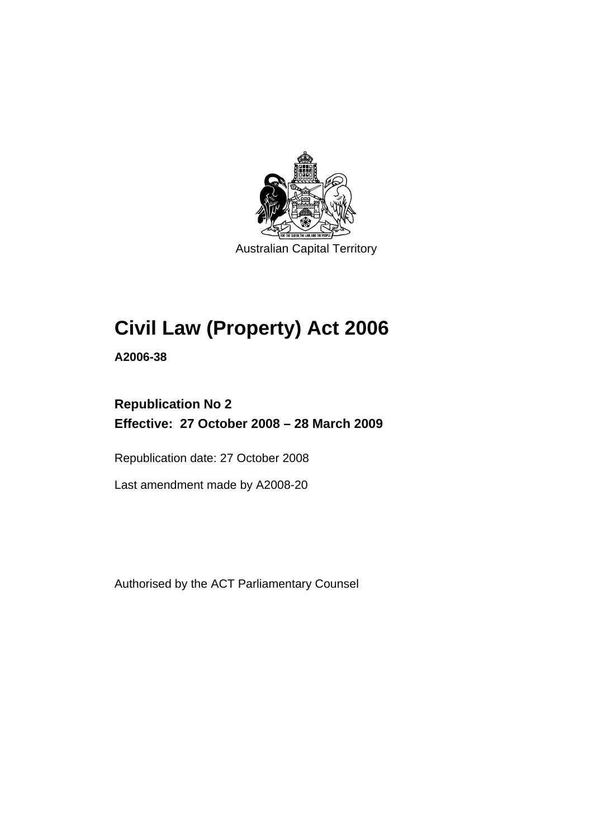

Australian Capital Territory

# **[Civil Law \(Property\) Act 2006](#page-10-0)**

**A2006-38** 

# **Republication No 2 Effective: 27 October 2008 – 28 March 2009**

Republication date: 27 October 2008

Last amendment made by A2008-20

Authorised by the ACT Parliamentary Counsel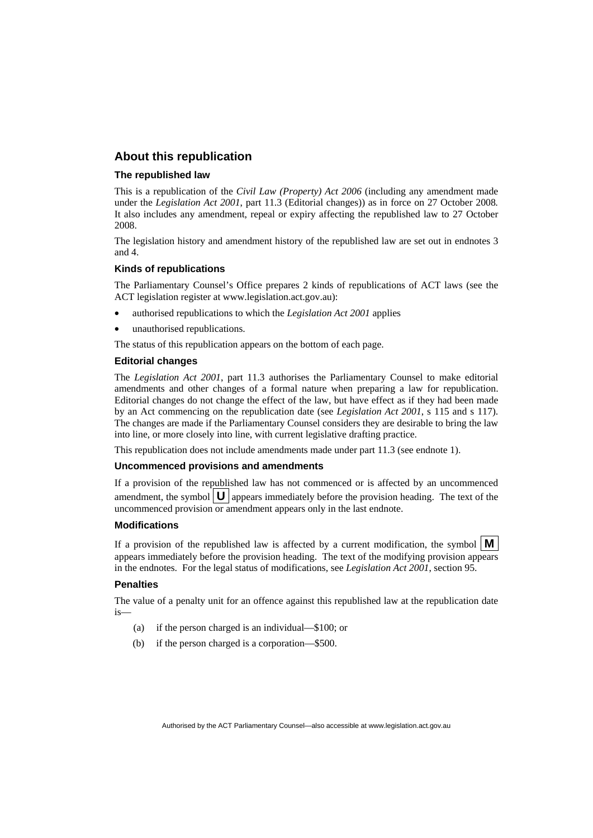#### **About this republication**

#### **The republished law**

This is a republication of the *Civil Law (Property) Act 2006* (including any amendment made under the *Legislation Act 2001*, part 11.3 (Editorial changes)) as in force on 27 October 2008*.*  It also includes any amendment, repeal or expiry affecting the republished law to 27 October 2008.

The legislation history and amendment history of the republished law are set out in endnotes 3 and 4.

#### **Kinds of republications**

The Parliamentary Counsel's Office prepares 2 kinds of republications of ACT laws (see the ACT legislation register at www.legislation.act.gov.au):

- authorised republications to which the *Legislation Act 2001* applies
- unauthorised republications.

The status of this republication appears on the bottom of each page.

#### **Editorial changes**

The *Legislation Act 2001*, part 11.3 authorises the Parliamentary Counsel to make editorial amendments and other changes of a formal nature when preparing a law for republication. Editorial changes do not change the effect of the law, but have effect as if they had been made by an Act commencing on the republication date (see *Legislation Act 2001*, s 115 and s 117). The changes are made if the Parliamentary Counsel considers they are desirable to bring the law into line, or more closely into line, with current legislative drafting practice.

This republication does not include amendments made under part 11.3 (see endnote 1).

#### **Uncommenced provisions and amendments**

If a provision of the republished law has not commenced or is affected by an uncommenced amendment, the symbol  $\mathbf{U}$  appears immediately before the provision heading. The text of the uncommenced provision  $\overline{or}$  amendment appears only in the last endnote.

#### **Modifications**

If a provision of the republished law is affected by a current modification, the symbol  $\mathbf{M}$ appears immediately before the provision heading. The text of the modifying provision appears in the endnotes. For the legal status of modifications, see *Legislation Act 2001*, section 95.

#### **Penalties**

The value of a penalty unit for an offence against this republished law at the republication date is—

- (a) if the person charged is an individual—\$100; or
- (b) if the person charged is a corporation—\$500.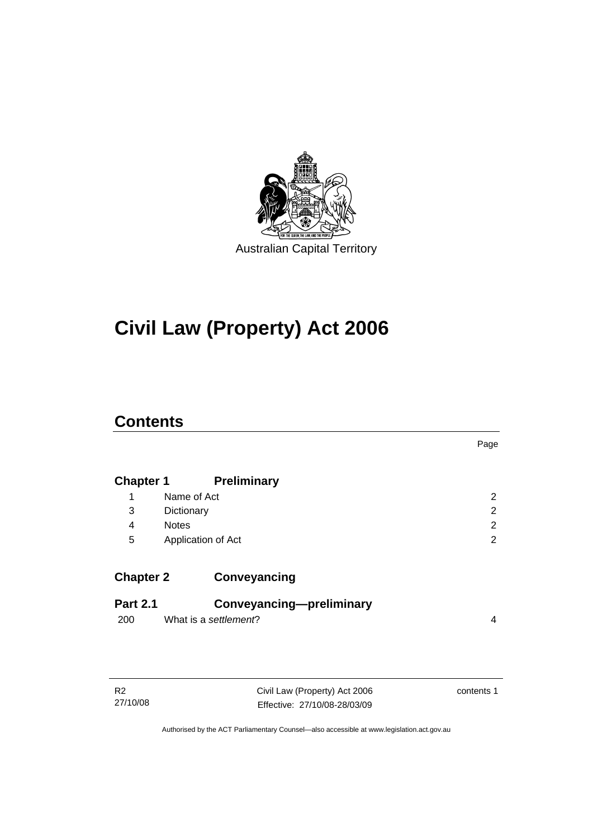

# **[Civil Law \(Property\) Act 2006](#page-10-0)**

# **Contents**

|                  |                          | Page           |
|------------------|--------------------------|----------------|
| <b>Chapter 1</b> | <b>Preliminary</b>       |                |
| 1                | Name of Act              | $\overline{2}$ |
| 3                | Dictionary               | 2              |
| 4                | <b>Notes</b>             | $\overline{2}$ |
| 5                | Application of Act       | 2              |
|                  |                          |                |
| <b>Chapter 2</b> | Conveyancing             |                |
| <b>Part 2.1</b>  | Conveyancing-preliminary |                |
| 200              | What is a settlement?    | 4              |
|                  |                          |                |

Civil Law (Property) Act 2006 Effective: 27/10/08-28/03/09 contents 1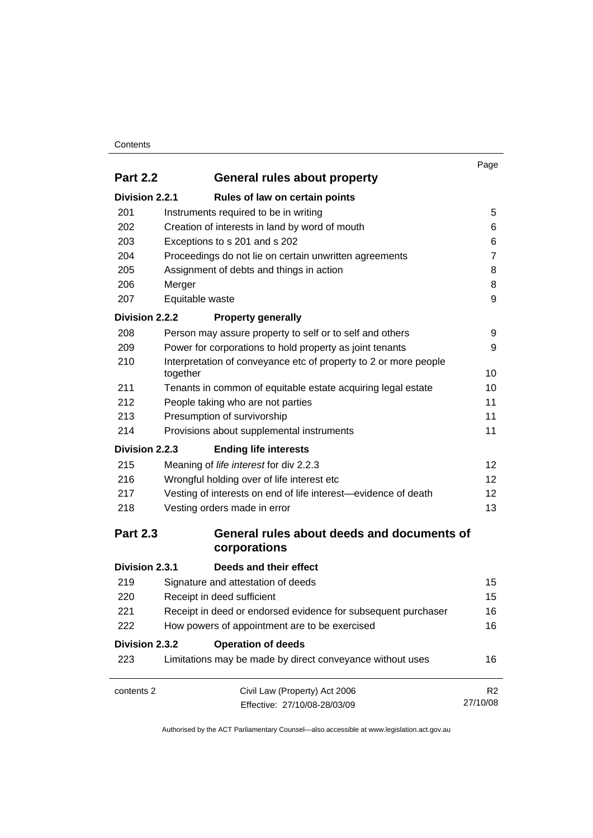#### **Contents**

| <b>Part 2.2</b> | General rules about property                                                 | Page            |  |
|-----------------|------------------------------------------------------------------------------|-----------------|--|
| Division 2.2.1  | Rules of law on certain points                                               |                 |  |
| 201             | Instruments required to be in writing                                        | 5               |  |
| 202             | Creation of interests in land by word of mouth                               | 6               |  |
| 203             | Exceptions to s 201 and s 202                                                | 6               |  |
| 204             | Proceedings do not lie on certain unwritten agreements                       | $\overline{7}$  |  |
| 205             | Assignment of debts and things in action                                     | 8               |  |
| 206             | Merger                                                                       | 8               |  |
| 207             | Equitable waste                                                              | 9               |  |
| Division 2.2.2  | <b>Property generally</b>                                                    |                 |  |
| 208             | Person may assure property to self or to self and others                     | 9               |  |
| 209             | Power for corporations to hold property as joint tenants                     | 9               |  |
| 210             | Interpretation of conveyance etc of property to 2 or more people<br>together | 10              |  |
| 211             | Tenants in common of equitable estate acquiring legal estate                 | 10              |  |
| 212             | People taking who are not parties                                            | 11              |  |
| 213             | Presumption of survivorship                                                  | 11              |  |
| 214             | Provisions about supplemental instruments                                    | 11              |  |
| Division 2.2.3  | <b>Ending life interests</b>                                                 |                 |  |
| 215             | Meaning of life interest for div 2.2.3                                       | 12              |  |
| 216             | Wrongful holding over of life interest etc                                   | 12 <sup>2</sup> |  |
| 217             | Vesting of interests on end of life interest—evidence of death               | 12 <sup>2</sup> |  |
| 218             | Vesting orders made in error                                                 |                 |  |
| <b>Part 2.3</b> | General rules about deeds and documents of<br>corporations                   |                 |  |
| Division 2.3.1  | Deeds and their effect                                                       |                 |  |
| 219             | Signature and attestation of deeds                                           | 15              |  |
| 220             | Receipt in deed sufficient                                                   | 15              |  |
| 221             | Receipt in deed or endorsed evidence for subsequent purchaser                | 16              |  |
| 222             | How powers of appointment are to be exercised                                | 16              |  |
| Division 2.3.2  | <b>Operation of deeds</b>                                                    |                 |  |
| 223             | Limitations may be made by direct conveyance without uses                    | 16              |  |
| contents 2      | Civil Law (Property) Act 2006                                                | R <sub>2</sub>  |  |
|                 | Effective: 27/10/08-28/03/09                                                 | 27/10/08        |  |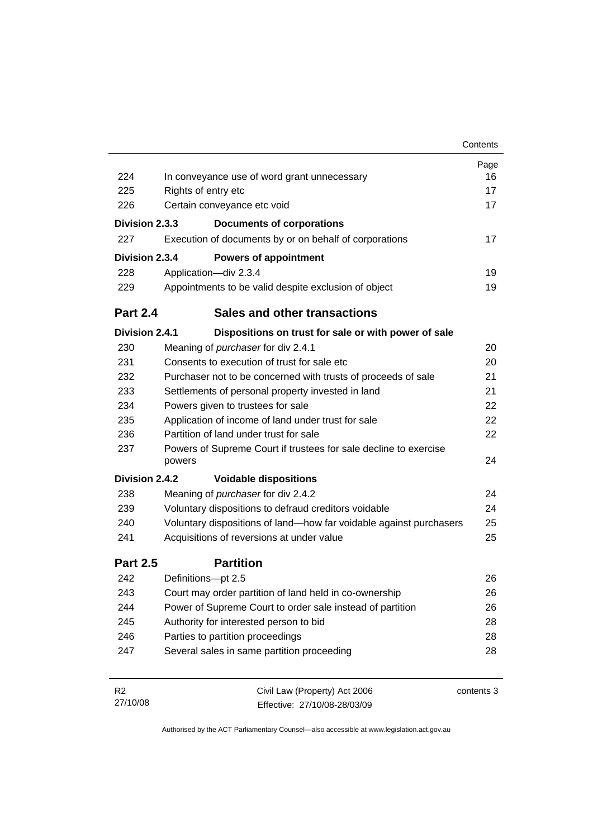|                 |                             |                                                                    | Contents   |
|-----------------|-----------------------------|--------------------------------------------------------------------|------------|
|                 |                             |                                                                    | Page       |
| 224             |                             | In conveyance use of word grant unnecessary                        | 16         |
| 225             | Rights of entry etc         |                                                                    | 17         |
| 226             | Certain conveyance etc void |                                                                    | 17         |
| Division 2.3.3  |                             | <b>Documents of corporations</b>                                   |            |
| 227             |                             | Execution of documents by or on behalf of corporations             | 17         |
| Division 2.3.4  |                             | <b>Powers of appointment</b>                                       |            |
| 228             |                             | Application-div 2.3.4                                              | 19         |
| 229             |                             | Appointments to be valid despite exclusion of object               | 19         |
| <b>Part 2.4</b> |                             | <b>Sales and other transactions</b>                                |            |
| Division 2.4.1  |                             | Dispositions on trust for sale or with power of sale               |            |
| 230             |                             | Meaning of purchaser for div 2.4.1                                 | 20         |
| 231             |                             | Consents to execution of trust for sale etc                        | 20         |
| 232             |                             | Purchaser not to be concerned with trusts of proceeds of sale      | 21         |
| 233             |                             | Settlements of personal property invested in land                  | 21         |
| 234             |                             | Powers given to trustees for sale                                  | 22         |
| 235             |                             | Application of income of land under trust for sale                 | 22         |
| 236             |                             | Partition of land under trust for sale                             | 22         |
| 237             | powers                      | Powers of Supreme Court if trustees for sale decline to exercise   | 24         |
| Division 2.4.2  |                             | <b>Voidable dispositions</b>                                       |            |
| 238             |                             | Meaning of purchaser for div 2.4.2                                 | 24         |
| 239             |                             | Voluntary dispositions to defraud creditors voidable               | 24         |
| 240             |                             | Voluntary dispositions of land-how far voidable against purchasers | 25         |
| 241             |                             | Acquisitions of reversions at under value                          | 25         |
| <b>Part 2.5</b> |                             | <b>Partition</b>                                                   |            |
| 242             |                             | Definitions-pt 2.5                                                 | 26         |
| 243             |                             | Court may order partition of land held in co-ownership             | 26         |
| 244             |                             | Power of Supreme Court to order sale instead of partition          | 26         |
| 245             |                             | Authority for interested person to bid                             | 28         |
| 246             |                             | Parties to partition proceedings                                   | 28         |
| 247             |                             | Several sales in same partition proceeding                         | 28         |
| R <sub>2</sub>  |                             | Civil Law (Property) Act 2006                                      | contents 3 |
| 27/10/08        |                             | Effective: 27/10/08-28/03/09                                       |            |

Effective: 27/10/08-28/03/09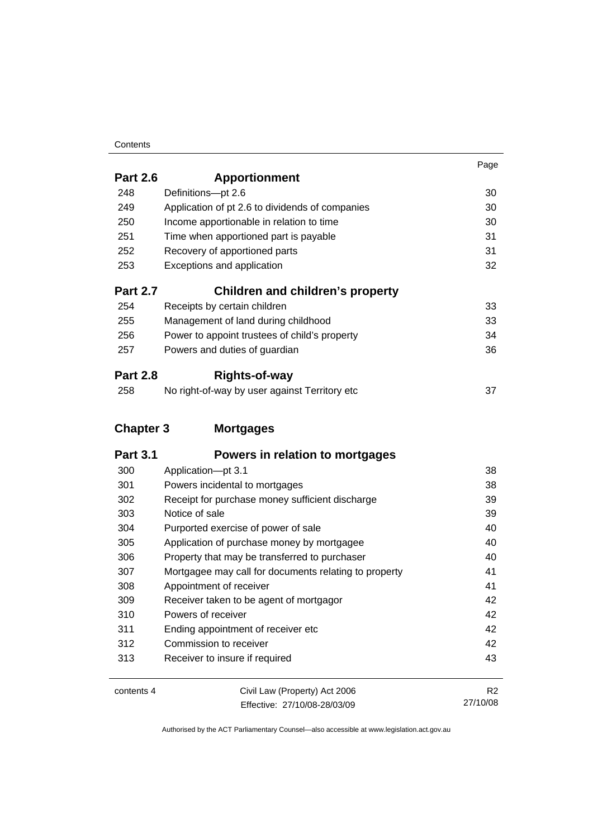#### **Contents**

|                  |                                                 | Page |
|------------------|-------------------------------------------------|------|
| <b>Part 2.6</b>  | <b>Apportionment</b>                            |      |
| 248              | Definitions-pt 2.6                              | 30   |
| 249              | Application of pt 2.6 to dividends of companies | 30   |
| 250              | Income apportionable in relation to time        | 30   |
| 251              | Time when apportioned part is payable           | 31   |
| 252              | Recovery of apportioned parts                   | 31   |
| 253              | Exceptions and application                      | 32   |
| <b>Part 2.7</b>  | <b>Children and children's property</b>         |      |
| 254              | Receipts by certain children                    | 33   |
| 255              | Management of land during childhood             | 33   |
| 256              | Power to appoint trustees of child's property   | 34   |
| 257              | Powers and duties of guardian                   | 36   |
| <b>Part 2.8</b>  | <b>Rights-of-way</b>                            |      |
| 258              | No right-of-way by user against Territory etc   | 37   |
| <b>Chapter 3</b> | <b>Mortgages</b>                                |      |
| <b>Part 3.1</b>  | Powers in relation to mortgages                 |      |
| 300              | Application-pt 3.1                              | 38   |
| 301              | Powers incidental to mortgages                  | 38   |
| 302              | Receipt for purchase money sufficient discharge | 39   |
| 303              | Notice of sale                                  | 39   |
| 304              | Purported exercise of power of sale             | 40   |

| contents 4 | Civil Law (Property) Act 2006 |          |
|------------|-------------------------------|----------|
|            | Effective: 27/10/08-28/03/09  | 27/10/08 |

 Application of purchase money by mortgagee [40](#page-49-0) Property that may be transferred to purchaser [40](#page-49-0) Mortgagee may call for documents relating to property [41](#page-50-0) 308 Appointment of receiver [41](#page-50-0) Receiver taken to be agent of mortgagor [42](#page-51-0) 310 Powers of receiver **120 Aprovements** 2[42](#page-51-0) Ending appointment of receiver etc [42](#page-51-0) 312 Commission to receiver **120 Commission** to receiver **12** Receiver to insure if required [43](#page-52-0)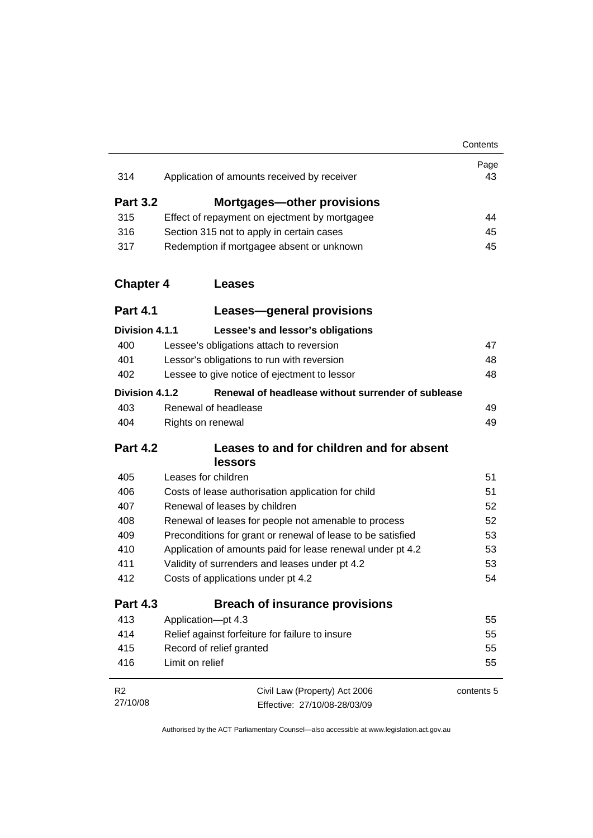| 314              | Application of amounts received by receiver                 | Page<br>43 |
|------------------|-------------------------------------------------------------|------------|
| <b>Part 3.2</b>  | <b>Mortgages-other provisions</b>                           |            |
| 315              | Effect of repayment on ejectment by mortgagee               | 44         |
| 316              | Section 315 not to apply in certain cases                   | 45         |
| 317              | Redemption if mortgagee absent or unknown                   | 45         |
| <b>Chapter 4</b> | <b>Leases</b>                                               |            |
| <b>Part 4.1</b>  | Leases-general provisions                                   |            |
| Division 4.1.1   | Lessee's and lessor's obligations                           |            |
| 400              | Lessee's obligations attach to reversion                    | 47         |
| 401              | Lessor's obligations to run with reversion                  | 48         |
| 402              | Lessee to give notice of ejectment to lessor                | 48         |
| Division 4.1.2   | Renewal of headlease without surrender of sublease          |            |
| 403              | Renewal of headlease                                        | 49         |
| 404              | Rights on renewal                                           | 49         |
| <b>Part 4.2</b>  | Leases to and for children and for absent<br>lessors        |            |
| 405              | Leases for children                                         | 51         |
| 406              | Costs of lease authorisation application for child          | 51         |
| 407              | Renewal of leases by children                               | 52         |
| 408              | Renewal of leases for people not amenable to process        | 52         |
| 409              | Preconditions for grant or renewal of lease to be satisfied | 53         |
| 410              | Application of amounts paid for lease renewal under pt 4.2  | 53         |
| 411              | Validity of surrenders and leases under pt 4.2              | 53         |
| 412              | Costs of applications under pt 4.2                          | 54         |
| <b>Part 4.3</b>  | <b>Breach of insurance provisions</b>                       |            |
| 413              | Application-pt 4.3                                          | 55         |
| 414              | Relief against forfeiture for failure to insure             | 55         |
| 415              | Record of relief granted                                    | 55         |
| 416              | Limit on relief                                             | 55         |
| R <sub>2</sub>   | Civil Law (Property) Act 2006                               | contents 5 |
| 27/10/08         | Effective: 27/10/08-28/03/09                                |            |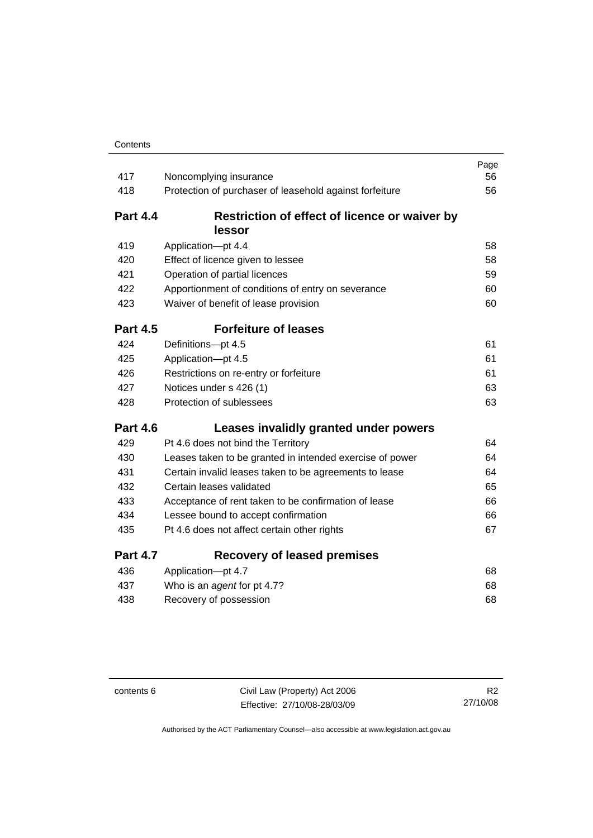| 417             | Noncomplying insurance                                   | Page<br>56 |
|-----------------|----------------------------------------------------------|------------|
| 418             | Protection of purchaser of leasehold against forfeiture  | 56         |
|                 |                                                          |            |
| <b>Part 4.4</b> | Restriction of effect of licence or waiver by            |            |
|                 | lessor                                                   |            |
| 419             | Application-pt 4.4                                       | 58         |
| 420             | Effect of licence given to lessee                        | 58         |
| 421             | Operation of partial licences                            | 59         |
| 422             | Apportionment of conditions of entry on severance        | 60         |
| 423             | Waiver of benefit of lease provision                     | 60         |
| <b>Part 4.5</b> | <b>Forfeiture of leases</b>                              |            |
| 424             | Definitions-pt 4.5                                       | 61         |
| 425             | Application-pt 4.5                                       | 61         |
| 426             | Restrictions on re-entry or forfeiture                   | 61         |
| 427             | Notices under s 426 (1)                                  | 63         |
| 428             | Protection of sublessees                                 | 63         |
| <b>Part 4.6</b> | Leases invalidly granted under powers                    |            |
| 429             | Pt 4.6 does not bind the Territory                       | 64         |
| 430             | Leases taken to be granted in intended exercise of power | 64         |
| 431             | Certain invalid leases taken to be agreements to lease   | 64         |
| 432             | Certain leases validated                                 | 65         |
| 433             | Acceptance of rent taken to be confirmation of lease     | 66         |
| 434             | Lessee bound to accept confirmation                      | 66         |
| 435             | Pt 4.6 does not affect certain other rights              | 67         |
| <b>Part 4.7</b> | <b>Recovery of leased premises</b>                       |            |
| 436             | Application-pt 4.7                                       | 68         |
| 437             | Who is an agent for pt 4.7?                              | 68         |
| 438             | Recovery of possession                                   | 68         |

contents 6 Civil Law (Property) Act 2006 Effective: 27/10/08-28/03/09

R2 27/10/08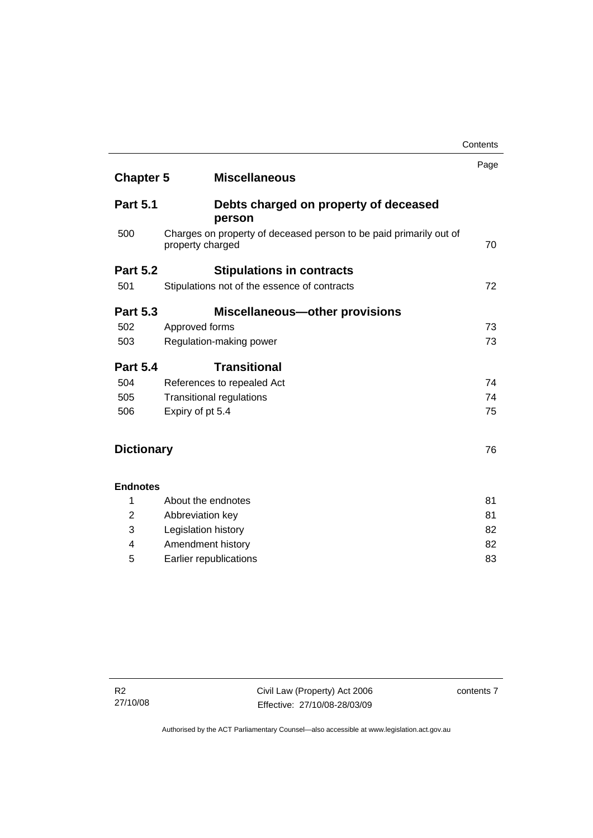|                   |                                                                                        | Page |
|-------------------|----------------------------------------------------------------------------------------|------|
| <b>Chapter 5</b>  | <b>Miscellaneous</b>                                                                   |      |
| <b>Part 5.1</b>   | Debts charged on property of deceased<br>person                                        |      |
| 500               | Charges on property of deceased person to be paid primarily out of<br>property charged | 70   |
| <b>Part 5.2</b>   | <b>Stipulations in contracts</b>                                                       |      |
| 501               | Stipulations not of the essence of contracts                                           | 72   |
| <b>Part 5.3</b>   | <b>Miscellaneous-other provisions</b>                                                  |      |
| 502               | Approved forms                                                                         | 73   |
| 503               | Regulation-making power                                                                | 73   |
| <b>Part 5.4</b>   | <b>Transitional</b>                                                                    |      |
| 504               | References to repealed Act                                                             | 74   |
| 505               | <b>Transitional regulations</b>                                                        | 74   |
| 506               | Expiry of pt 5.4                                                                       | 75   |
| <b>Dictionary</b> |                                                                                        | 76   |
| <b>Endnotes</b>   |                                                                                        |      |
| 1                 | About the endnotes                                                                     | 81   |
| 2                 | Abbreviation key                                                                       | 81   |
| 3                 | Legislation history                                                                    | 82   |
| 4                 | Amendment history                                                                      | 82   |

5 Earlier republications [83](#page-92-0)

**Contents**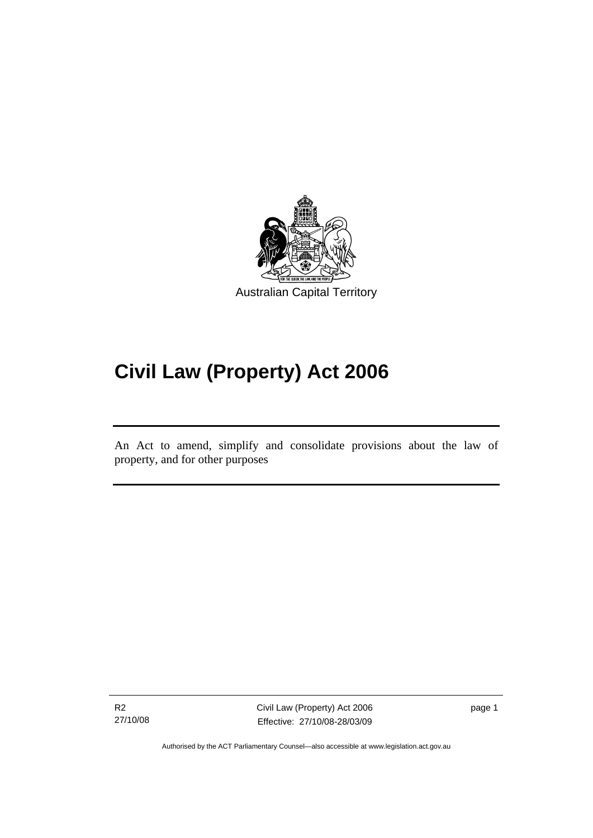<span id="page-10-0"></span>

# **Civil Law (Property) Act 2006**

An Act to amend, simplify and consolidate provisions about the law of property, and for other purposes

Ī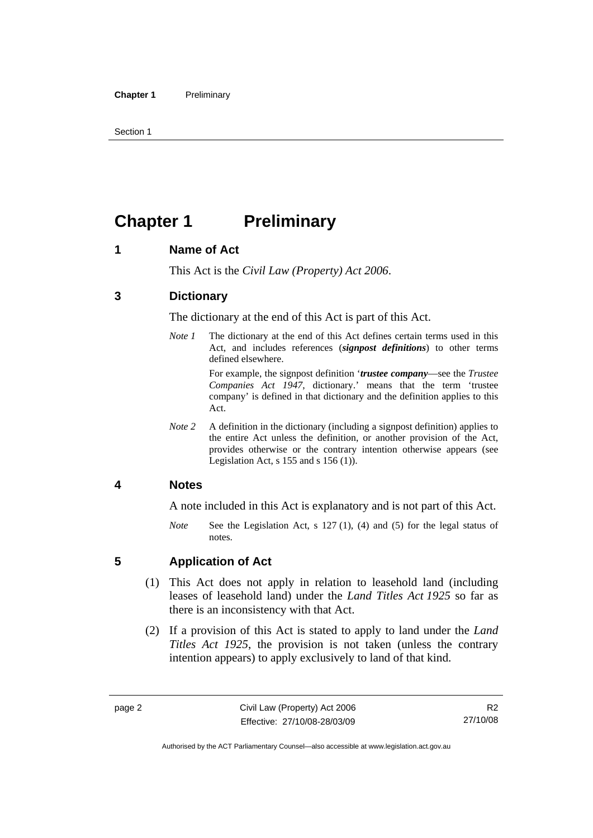<span id="page-11-0"></span>Section 1

# **Chapter 1** Preliminary

## **1 Name of Act**

This Act is the *Civil Law (Property) Act 2006*.

## **3 Dictionary**

The dictionary at the end of this Act is part of this Act.

*Note 1* The dictionary at the end of this Act defines certain terms used in this Act, and includes references (*signpost definitions*) to other terms defined elsewhere.

> For example, the signpost definition '*trustee company*—see the *Trustee Companies Act 1947*, dictionary.' means that the term 'trustee company' is defined in that dictionary and the definition applies to this Act.

*Note 2* A definition in the dictionary (including a signpost definition) applies to the entire Act unless the definition, or another provision of the Act, provides otherwise or the contrary intention otherwise appears (see Legislation Act, s 155 and s 156 (1)).

#### **4 Notes**

A note included in this Act is explanatory and is not part of this Act.

*Note* See the Legislation Act, s 127 (1), (4) and (5) for the legal status of notes.

#### **5 Application of Act**

- (1) This Act does not apply in relation to leasehold land (including leases of leasehold land) under the *Land Titles Act 1925* so far as there is an inconsistency with that Act.
- (2) If a provision of this Act is stated to apply to land under the *Land Titles Act 1925*, the provision is not taken (unless the contrary intention appears) to apply exclusively to land of that kind.

R2 27/10/08

Authorised by the ACT Parliamentary Counsel—also accessible at www.legislation.act.gov.au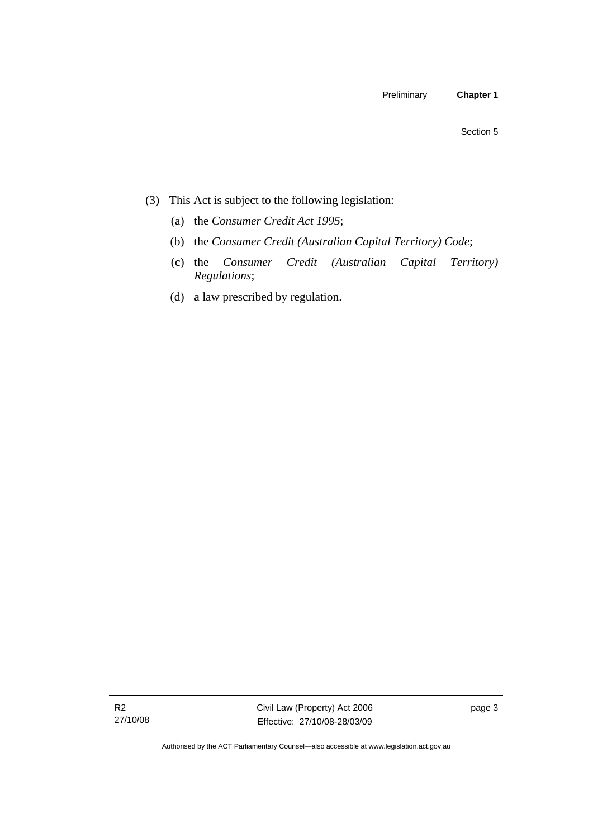- (3) This Act is subject to the following legislation:
	- (a) the *Consumer Credit Act 1995*;
	- (b) the *Consumer Credit (Australian Capital Territory) Code*;
	- (c) the *Consumer Credit (Australian Capital Territory) Regulations*;
	- (d) a law prescribed by regulation.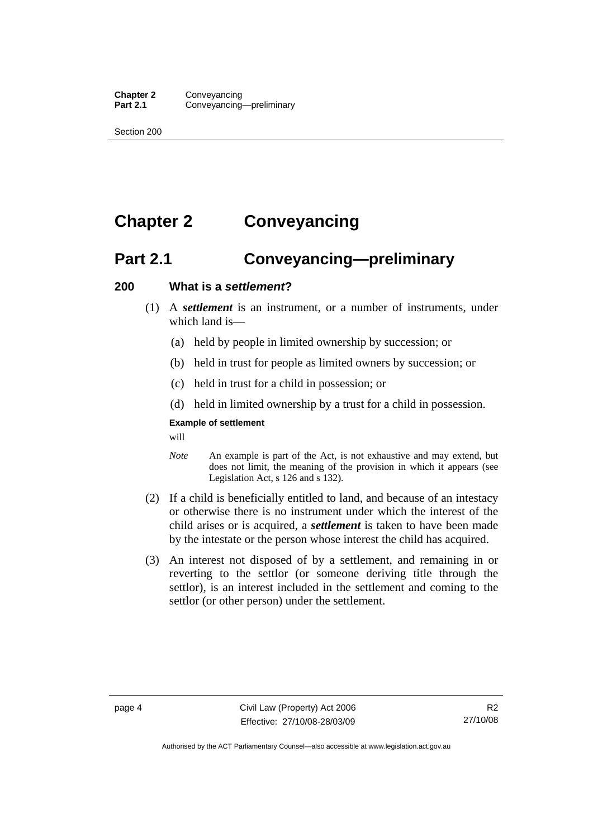<span id="page-13-0"></span>Section 200

# **Chapter 2 Conveyancing**

# **Part 2.1 Conveyancing—preliminary**

#### **200 What is a** *settlement***?**

- (1) A *settlement* is an instrument, or a number of instruments, under which land is-
	- (a) held by people in limited ownership by succession; or
	- (b) held in trust for people as limited owners by succession; or
	- (c) held in trust for a child in possession; or
	- (d) held in limited ownership by a trust for a child in possession.

#### **Example of settlement**

will

- *Note* An example is part of the Act, is not exhaustive and may extend, but does not limit, the meaning of the provision in which it appears (see Legislation Act, s 126 and s 132).
- (2) If a child is beneficially entitled to land, and because of an intestacy or otherwise there is no instrument under which the interest of the child arises or is acquired, a *settlement* is taken to have been made by the intestate or the person whose interest the child has acquired.
- (3) An interest not disposed of by a settlement, and remaining in or reverting to the settlor (or someone deriving title through the settlor), is an interest included in the settlement and coming to the settlor (or other person) under the settlement.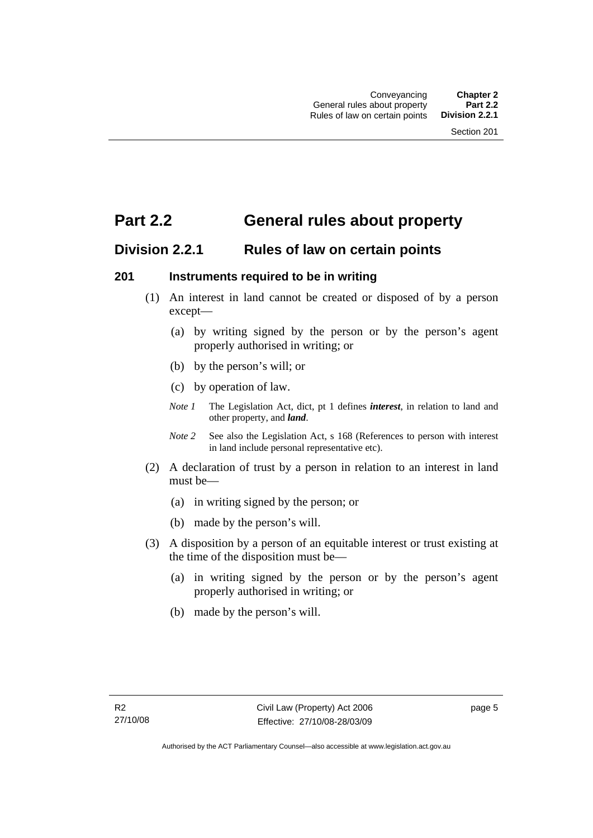## <span id="page-14-0"></span>**Part 2.2 General rules about property**

## **Division 2.2.1 Rules of law on certain points**

#### **201 Instruments required to be in writing**

- (1) An interest in land cannot be created or disposed of by a person except—
	- (a) by writing signed by the person or by the person's agent properly authorised in writing; or
	- (b) by the person's will; or
	- (c) by operation of law.
	- *Note 1* The Legislation Act, dict, pt 1 defines *interest*, in relation to land and other property, and *land*.
	- *Note 2* See also the Legislation Act, s 168 (References to person with interest in land include personal representative etc).
- (2) A declaration of trust by a person in relation to an interest in land must be—
	- (a) in writing signed by the person; or
	- (b) made by the person's will.
- (3) A disposition by a person of an equitable interest or trust existing at the time of the disposition must be—
	- (a) in writing signed by the person or by the person's agent properly authorised in writing; or
	- (b) made by the person's will.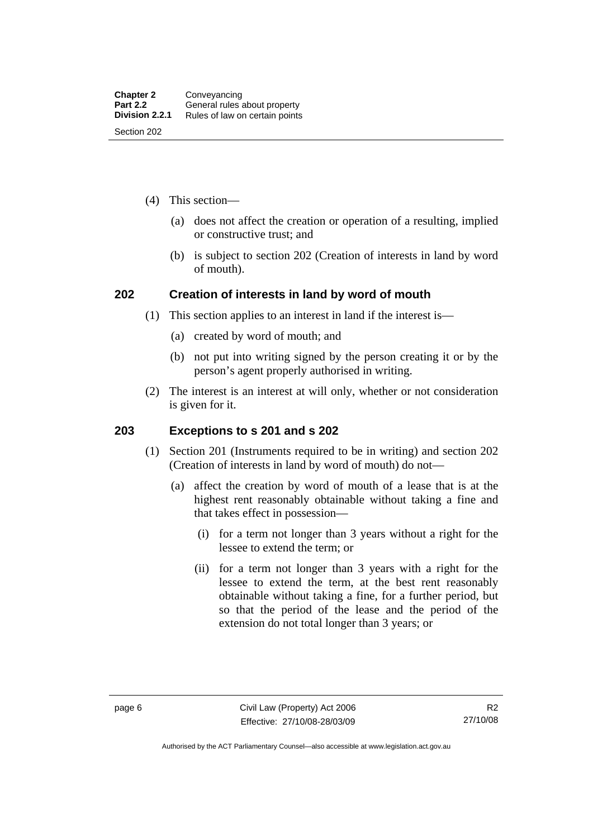- <span id="page-15-0"></span> (4) This section—
	- (a) does not affect the creation or operation of a resulting, implied or constructive trust; and
	- (b) is subject to section 202 (Creation of interests in land by word of mouth).

#### **202 Creation of interests in land by word of mouth**

- (1) This section applies to an interest in land if the interest is—
	- (a) created by word of mouth; and
	- (b) not put into writing signed by the person creating it or by the person's agent properly authorised in writing.
- (2) The interest is an interest at will only, whether or not consideration is given for it.

#### **203 Exceptions to s 201 and s 202**

- (1) Section 201 (Instruments required to be in writing) and section 202 (Creation of interests in land by word of mouth) do not—
	- (a) affect the creation by word of mouth of a lease that is at the highest rent reasonably obtainable without taking a fine and that takes effect in possession—
		- (i) for a term not longer than 3 years without a right for the lessee to extend the term; or
		- (ii) for a term not longer than 3 years with a right for the lessee to extend the term, at the best rent reasonably obtainable without taking a fine, for a further period, but so that the period of the lease and the period of the extension do not total longer than 3 years; or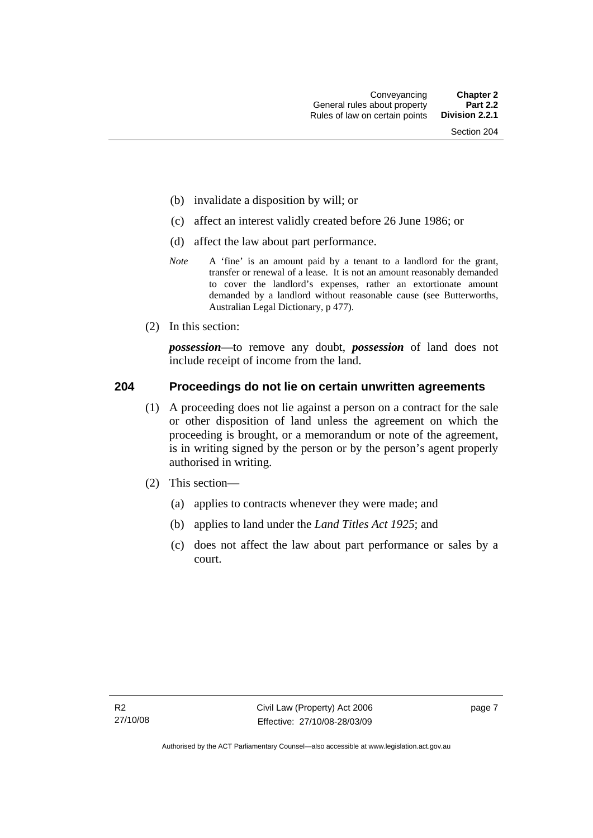- <span id="page-16-0"></span>(b) invalidate a disposition by will; or
- (c) affect an interest validly created before 26 June 1986; or
- (d) affect the law about part performance.
- *Note* A 'fine' is an amount paid by a tenant to a landlord for the grant, transfer or renewal of a lease. It is not an amount reasonably demanded to cover the landlord's expenses, rather an extortionate amount demanded by a landlord without reasonable cause (see Butterworths, Australian Legal Dictionary, p 477).
- (2) In this section:

*possession*—to remove any doubt, *possession* of land does not include receipt of income from the land.

#### **204 Proceedings do not lie on certain unwritten agreements**

- (1) A proceeding does not lie against a person on a contract for the sale or other disposition of land unless the agreement on which the proceeding is brought, or a memorandum or note of the agreement, is in writing signed by the person or by the person's agent properly authorised in writing.
- (2) This section—
	- (a) applies to contracts whenever they were made; and
	- (b) applies to land under the *Land Titles Act 1925*; and
	- (c) does not affect the law about part performance or sales by a court.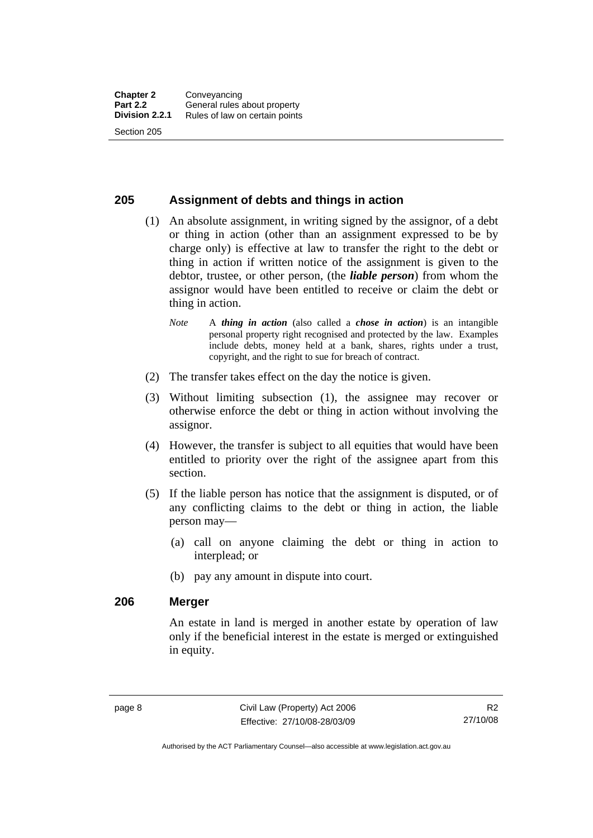#### <span id="page-17-0"></span>**205 Assignment of debts and things in action**

- (1) An absolute assignment, in writing signed by the assignor, of a debt or thing in action (other than an assignment expressed to be by charge only) is effective at law to transfer the right to the debt or thing in action if written notice of the assignment is given to the debtor, trustee, or other person, (the *liable person*) from whom the assignor would have been entitled to receive or claim the debt or thing in action.
	- *Note* A *thing in action* (also called a *chose in action*) is an intangible personal property right recognised and protected by the law. Examples include debts, money held at a bank, shares, rights under a trust, copyright, and the right to sue for breach of contract.
- (2) The transfer takes effect on the day the notice is given.
- (3) Without limiting subsection (1), the assignee may recover or otherwise enforce the debt or thing in action without involving the assignor.
- (4) However, the transfer is subject to all equities that would have been entitled to priority over the right of the assignee apart from this section.
- (5) If the liable person has notice that the assignment is disputed, or of any conflicting claims to the debt or thing in action, the liable person may—
	- (a) call on anyone claiming the debt or thing in action to interplead; or
	- (b) pay any amount in dispute into court.

#### **206 Merger**

An estate in land is merged in another estate by operation of law only if the beneficial interest in the estate is merged or extinguished in equity.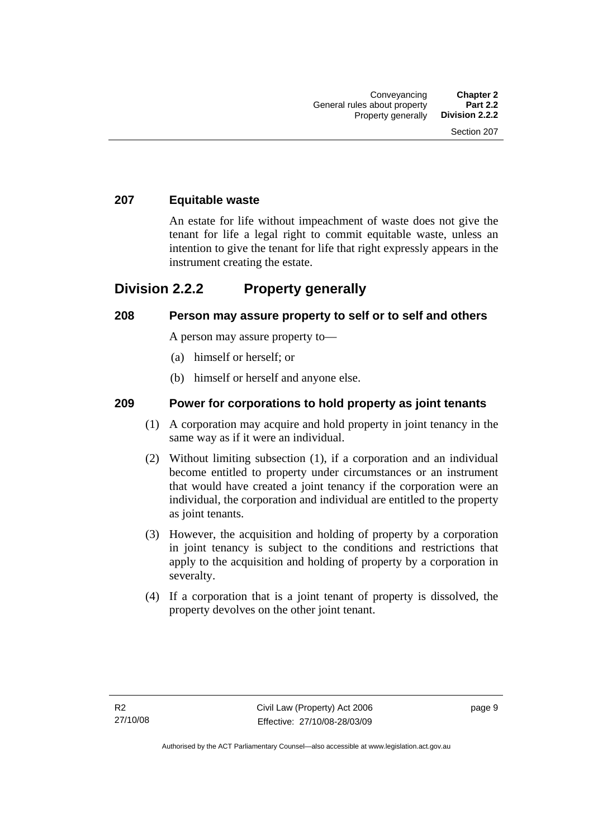#### <span id="page-18-0"></span>**207 Equitable waste**

An estate for life without impeachment of waste does not give the tenant for life a legal right to commit equitable waste, unless an intention to give the tenant for life that right expressly appears in the instrument creating the estate.

## **Division 2.2.2 Property generally**

#### **208 Person may assure property to self or to self and others**

A person may assure property to—

- (a) himself or herself; or
- (b) himself or herself and anyone else.

#### **209 Power for corporations to hold property as joint tenants**

- (1) A corporation may acquire and hold property in joint tenancy in the same way as if it were an individual.
- (2) Without limiting subsection (1), if a corporation and an individual become entitled to property under circumstances or an instrument that would have created a joint tenancy if the corporation were an individual, the corporation and individual are entitled to the property as joint tenants.
- (3) However, the acquisition and holding of property by a corporation in joint tenancy is subject to the conditions and restrictions that apply to the acquisition and holding of property by a corporation in severalty.
- (4) If a corporation that is a joint tenant of property is dissolved, the property devolves on the other joint tenant.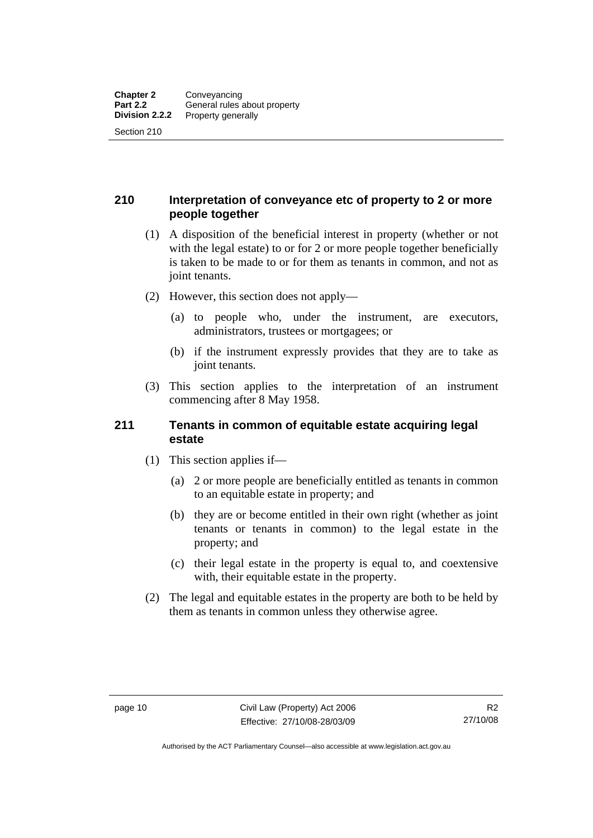### <span id="page-19-0"></span>**210 Interpretation of conveyance etc of property to 2 or more people together**

- (1) A disposition of the beneficial interest in property (whether or not with the legal estate) to or for 2 or more people together beneficially is taken to be made to or for them as tenants in common, and not as joint tenants.
- (2) However, this section does not apply—
	- (a) to people who, under the instrument, are executors, administrators, trustees or mortgagees; or
	- (b) if the instrument expressly provides that they are to take as joint tenants.
- (3) This section applies to the interpretation of an instrument commencing after 8 May 1958.

#### **211 Tenants in common of equitable estate acquiring legal estate**

- (1) This section applies if—
	- (a) 2 or more people are beneficially entitled as tenants in common to an equitable estate in property; and
	- (b) they are or become entitled in their own right (whether as joint tenants or tenants in common) to the legal estate in the property; and
	- (c) their legal estate in the property is equal to, and coextensive with, their equitable estate in the property.
- (2) The legal and equitable estates in the property are both to be held by them as tenants in common unless they otherwise agree.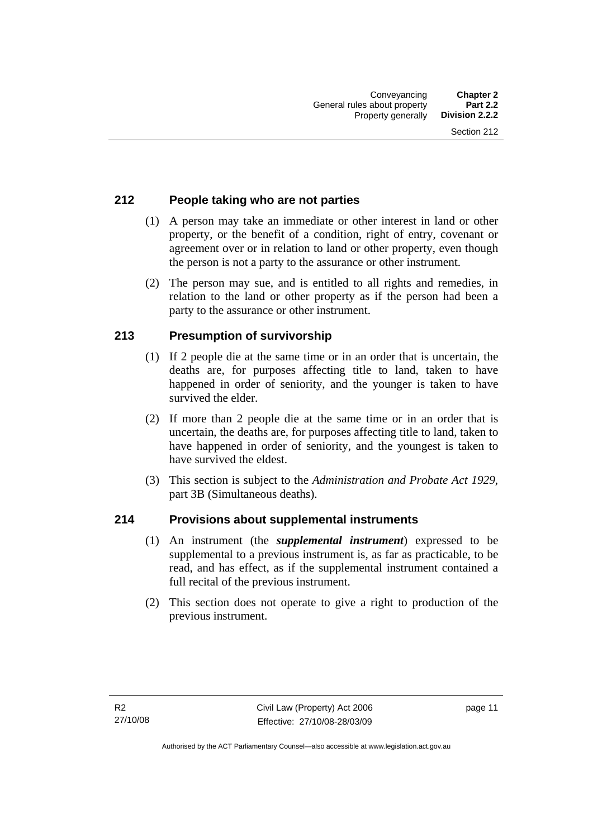### <span id="page-20-0"></span>**212 People taking who are not parties**

- (1) A person may take an immediate or other interest in land or other property, or the benefit of a condition, right of entry, covenant or agreement over or in relation to land or other property, even though the person is not a party to the assurance or other instrument.
- (2) The person may sue, and is entitled to all rights and remedies, in relation to the land or other property as if the person had been a party to the assurance or other instrument.

## **213 Presumption of survivorship**

- (1) If 2 people die at the same time or in an order that is uncertain, the deaths are, for purposes affecting title to land, taken to have happened in order of seniority, and the younger is taken to have survived the elder.
- (2) If more than 2 people die at the same time or in an order that is uncertain, the deaths are, for purposes affecting title to land, taken to have happened in order of seniority, and the youngest is taken to have survived the eldest.
- (3) This section is subject to the *Administration and Probate Act 1929*, part 3B (Simultaneous deaths).

#### **214 Provisions about supplemental instruments**

- (1) An instrument (the *supplemental instrument*) expressed to be supplemental to a previous instrument is, as far as practicable, to be read, and has effect, as if the supplemental instrument contained a full recital of the previous instrument.
- (2) This section does not operate to give a right to production of the previous instrument.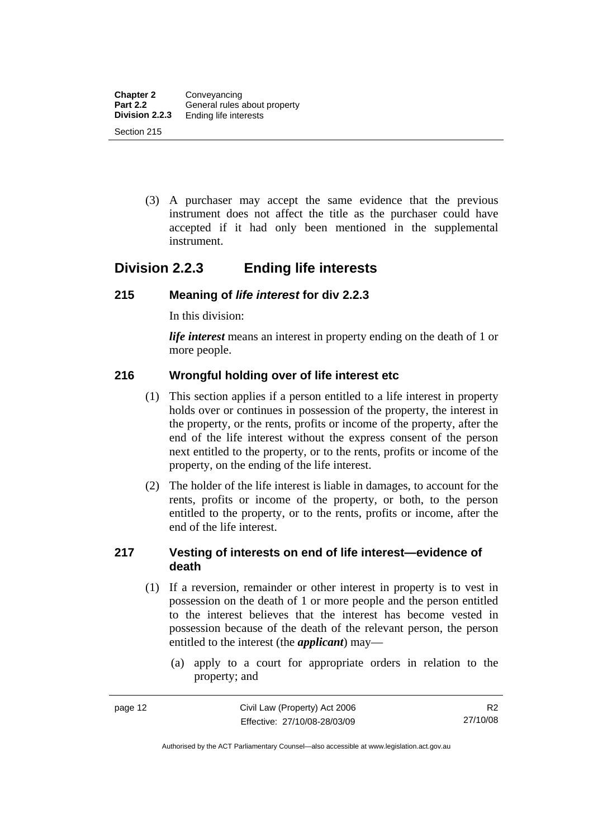<span id="page-21-0"></span> (3) A purchaser may accept the same evidence that the previous instrument does not affect the title as the purchaser could have accepted if it had only been mentioned in the supplemental instrument.

## **Division 2.2.3 Ending life interests**

#### **215 Meaning of** *life interest* **for div 2.2.3**

In this division:

*life interest* means an interest in property ending on the death of 1 or more people.

#### **216 Wrongful holding over of life interest etc**

- (1) This section applies if a person entitled to a life interest in property holds over or continues in possession of the property, the interest in the property, or the rents, profits or income of the property, after the end of the life interest without the express consent of the person next entitled to the property, or to the rents, profits or income of the property, on the ending of the life interest.
- (2) The holder of the life interest is liable in damages, to account for the rents, profits or income of the property, or both, to the person entitled to the property, or to the rents, profits or income, after the end of the life interest.

#### **217 Vesting of interests on end of life interest—evidence of death**

- (1) If a reversion, remainder or other interest in property is to vest in possession on the death of 1 or more people and the person entitled to the interest believes that the interest has become vested in possession because of the death of the relevant person, the person entitled to the interest (the *applicant*) may—
	- (a) apply to a court for appropriate orders in relation to the property; and

Authorised by the ACT Parliamentary Counsel—also accessible at www.legislation.act.gov.au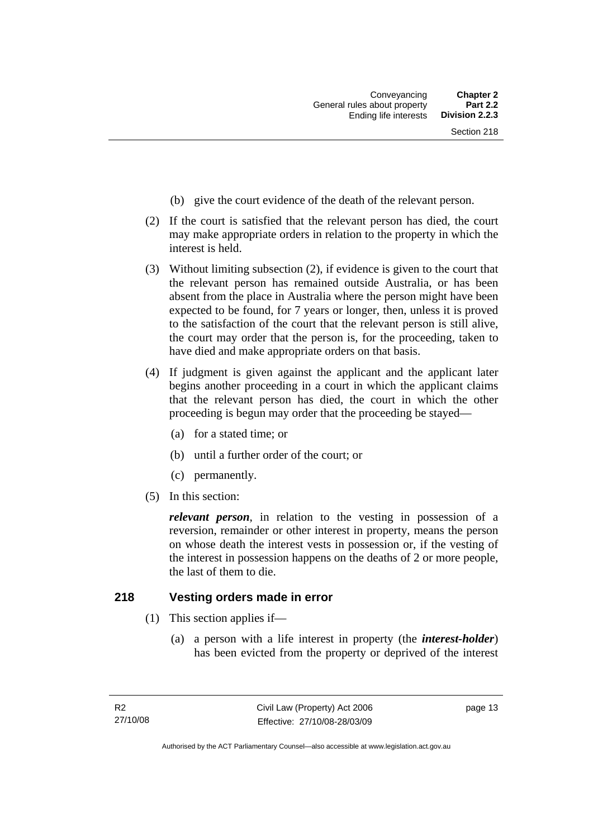- <span id="page-22-0"></span>(b) give the court evidence of the death of the relevant person.
- (2) If the court is satisfied that the relevant person has died, the court may make appropriate orders in relation to the property in which the interest is held.
- (3) Without limiting subsection (2), if evidence is given to the court that the relevant person has remained outside Australia, or has been absent from the place in Australia where the person might have been expected to be found, for 7 years or longer, then, unless it is proved to the satisfaction of the court that the relevant person is still alive, the court may order that the person is, for the proceeding, taken to have died and make appropriate orders on that basis.
- (4) If judgment is given against the applicant and the applicant later begins another proceeding in a court in which the applicant claims that the relevant person has died, the court in which the other proceeding is begun may order that the proceeding be stayed—
	- (a) for a stated time; or
	- (b) until a further order of the court; or
	- (c) permanently.
- (5) In this section:

*relevant person*, in relation to the vesting in possession of a reversion, remainder or other interest in property, means the person on whose death the interest vests in possession or, if the vesting of the interest in possession happens on the deaths of 2 or more people, the last of them to die.

#### **218 Vesting orders made in error**

- (1) This section applies if—
	- (a) a person with a life interest in property (the *interest-holder*) has been evicted from the property or deprived of the interest

page 13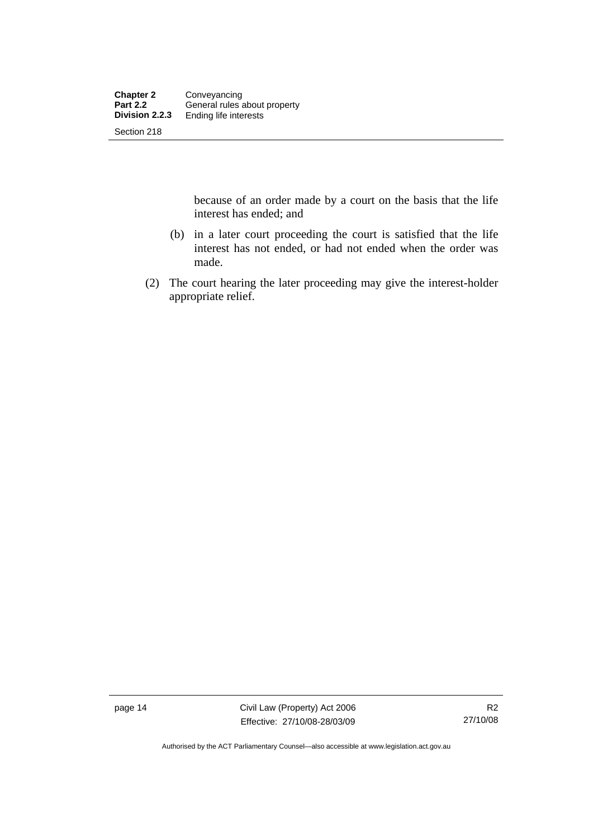because of an order made by a court on the basis that the life interest has ended; and

- (b) in a later court proceeding the court is satisfied that the life interest has not ended, or had not ended when the order was made.
- (2) The court hearing the later proceeding may give the interest-holder appropriate relief.

page 14 Civil Law (Property) Act 2006 Effective: 27/10/08-28/03/09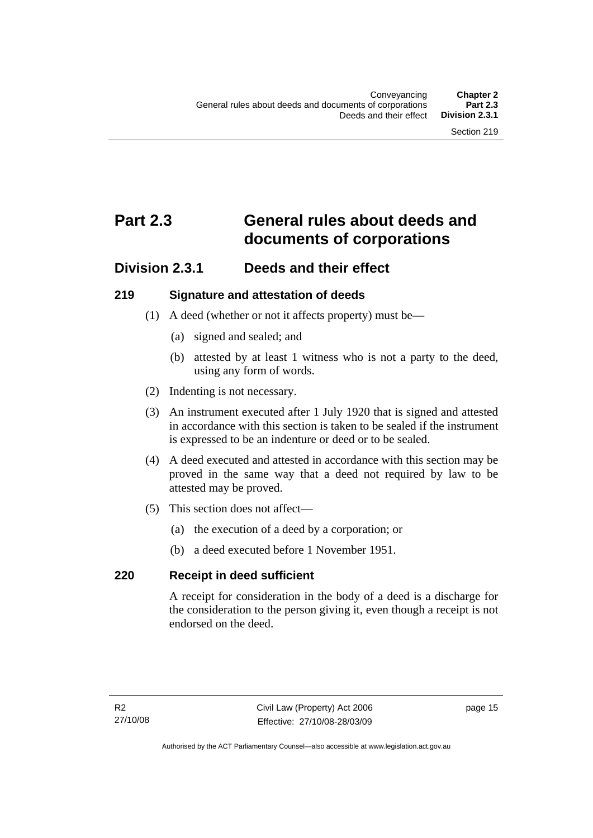# <span id="page-24-0"></span>**Part 2.3 General rules about deeds and documents of corporations**

## **Division 2.3.1 Deeds and their effect**

#### **219 Signature and attestation of deeds**

- (1) A deed (whether or not it affects property) must be—
	- (a) signed and sealed; and
	- (b) attested by at least 1 witness who is not a party to the deed, using any form of words.
- (2) Indenting is not necessary.
- (3) An instrument executed after 1 July 1920 that is signed and attested in accordance with this section is taken to be sealed if the instrument is expressed to be an indenture or deed or to be sealed.
- (4) A deed executed and attested in accordance with this section may be proved in the same way that a deed not required by law to be attested may be proved.
- (5) This section does not affect—
	- (a) the execution of a deed by a corporation; or
	- (b) a deed executed before 1 November 1951.

#### **220 Receipt in deed sufficient**

A receipt for consideration in the body of a deed is a discharge for the consideration to the person giving it, even though a receipt is not endorsed on the deed.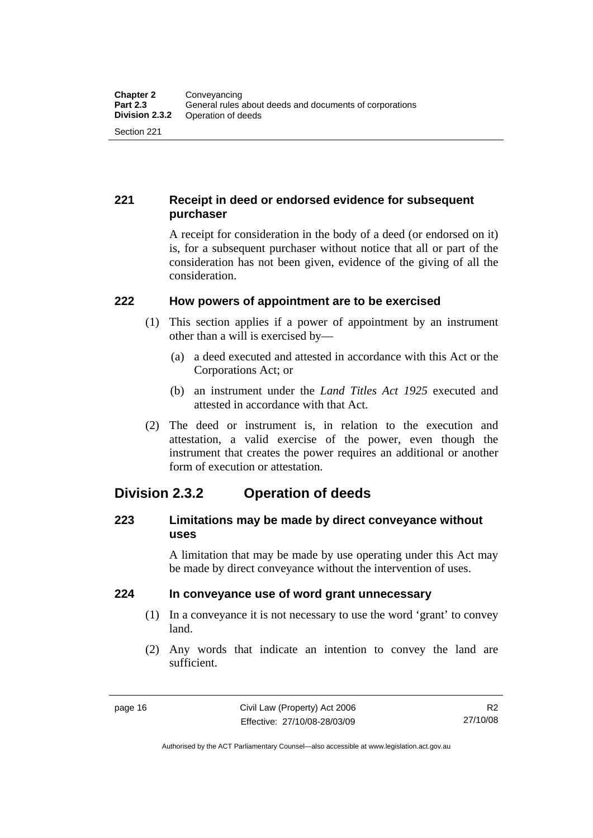## <span id="page-25-0"></span>**221 Receipt in deed or endorsed evidence for subsequent purchaser**

A receipt for consideration in the body of a deed (or endorsed on it) is, for a subsequent purchaser without notice that all or part of the consideration has not been given, evidence of the giving of all the consideration.

#### **222 How powers of appointment are to be exercised**

- (1) This section applies if a power of appointment by an instrument other than a will is exercised by—
	- (a) a deed executed and attested in accordance with this Act or the Corporations Act; or
	- (b) an instrument under the *Land Titles Act 1925* executed and attested in accordance with that Act.
- (2) The deed or instrument is, in relation to the execution and attestation, a valid exercise of the power, even though the instrument that creates the power requires an additional or another form of execution or attestation.

## **Division 2.3.2 Operation of deeds**

#### **223 Limitations may be made by direct conveyance without uses**

A limitation that may be made by use operating under this Act may be made by direct conveyance without the intervention of uses.

## **224 In conveyance use of word grant unnecessary**

- (1) In a conveyance it is not necessary to use the word 'grant' to convey land.
- (2) Any words that indicate an intention to convey the land are sufficient.

Authorised by the ACT Parliamentary Counsel—also accessible at www.legislation.act.gov.au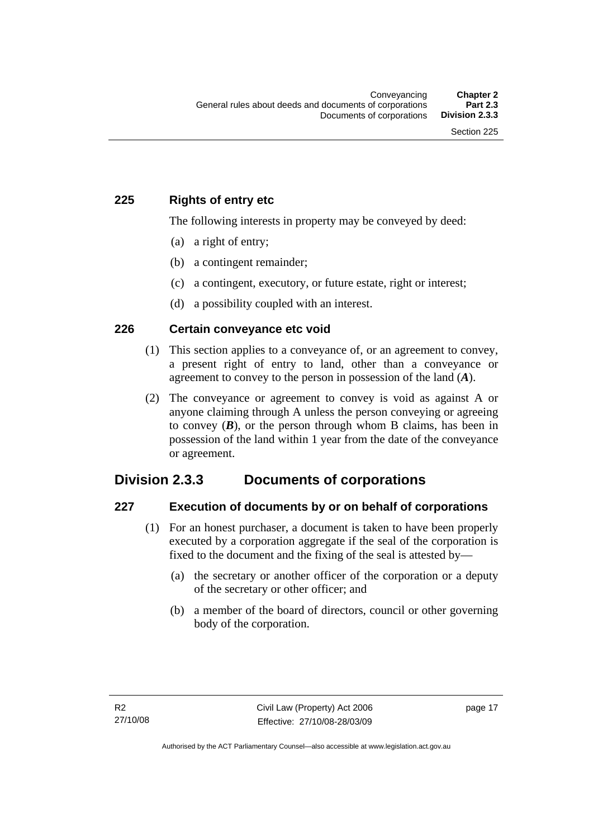#### <span id="page-26-0"></span>**225 Rights of entry etc**

The following interests in property may be conveyed by deed:

- (a) a right of entry;
- (b) a contingent remainder;
- (c) a contingent, executory, or future estate, right or interest;
- (d) a possibility coupled with an interest.

#### **226 Certain conveyance etc void**

- (1) This section applies to a conveyance of, or an agreement to convey, a present right of entry to land, other than a conveyance or agreement to convey to the person in possession of the land (*A*).
- (2) The conveyance or agreement to convey is void as against A or anyone claiming through A unless the person conveying or agreeing to convey  $(B)$ , or the person through whom B claims, has been in possession of the land within 1 year from the date of the conveyance or agreement.

## **Division 2.3.3 Documents of corporations**

#### **227 Execution of documents by or on behalf of corporations**

- (1) For an honest purchaser, a document is taken to have been properly executed by a corporation aggregate if the seal of the corporation is fixed to the document and the fixing of the seal is attested by—
	- (a) the secretary or another officer of the corporation or a deputy of the secretary or other officer; and
	- (b) a member of the board of directors, council or other governing body of the corporation.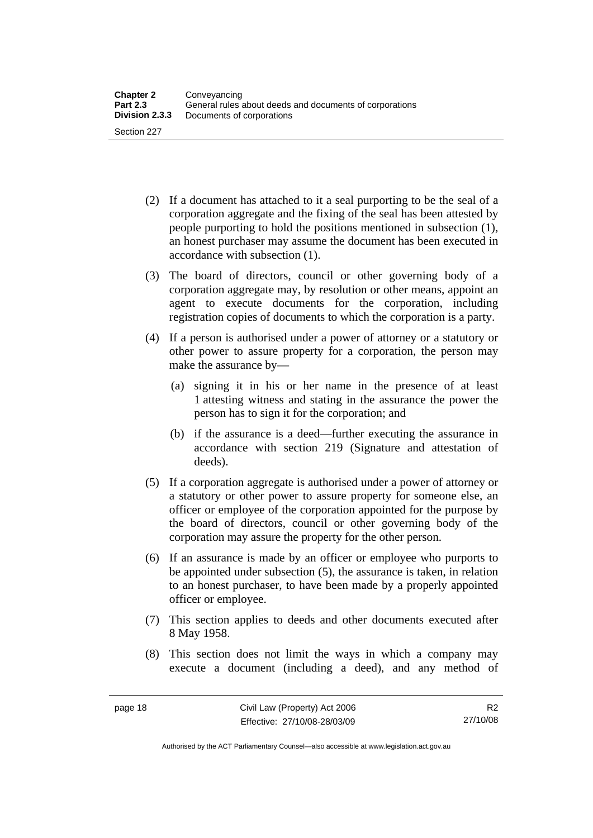- (2) If a document has attached to it a seal purporting to be the seal of a corporation aggregate and the fixing of the seal has been attested by people purporting to hold the positions mentioned in subsection (1), an honest purchaser may assume the document has been executed in accordance with subsection (1).
- (3) The board of directors, council or other governing body of a corporation aggregate may, by resolution or other means, appoint an agent to execute documents for the corporation, including registration copies of documents to which the corporation is a party.
- (4) If a person is authorised under a power of attorney or a statutory or other power to assure property for a corporation, the person may make the assurance by—
	- (a) signing it in his or her name in the presence of at least 1 attesting witness and stating in the assurance the power the person has to sign it for the corporation; and
	- (b) if the assurance is a deed—further executing the assurance in accordance with section 219 (Signature and attestation of deeds).
- (5) If a corporation aggregate is authorised under a power of attorney or a statutory or other power to assure property for someone else, an officer or employee of the corporation appointed for the purpose by the board of directors, council or other governing body of the corporation may assure the property for the other person.
- (6) If an assurance is made by an officer or employee who purports to be appointed under subsection (5), the assurance is taken, in relation to an honest purchaser, to have been made by a properly appointed officer or employee.
- (7) This section applies to deeds and other documents executed after 8 May 1958.
- (8) This section does not limit the ways in which a company may execute a document (including a deed), and any method of

Authorised by the ACT Parliamentary Counsel—also accessible at www.legislation.act.gov.au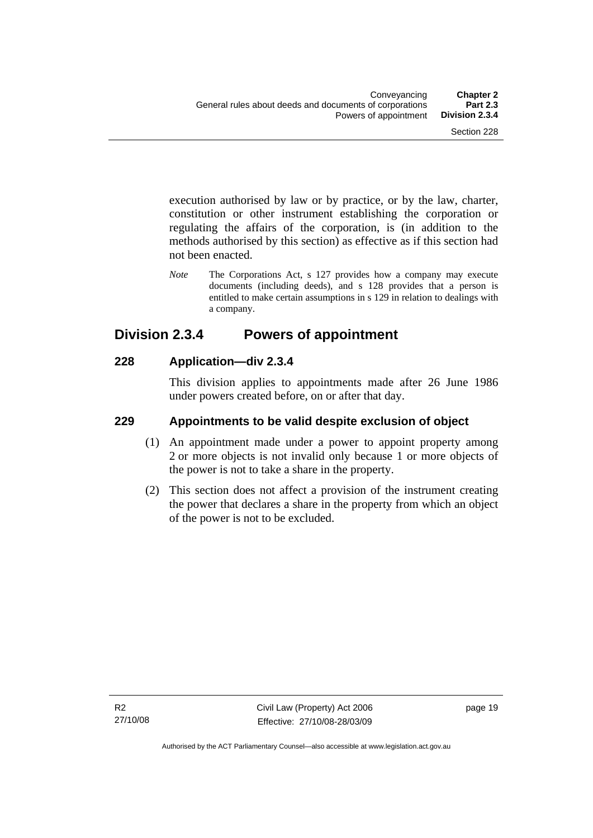<span id="page-28-0"></span>execution authorised by law or by practice, or by the law, charter, constitution or other instrument establishing the corporation or regulating the affairs of the corporation, is (in addition to the methods authorised by this section) as effective as if this section had not been enacted.

*Note* The Corporations Act, s 127 provides how a company may execute documents (including deeds), and s 128 provides that a person is entitled to make certain assumptions in s 129 in relation to dealings with a company.

## **Division 2.3.4 Powers of appointment**

#### **228 Application—div 2.3.4**

This division applies to appointments made after 26 June 1986 under powers created before, on or after that day.

#### **229 Appointments to be valid despite exclusion of object**

- (1) An appointment made under a power to appoint property among 2 or more objects is not invalid only because 1 or more objects of the power is not to take a share in the property.
- (2) This section does not affect a provision of the instrument creating the power that declares a share in the property from which an object of the power is not to be excluded.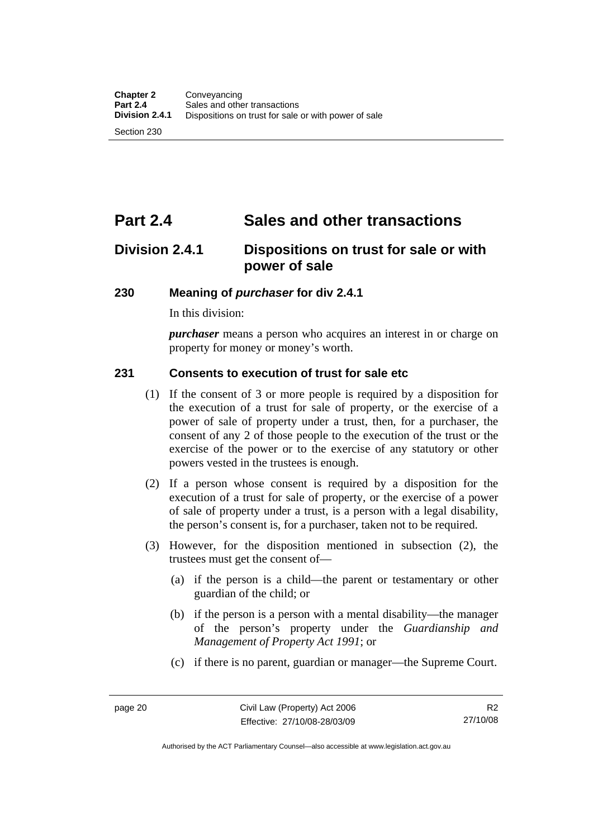# <span id="page-29-0"></span>**Part 2.4 Sales and other transactions**

## **Division 2.4.1 Dispositions on trust for sale or with power of sale**

#### **230 Meaning of** *purchaser* **for div 2.4.1**

In this division:

*purchaser* means a person who acquires an interest in or charge on property for money or money's worth.

#### **231 Consents to execution of trust for sale etc**

- (1) If the consent of 3 or more people is required by a disposition for the execution of a trust for sale of property, or the exercise of a power of sale of property under a trust, then, for a purchaser, the consent of any 2 of those people to the execution of the trust or the exercise of the power or to the exercise of any statutory or other powers vested in the trustees is enough.
- (2) If a person whose consent is required by a disposition for the execution of a trust for sale of property, or the exercise of a power of sale of property under a trust, is a person with a legal disability, the person's consent is, for a purchaser, taken not to be required.
- (3) However, for the disposition mentioned in subsection (2), the trustees must get the consent of—
	- (a) if the person is a child—the parent or testamentary or other guardian of the child; or
	- (b) if the person is a person with a mental disability—the manager of the person's property under the *Guardianship and Management of Property Act 1991*; or
	- (c) if there is no parent, guardian or manager—the Supreme Court.

R2 27/10/08

Authorised by the ACT Parliamentary Counsel—also accessible at www.legislation.act.gov.au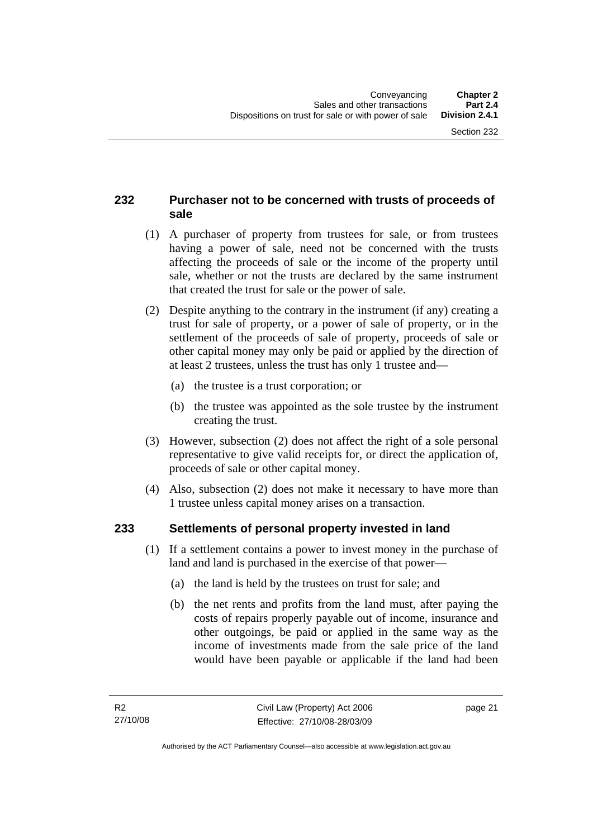## <span id="page-30-0"></span>**232 Purchaser not to be concerned with trusts of proceeds of sale**

- (1) A purchaser of property from trustees for sale, or from trustees having a power of sale, need not be concerned with the trusts affecting the proceeds of sale or the income of the property until sale, whether or not the trusts are declared by the same instrument that created the trust for sale or the power of sale.
- (2) Despite anything to the contrary in the instrument (if any) creating a trust for sale of property, or a power of sale of property, or in the settlement of the proceeds of sale of property, proceeds of sale or other capital money may only be paid or applied by the direction of at least 2 trustees, unless the trust has only 1 trustee and—
	- (a) the trustee is a trust corporation; or
	- (b) the trustee was appointed as the sole trustee by the instrument creating the trust.
- (3) However, subsection (2) does not affect the right of a sole personal representative to give valid receipts for, or direct the application of, proceeds of sale or other capital money.
- (4) Also, subsection (2) does not make it necessary to have more than 1 trustee unless capital money arises on a transaction.

#### **233 Settlements of personal property invested in land**

- (1) If a settlement contains a power to invest money in the purchase of land and land is purchased in the exercise of that power—
	- (a) the land is held by the trustees on trust for sale; and
	- (b) the net rents and profits from the land must, after paying the costs of repairs properly payable out of income, insurance and other outgoings, be paid or applied in the same way as the income of investments made from the sale price of the land would have been payable or applicable if the land had been

page 21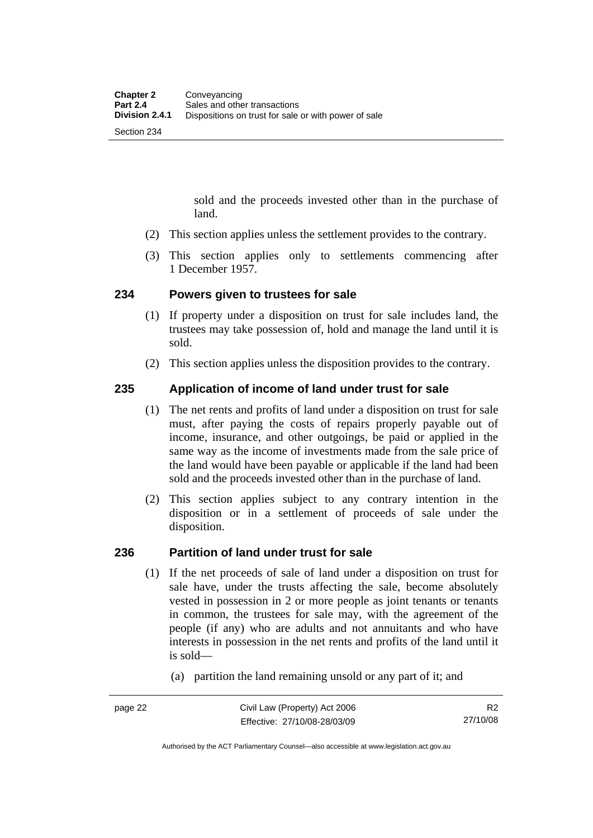sold and the proceeds invested other than in the purchase of land.

- <span id="page-31-0"></span>(2) This section applies unless the settlement provides to the contrary.
- (3) This section applies only to settlements commencing after 1 December 1957.

#### **234 Powers given to trustees for sale**

- (1) If property under a disposition on trust for sale includes land, the trustees may take possession of, hold and manage the land until it is sold.
- (2) This section applies unless the disposition provides to the contrary.

#### **235 Application of income of land under trust for sale**

- (1) The net rents and profits of land under a disposition on trust for sale must, after paying the costs of repairs properly payable out of income, insurance, and other outgoings, be paid or applied in the same way as the income of investments made from the sale price of the land would have been payable or applicable if the land had been sold and the proceeds invested other than in the purchase of land.
- (2) This section applies subject to any contrary intention in the disposition or in a settlement of proceeds of sale under the disposition.

#### **236 Partition of land under trust for sale**

- (1) If the net proceeds of sale of land under a disposition on trust for sale have, under the trusts affecting the sale, become absolutely vested in possession in 2 or more people as joint tenants or tenants in common, the trustees for sale may, with the agreement of the people (if any) who are adults and not annuitants and who have interests in possession in the net rents and profits of the land until it is sold—
	- (a) partition the land remaining unsold or any part of it; and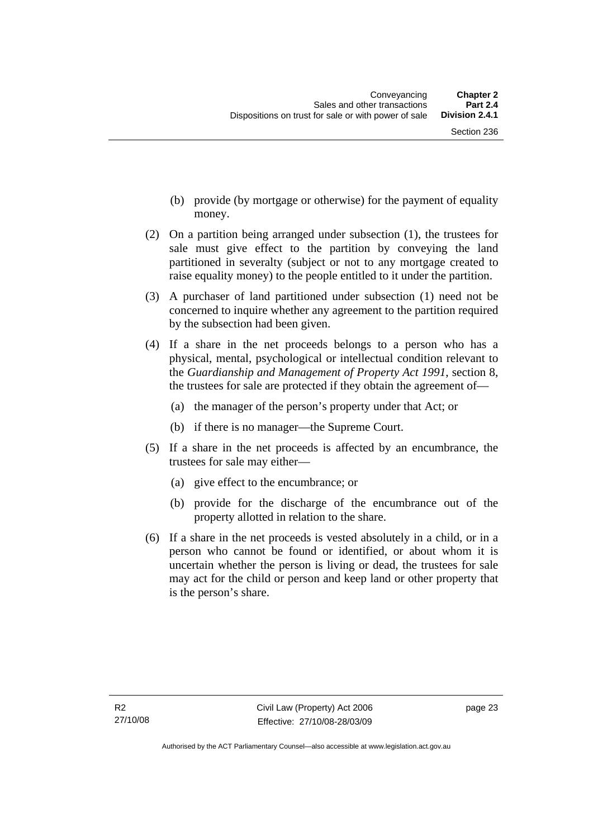- (b) provide (by mortgage or otherwise) for the payment of equality money.
- (2) On a partition being arranged under subsection (1), the trustees for sale must give effect to the partition by conveying the land partitioned in severalty (subject or not to any mortgage created to raise equality money) to the people entitled to it under the partition.
- (3) A purchaser of land partitioned under subsection (1) need not be concerned to inquire whether any agreement to the partition required by the subsection had been given.
- (4) If a share in the net proceeds belongs to a person who has a physical, mental, psychological or intellectual condition relevant to the *Guardianship and Management of Property Act 1991*, section 8, the trustees for sale are protected if they obtain the agreement of—
	- (a) the manager of the person's property under that Act; or
	- (b) if there is no manager—the Supreme Court.
- (5) If a share in the net proceeds is affected by an encumbrance, the trustees for sale may either—
	- (a) give effect to the encumbrance; or
	- (b) provide for the discharge of the encumbrance out of the property allotted in relation to the share.
- (6) If a share in the net proceeds is vested absolutely in a child, or in a person who cannot be found or identified, or about whom it is uncertain whether the person is living or dead, the trustees for sale may act for the child or person and keep land or other property that is the person's share.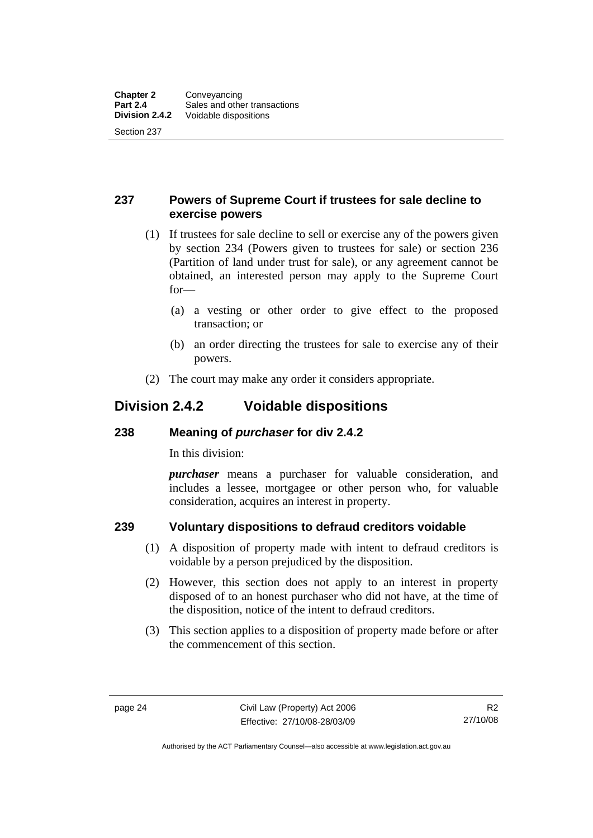#### <span id="page-33-0"></span>**237 Powers of Supreme Court if trustees for sale decline to exercise powers**

- (1) If trustees for sale decline to sell or exercise any of the powers given by section 234 (Powers given to trustees for sale) or section 236 (Partition of land under trust for sale), or any agreement cannot be obtained, an interested person may apply to the Supreme Court for—
	- (a) a vesting or other order to give effect to the proposed transaction; or
	- (b) an order directing the trustees for sale to exercise any of their powers.
- (2) The court may make any order it considers appropriate.

## **Division 2.4.2 Voidable dispositions**

#### **238 Meaning of** *purchaser* **for div 2.4.2**

In this division:

*purchaser* means a purchaser for valuable consideration, and includes a lessee, mortgagee or other person who, for valuable consideration, acquires an interest in property.

## **239 Voluntary dispositions to defraud creditors voidable**

- (1) A disposition of property made with intent to defraud creditors is voidable by a person prejudiced by the disposition.
- (2) However, this section does not apply to an interest in property disposed of to an honest purchaser who did not have, at the time of the disposition, notice of the intent to defraud creditors.
- (3) This section applies to a disposition of property made before or after the commencement of this section.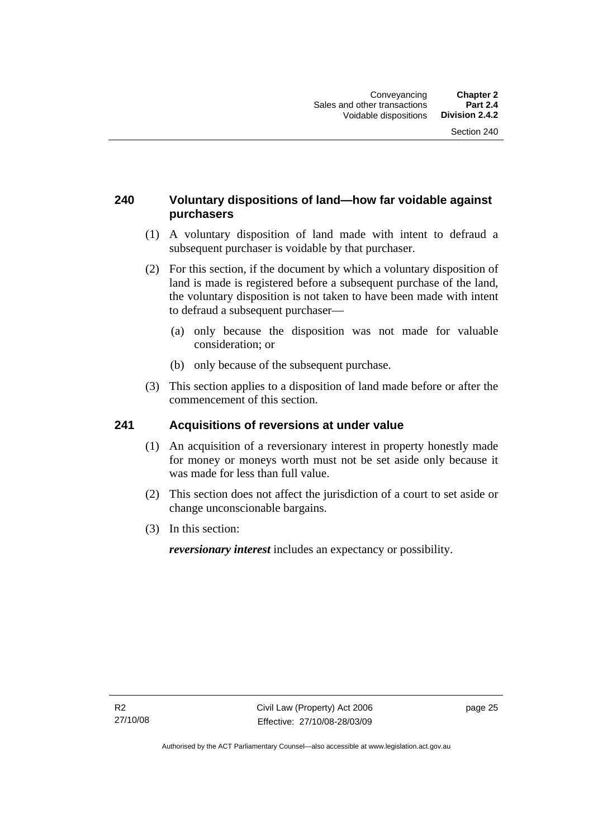### <span id="page-34-0"></span>**240 Voluntary dispositions of land—how far voidable against purchasers**

- (1) A voluntary disposition of land made with intent to defraud a subsequent purchaser is voidable by that purchaser.
- (2) For this section, if the document by which a voluntary disposition of land is made is registered before a subsequent purchase of the land, the voluntary disposition is not taken to have been made with intent to defraud a subsequent purchaser—
	- (a) only because the disposition was not made for valuable consideration; or
	- (b) only because of the subsequent purchase.
- (3) This section applies to a disposition of land made before or after the commencement of this section.

#### **241 Acquisitions of reversions at under value**

- (1) An acquisition of a reversionary interest in property honestly made for money or moneys worth must not be set aside only because it was made for less than full value.
- (2) This section does not affect the jurisdiction of a court to set aside or change unconscionable bargains.
- (3) In this section:

*reversionary interest* includes an expectancy or possibility.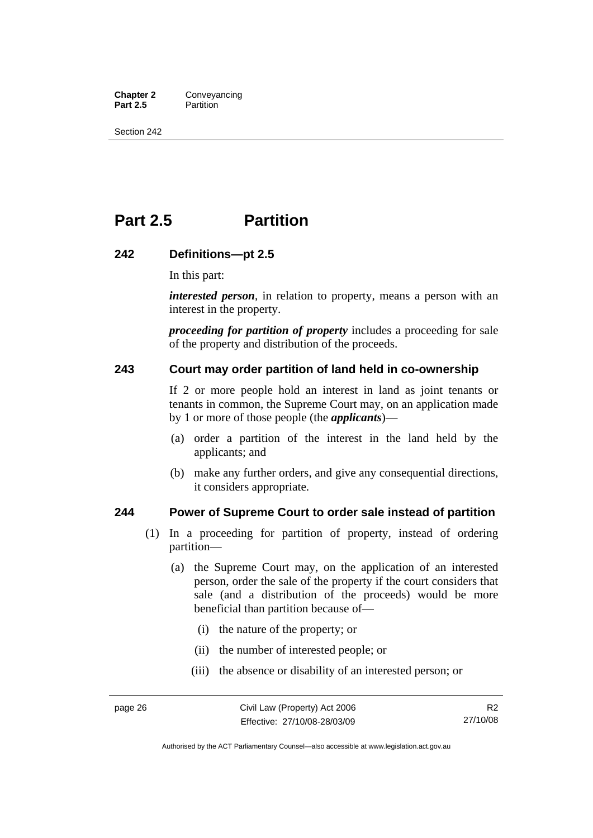<span id="page-35-0"></span>**Chapter 2 Conveyancing**<br>**Part 2.5 Partition Partition** 

Section 242

# **Part 2.5 Partition**

#### **242 Definitions—pt 2.5**

In this part:

*interested person*, in relation to property, means a person with an interest in the property.

*proceeding for partition of property* includes a proceeding for sale of the property and distribution of the proceeds.

#### **243 Court may order partition of land held in co-ownership**

If 2 or more people hold an interest in land as joint tenants or tenants in common, the Supreme Court may, on an application made by 1 or more of those people (the *applicants*)—

- (a) order a partition of the interest in the land held by the applicants; and
- (b) make any further orders, and give any consequential directions, it considers appropriate.

#### **244 Power of Supreme Court to order sale instead of partition**

- (1) In a proceeding for partition of property, instead of ordering partition—
	- (a) the Supreme Court may, on the application of an interested person, order the sale of the property if the court considers that sale (and a distribution of the proceeds) would be more beneficial than partition because of—
		- (i) the nature of the property; or
		- (ii) the number of interested people; or
		- (iii) the absence or disability of an interested person; or

Authorised by the ACT Parliamentary Counsel—also accessible at www.legislation.act.gov.au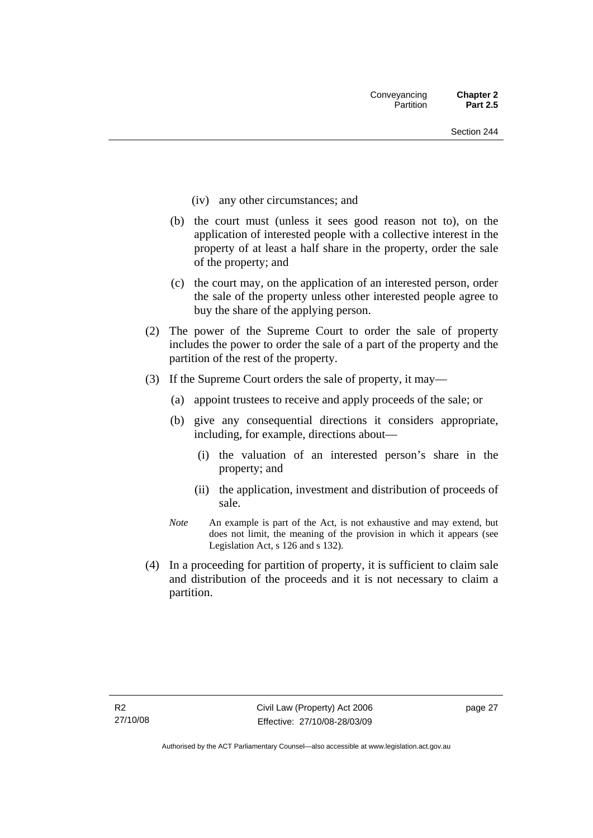- (iv) any other circumstances; and
- (b) the court must (unless it sees good reason not to), on the application of interested people with a collective interest in the property of at least a half share in the property, order the sale of the property; and
- (c) the court may, on the application of an interested person, order the sale of the property unless other interested people agree to buy the share of the applying person.
- (2) The power of the Supreme Court to order the sale of property includes the power to order the sale of a part of the property and the partition of the rest of the property.
- (3) If the Supreme Court orders the sale of property, it may—
	- (a) appoint trustees to receive and apply proceeds of the sale; or
	- (b) give any consequential directions it considers appropriate, including, for example, directions about—
		- (i) the valuation of an interested person's share in the property; and
		- (ii) the application, investment and distribution of proceeds of sale.
	- *Note* An example is part of the Act, is not exhaustive and may extend, but does not limit, the meaning of the provision in which it appears (see Legislation Act, s 126 and s 132).
- (4) In a proceeding for partition of property, it is sufficient to claim sale and distribution of the proceeds and it is not necessary to claim a partition.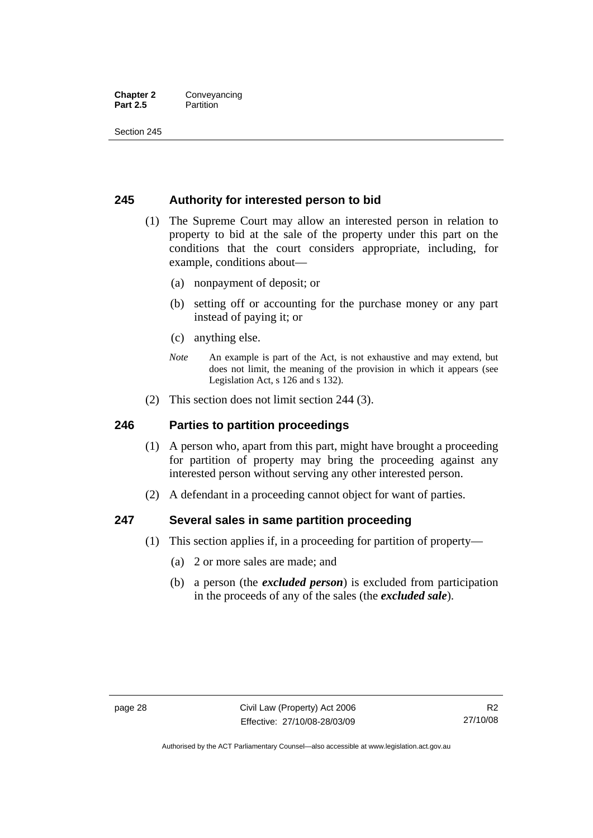#### **Chapter 2** Conveyancing **Part 2.5** Partition

Section 245

#### **245 Authority for interested person to bid**

- (1) The Supreme Court may allow an interested person in relation to property to bid at the sale of the property under this part on the conditions that the court considers appropriate, including, for example, conditions about—
	- (a) nonpayment of deposit; or
	- (b) setting off or accounting for the purchase money or any part instead of paying it; or
	- (c) anything else.
	- *Note* An example is part of the Act, is not exhaustive and may extend, but does not limit, the meaning of the provision in which it appears (see Legislation Act, s 126 and s 132).
- (2) This section does not limit section 244 (3).

#### **246 Parties to partition proceedings**

- (1) A person who, apart from this part, might have brought a proceeding for partition of property may bring the proceeding against any interested person without serving any other interested person.
- (2) A defendant in a proceeding cannot object for want of parties.

#### **247 Several sales in same partition proceeding**

- (1) This section applies if, in a proceeding for partition of property—
	- (a) 2 or more sales are made; and
	- (b) a person (the *excluded person*) is excluded from participation in the proceeds of any of the sales (the *excluded sale*).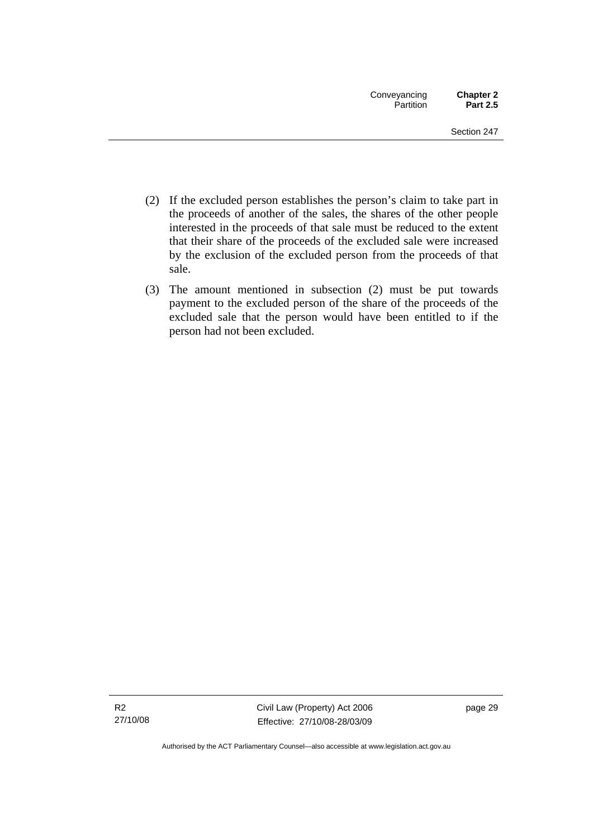- (2) If the excluded person establishes the person's claim to take part in the proceeds of another of the sales, the shares of the other people interested in the proceeds of that sale must be reduced to the extent that their share of the proceeds of the excluded sale were increased by the exclusion of the excluded person from the proceeds of that sale.
- (3) The amount mentioned in subsection (2) must be put towards payment to the excluded person of the share of the proceeds of the excluded sale that the person would have been entitled to if the person had not been excluded.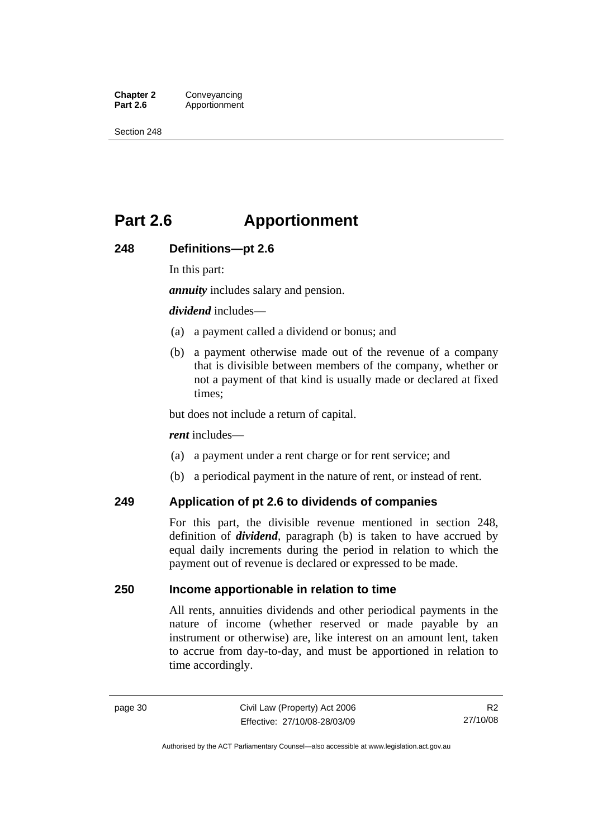**Chapter 2 Conveyancing**<br>**Part 2.6 Apportionment Part 2.6** Apportionment

Section 248

# **Part 2.6 Apportionment**

#### **248 Definitions—pt 2.6**

In this part:

*annuity* includes salary and pension.

#### *dividend* includes—

- (a) a payment called a dividend or bonus; and
- (b) a payment otherwise made out of the revenue of a company that is divisible between members of the company, whether or not a payment of that kind is usually made or declared at fixed times;

but does not include a return of capital.

#### *rent* includes—

- (a) a payment under a rent charge or for rent service; and
- (b) a periodical payment in the nature of rent, or instead of rent.

#### **249 Application of pt 2.6 to dividends of companies**

For this part, the divisible revenue mentioned in section 248, definition of *dividend*, paragraph (b) is taken to have accrued by equal daily increments during the period in relation to which the payment out of revenue is declared or expressed to be made.

#### **250 Income apportionable in relation to time**

All rents, annuities dividends and other periodical payments in the nature of income (whether reserved or made payable by an instrument or otherwise) are, like interest on an amount lent, taken to accrue from day-to-day, and must be apportioned in relation to time accordingly.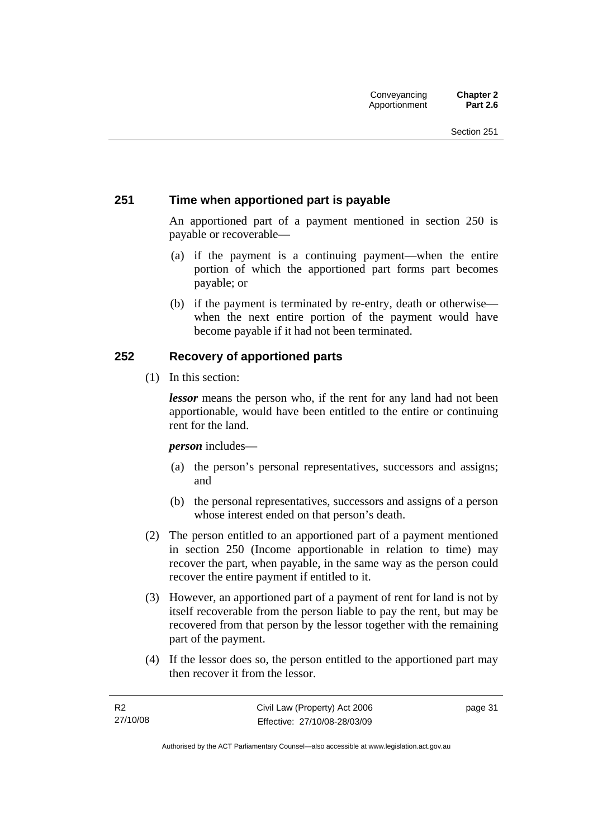#### **251 Time when apportioned part is payable**

An apportioned part of a payment mentioned in section 250 is payable or recoverable—

- (a) if the payment is a continuing payment—when the entire portion of which the apportioned part forms part becomes payable; or
- (b) if the payment is terminated by re-entry, death or otherwise when the next entire portion of the payment would have become payable if it had not been terminated.

#### **252 Recovery of apportioned parts**

(1) In this section:

*lessor* means the person who, if the rent for any land had not been apportionable, would have been entitled to the entire or continuing rent for the land.

*person* includes—

- (a) the person's personal representatives, successors and assigns; and
- (b) the personal representatives, successors and assigns of a person whose interest ended on that person's death.
- (2) The person entitled to an apportioned part of a payment mentioned in section 250 (Income apportionable in relation to time) may recover the part, when payable, in the same way as the person could recover the entire payment if entitled to it.
- (3) However, an apportioned part of a payment of rent for land is not by itself recoverable from the person liable to pay the rent, but may be recovered from that person by the lessor together with the remaining part of the payment.
- (4) If the lessor does so, the person entitled to the apportioned part may then recover it from the lessor.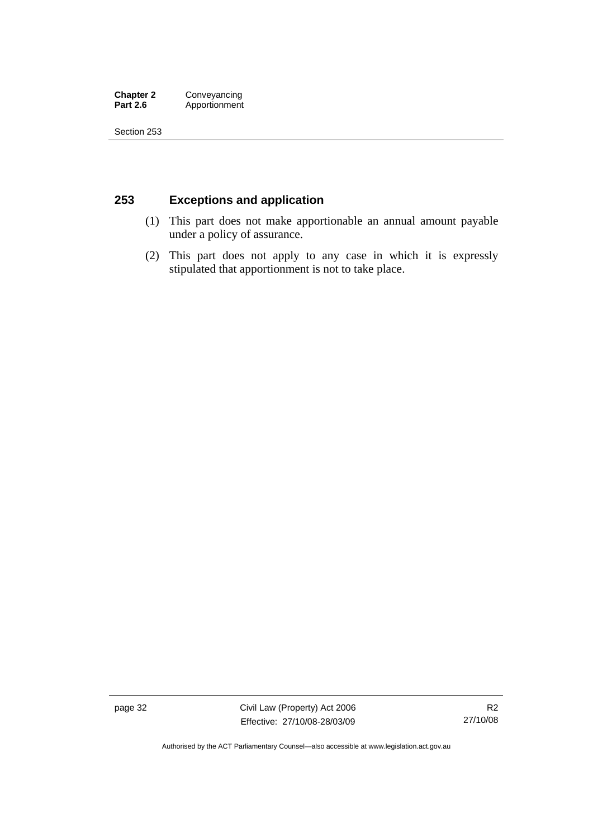#### **Chapter 2 Conveyancing**<br>**Part 2.6 Apportionment** Apportionment

Section 253

### **253 Exceptions and application**

- (1) This part does not make apportionable an annual amount payable under a policy of assurance.
- (2) This part does not apply to any case in which it is expressly stipulated that apportionment is not to take place.

page 32 Civil Law (Property) Act 2006 Effective: 27/10/08-28/03/09

Authorised by the ACT Parliamentary Counsel—also accessible at www.legislation.act.gov.au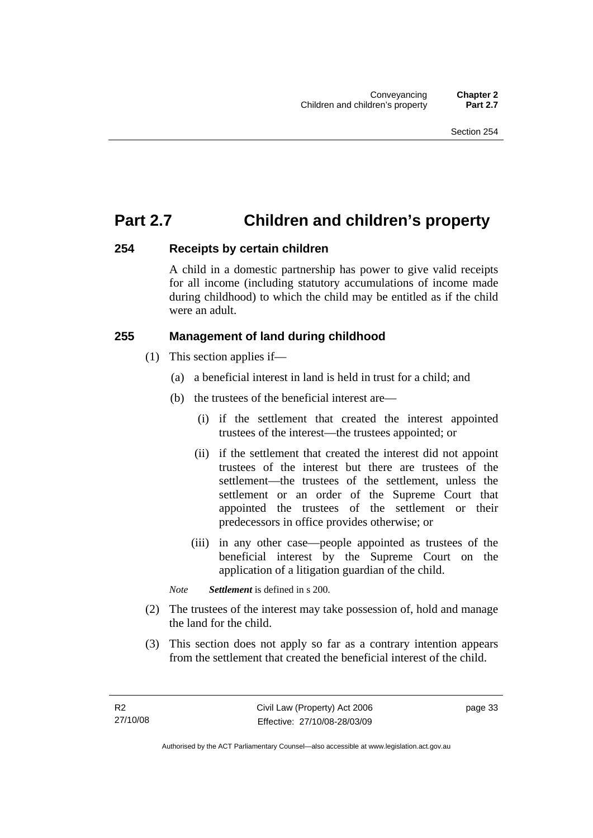## **Part 2.7 Children and children's property**

#### **254 Receipts by certain children**

A child in a domestic partnership has power to give valid receipts for all income (including statutory accumulations of income made during childhood) to which the child may be entitled as if the child were an adult.

### **255 Management of land during childhood**

- (1) This section applies if—
	- (a) a beneficial interest in land is held in trust for a child; and
	- (b) the trustees of the beneficial interest are—
		- (i) if the settlement that created the interest appointed trustees of the interest—the trustees appointed; or
		- (ii) if the settlement that created the interest did not appoint trustees of the interest but there are trustees of the settlement—the trustees of the settlement, unless the settlement or an order of the Supreme Court that appointed the trustees of the settlement or their predecessors in office provides otherwise; or
		- (iii) in any other case—people appointed as trustees of the beneficial interest by the Supreme Court on the application of a litigation guardian of the child.

*Note Settlement* is defined in s 200.

- (2) The trustees of the interest may take possession of, hold and manage the land for the child.
- (3) This section does not apply so far as a contrary intention appears from the settlement that created the beneficial interest of the child.

page 33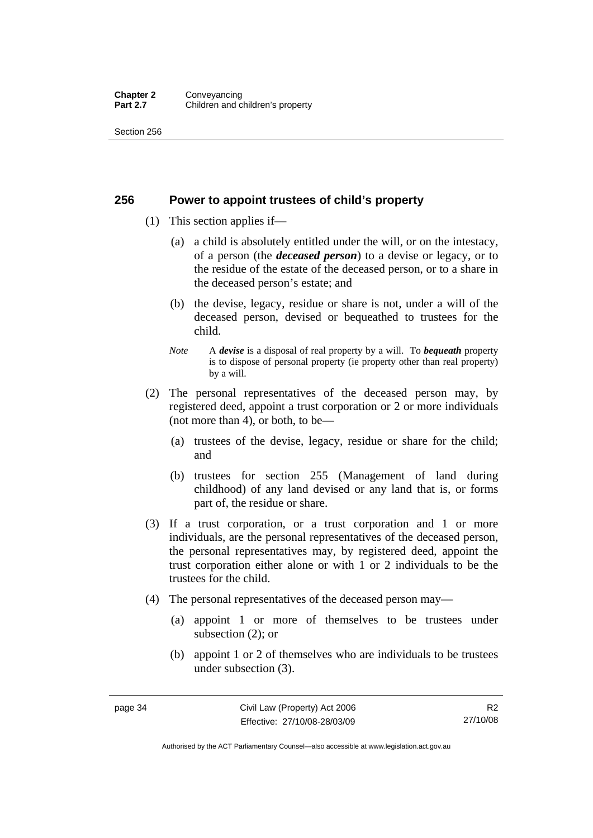#### **Chapter 2 Conveyancing**<br>**Part 2.7 Children and c Children and children's property**

Section 256

#### **256 Power to appoint trustees of child's property**

- (1) This section applies if—
	- (a) a child is absolutely entitled under the will, or on the intestacy, of a person (the *deceased person*) to a devise or legacy, or to the residue of the estate of the deceased person, or to a share in the deceased person's estate; and
	- (b) the devise, legacy, residue or share is not, under a will of the deceased person, devised or bequeathed to trustees for the child.
	- *Note* A *devise* is a disposal of real property by a will. To *bequeath* property is to dispose of personal property (ie property other than real property) by a will.
- (2) The personal representatives of the deceased person may, by registered deed, appoint a trust corporation or 2 or more individuals (not more than 4), or both, to be—
	- (a) trustees of the devise, legacy, residue or share for the child; and
	- (b) trustees for section 255 (Management of land during childhood) of any land devised or any land that is, or forms part of, the residue or share.
- (3) If a trust corporation, or a trust corporation and 1 or more individuals, are the personal representatives of the deceased person, the personal representatives may, by registered deed, appoint the trust corporation either alone or with 1 or 2 individuals to be the trustees for the child.
- (4) The personal representatives of the deceased person may—
	- (a) appoint 1 or more of themselves to be trustees under subsection (2); or
	- (b) appoint 1 or 2 of themselves who are individuals to be trustees under subsection (3).

Authorised by the ACT Parliamentary Counsel—also accessible at www.legislation.act.gov.au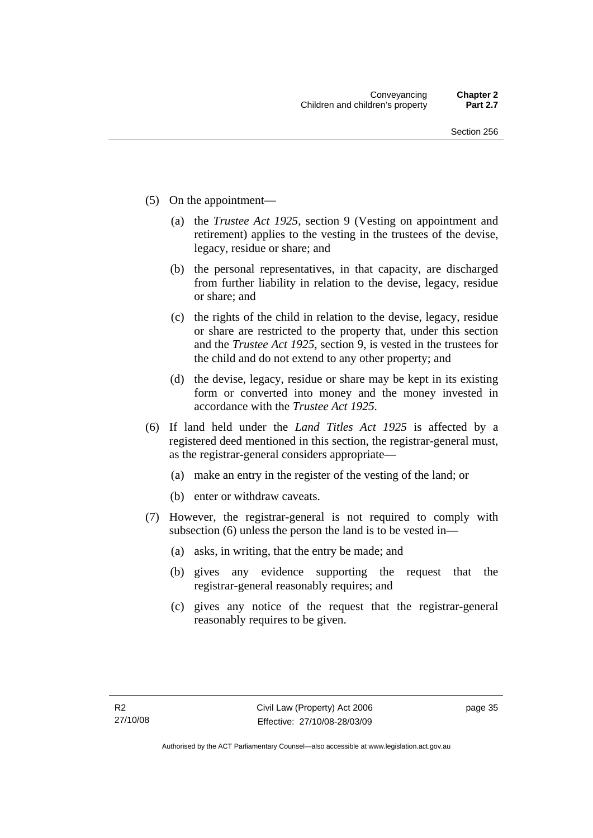- (5) On the appointment—
	- (a) the *Trustee Act 1925*, section 9 (Vesting on appointment and retirement) applies to the vesting in the trustees of the devise, legacy, residue or share; and
	- (b) the personal representatives, in that capacity, are discharged from further liability in relation to the devise, legacy, residue or share; and
	- (c) the rights of the child in relation to the devise, legacy, residue or share are restricted to the property that, under this section and the *Trustee Act 1925*, section 9, is vested in the trustees for the child and do not extend to any other property; and
	- (d) the devise, legacy, residue or share may be kept in its existing form or converted into money and the money invested in accordance with the *Trustee Act 1925*.
- (6) If land held under the *Land Titles Act 1925* is affected by a registered deed mentioned in this section, the registrar-general must, as the registrar-general considers appropriate—
	- (a) make an entry in the register of the vesting of the land; or
	- (b) enter or withdraw caveats.
- (7) However, the registrar-general is not required to comply with subsection (6) unless the person the land is to be vested in—
	- (a) asks, in writing, that the entry be made; and
	- (b) gives any evidence supporting the request that the registrar-general reasonably requires; and
	- (c) gives any notice of the request that the registrar-general reasonably requires to be given.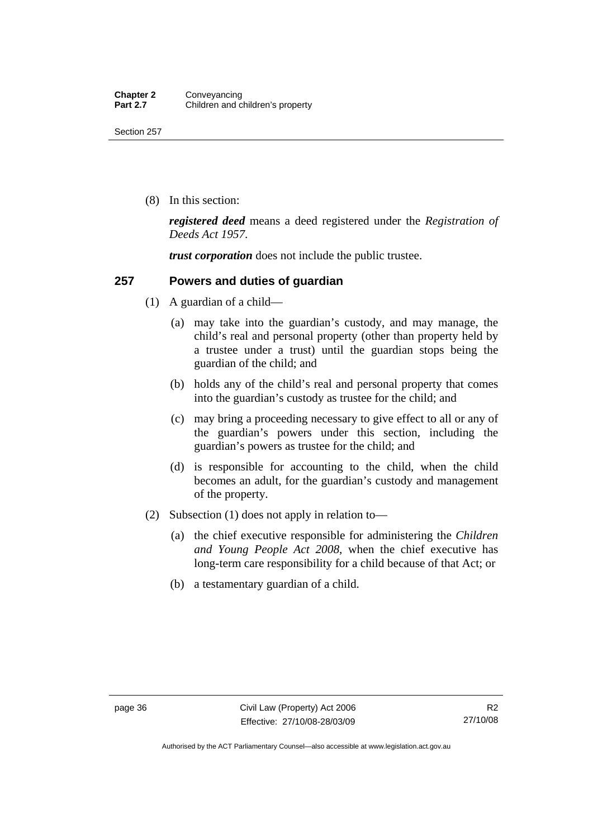(8) In this section:

*registered deed* means a deed registered under the *Registration of Deeds Act 1957*.

*trust corporation* does not include the public trustee.

#### **257 Powers and duties of guardian**

- (1) A guardian of a child—
	- (a) may take into the guardian's custody, and may manage, the child's real and personal property (other than property held by a trustee under a trust) until the guardian stops being the guardian of the child; and
	- (b) holds any of the child's real and personal property that comes into the guardian's custody as trustee for the child; and
	- (c) may bring a proceeding necessary to give effect to all or any of the guardian's powers under this section, including the guardian's powers as trustee for the child; and
	- (d) is responsible for accounting to the child, when the child becomes an adult, for the guardian's custody and management of the property.
- (2) Subsection (1) does not apply in relation to—
	- (a) the chief executive responsible for administering the *Children and Young People Act 2008*, when the chief executive has long-term care responsibility for a child because of that Act; or
	- (b) a testamentary guardian of a child.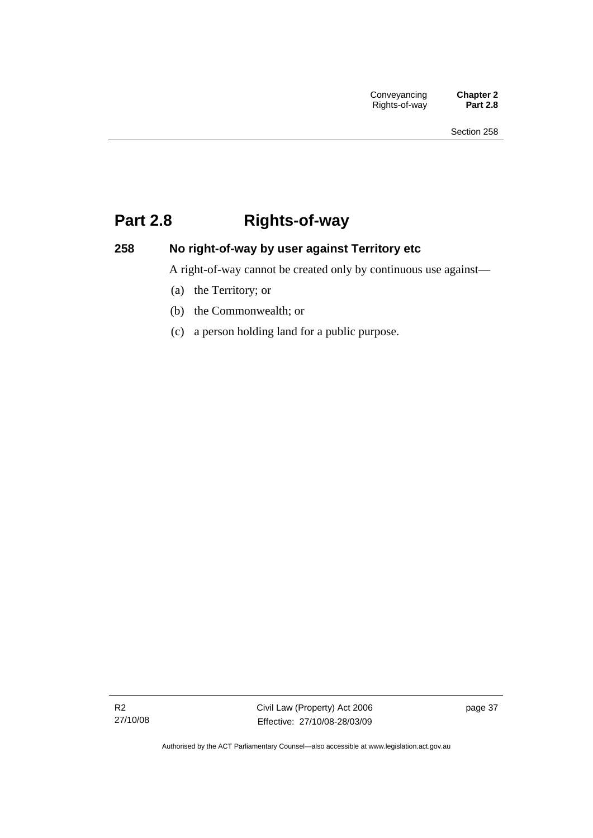# **Part 2.8 Rights-of-way**

## **258 No right-of-way by user against Territory etc**

A right-of-way cannot be created only by continuous use against—

- (a) the Territory; or
- (b) the Commonwealth; or
- (c) a person holding land for a public purpose.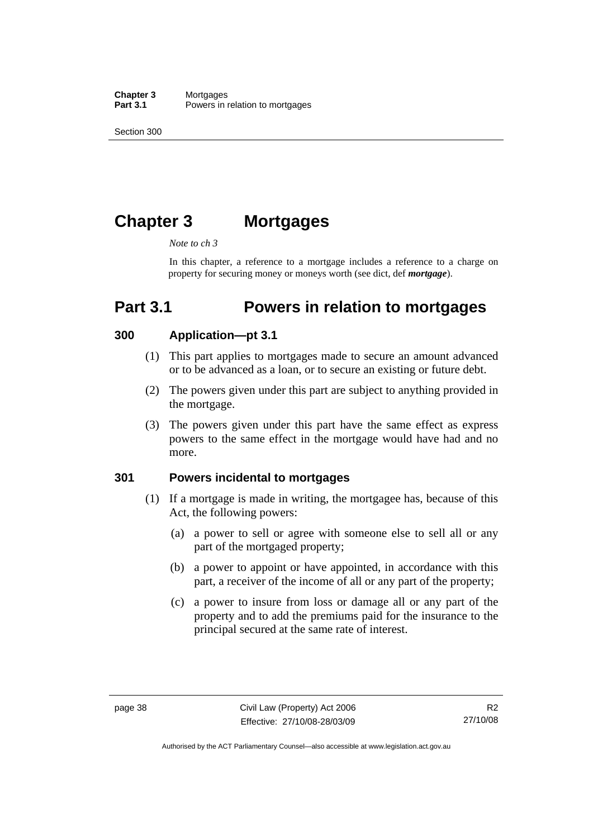Section 300

# **Chapter 3 Mortgages**

#### *Note to ch 3*

In this chapter, a reference to a mortgage includes a reference to a charge on property for securing money or moneys worth (see dict, def *mortgage*).

# **Part 3.1 Powers in relation to mortgages**

#### **300 Application—pt 3.1**

- (1) This part applies to mortgages made to secure an amount advanced or to be advanced as a loan, or to secure an existing or future debt.
- (2) The powers given under this part are subject to anything provided in the mortgage.
- (3) The powers given under this part have the same effect as express powers to the same effect in the mortgage would have had and no more.

#### **301 Powers incidental to mortgages**

- (1) If a mortgage is made in writing, the mortgagee has, because of this Act, the following powers:
	- (a) a power to sell or agree with someone else to sell all or any part of the mortgaged property;
	- (b) a power to appoint or have appointed, in accordance with this part, a receiver of the income of all or any part of the property;
	- (c) a power to insure from loss or damage all or any part of the property and to add the premiums paid for the insurance to the principal secured at the same rate of interest.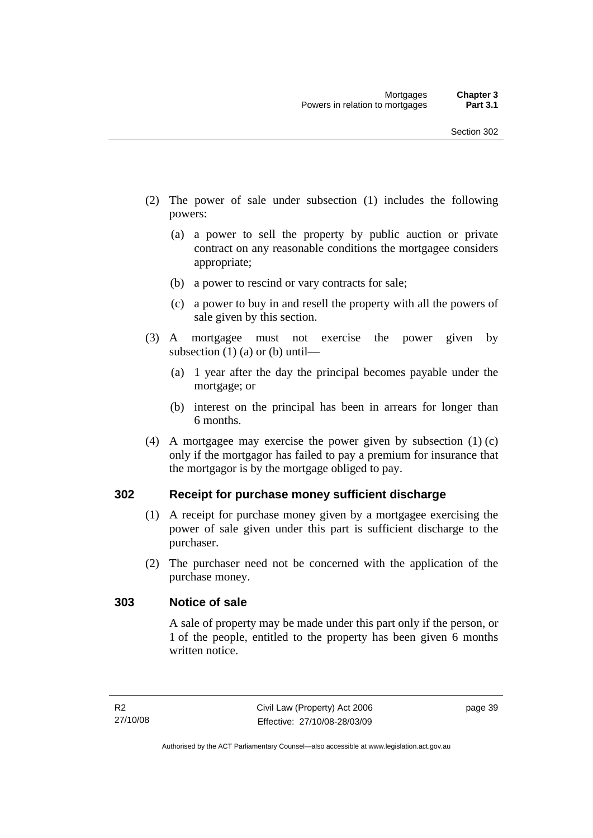- (2) The power of sale under subsection (1) includes the following powers:
	- (a) a power to sell the property by public auction or private contract on any reasonable conditions the mortgagee considers appropriate;
	- (b) a power to rescind or vary contracts for sale;
	- (c) a power to buy in and resell the property with all the powers of sale given by this section.
- (3) A mortgagee must not exercise the power given by subsection  $(1)$  (a) or (b) until—
	- (a) 1 year after the day the principal becomes payable under the mortgage; or
	- (b) interest on the principal has been in arrears for longer than 6 months.
- (4) A mortgagee may exercise the power given by subsection (1) (c) only if the mortgagor has failed to pay a premium for insurance that the mortgagor is by the mortgage obliged to pay.

#### **302 Receipt for purchase money sufficient discharge**

- (1) A receipt for purchase money given by a mortgagee exercising the power of sale given under this part is sufficient discharge to the purchaser.
- (2) The purchaser need not be concerned with the application of the purchase money.

#### **303 Notice of sale**

A sale of property may be made under this part only if the person, or 1 of the people, entitled to the property has been given 6 months written notice.

page 39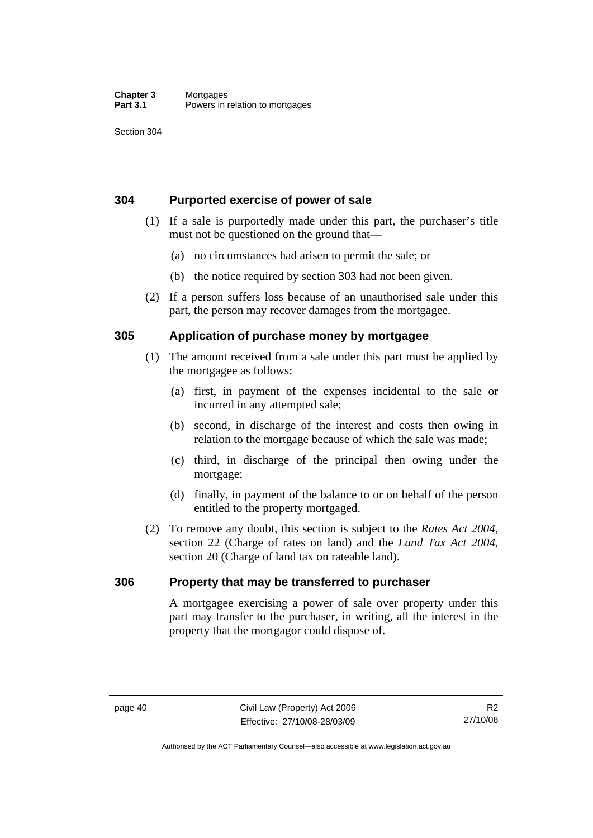#### **Chapter 3** Mortgages<br>**Part 3.1** Powers in Powers in relation to mortgages

Section 304

#### **304 Purported exercise of power of sale**

- (1) If a sale is purportedly made under this part, the purchaser's title must not be questioned on the ground that—
	- (a) no circumstances had arisen to permit the sale; or
	- (b) the notice required by section 303 had not been given.
- (2) If a person suffers loss because of an unauthorised sale under this part, the person may recover damages from the mortgagee.

#### **305 Application of purchase money by mortgagee**

- (1) The amount received from a sale under this part must be applied by the mortgagee as follows:
	- (a) first, in payment of the expenses incidental to the sale or incurred in any attempted sale;
	- (b) second, in discharge of the interest and costs then owing in relation to the mortgage because of which the sale was made;
	- (c) third, in discharge of the principal then owing under the mortgage;
	- (d) finally, in payment of the balance to or on behalf of the person entitled to the property mortgaged.
- (2) To remove any doubt, this section is subject to the *Rates Act 2004*, section 22 (Charge of rates on land) and the *Land Tax Act 2004*, section 20 (Charge of land tax on rateable land).

### **306 Property that may be transferred to purchaser**

A mortgagee exercising a power of sale over property under this part may transfer to the purchaser, in writing, all the interest in the property that the mortgagor could dispose of.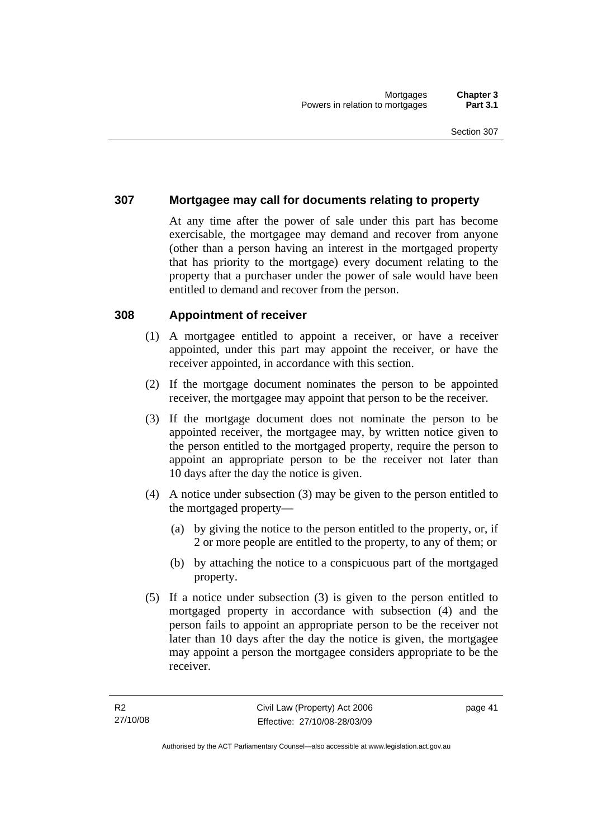#### **307 Mortgagee may call for documents relating to property**

At any time after the power of sale under this part has become exercisable, the mortgagee may demand and recover from anyone (other than a person having an interest in the mortgaged property that has priority to the mortgage) every document relating to the property that a purchaser under the power of sale would have been entitled to demand and recover from the person.

#### **308 Appointment of receiver**

- (1) A mortgagee entitled to appoint a receiver, or have a receiver appointed, under this part may appoint the receiver, or have the receiver appointed, in accordance with this section.
- (2) If the mortgage document nominates the person to be appointed receiver, the mortgagee may appoint that person to be the receiver.
- (3) If the mortgage document does not nominate the person to be appointed receiver, the mortgagee may, by written notice given to the person entitled to the mortgaged property, require the person to appoint an appropriate person to be the receiver not later than 10 days after the day the notice is given.
- (4) A notice under subsection (3) may be given to the person entitled to the mortgaged property—
	- (a) by giving the notice to the person entitled to the property, or, if 2 or more people are entitled to the property, to any of them; or
	- (b) by attaching the notice to a conspicuous part of the mortgaged property.
- (5) If a notice under subsection (3) is given to the person entitled to mortgaged property in accordance with subsection (4) and the person fails to appoint an appropriate person to be the receiver not later than 10 days after the day the notice is given, the mortgagee may appoint a person the mortgagee considers appropriate to be the receiver.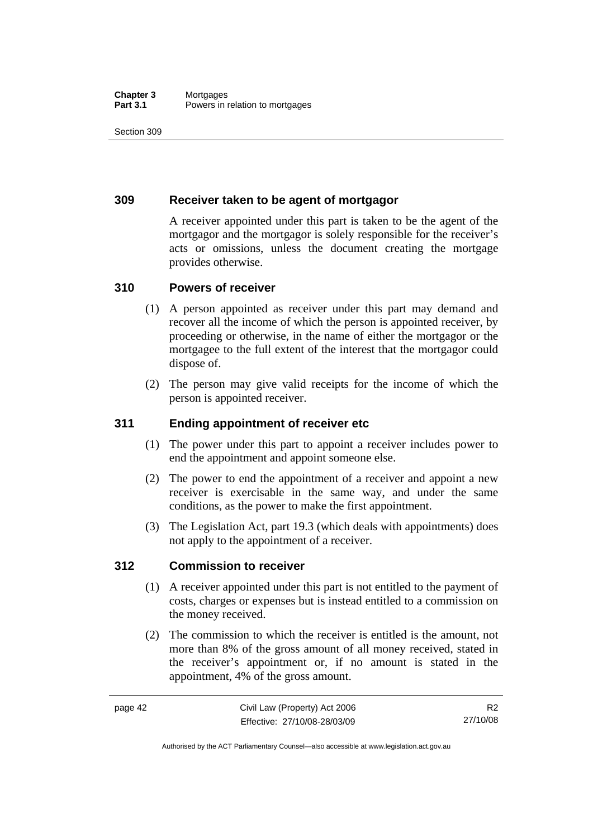#### **Chapter 3** Mortgages<br>**Part 3.1** Powers in i Powers in relation to mortgages

Section 309

#### **309 Receiver taken to be agent of mortgagor**

A receiver appointed under this part is taken to be the agent of the mortgagor and the mortgagor is solely responsible for the receiver's acts or omissions, unless the document creating the mortgage provides otherwise.

#### **310 Powers of receiver**

- (1) A person appointed as receiver under this part may demand and recover all the income of which the person is appointed receiver, by proceeding or otherwise, in the name of either the mortgagor or the mortgagee to the full extent of the interest that the mortgagor could dispose of.
- (2) The person may give valid receipts for the income of which the person is appointed receiver.

### **311 Ending appointment of receiver etc**

- (1) The power under this part to appoint a receiver includes power to end the appointment and appoint someone else.
- (2) The power to end the appointment of a receiver and appoint a new receiver is exercisable in the same way, and under the same conditions, as the power to make the first appointment.
- (3) The Legislation Act, part 19.3 (which deals with appointments) does not apply to the appointment of a receiver.

#### **312 Commission to receiver**

- (1) A receiver appointed under this part is not entitled to the payment of costs, charges or expenses but is instead entitled to a commission on the money received.
- (2) The commission to which the receiver is entitled is the amount, not more than 8% of the gross amount of all money received, stated in the receiver's appointment or, if no amount is stated in the appointment, 4% of the gross amount.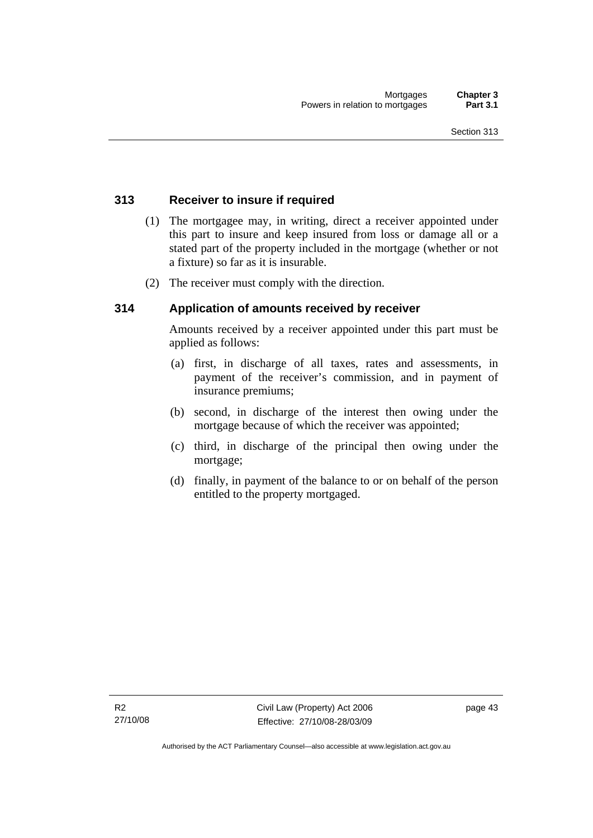#### **313 Receiver to insure if required**

- (1) The mortgagee may, in writing, direct a receiver appointed under this part to insure and keep insured from loss or damage all or a stated part of the property included in the mortgage (whether or not a fixture) so far as it is insurable.
- (2) The receiver must comply with the direction.

#### **314 Application of amounts received by receiver**

Amounts received by a receiver appointed under this part must be applied as follows:

- (a) first, in discharge of all taxes, rates and assessments, in payment of the receiver's commission, and in payment of insurance premiums;
- (b) second, in discharge of the interest then owing under the mortgage because of which the receiver was appointed;
- (c) third, in discharge of the principal then owing under the mortgage;
- (d) finally, in payment of the balance to or on behalf of the person entitled to the property mortgaged.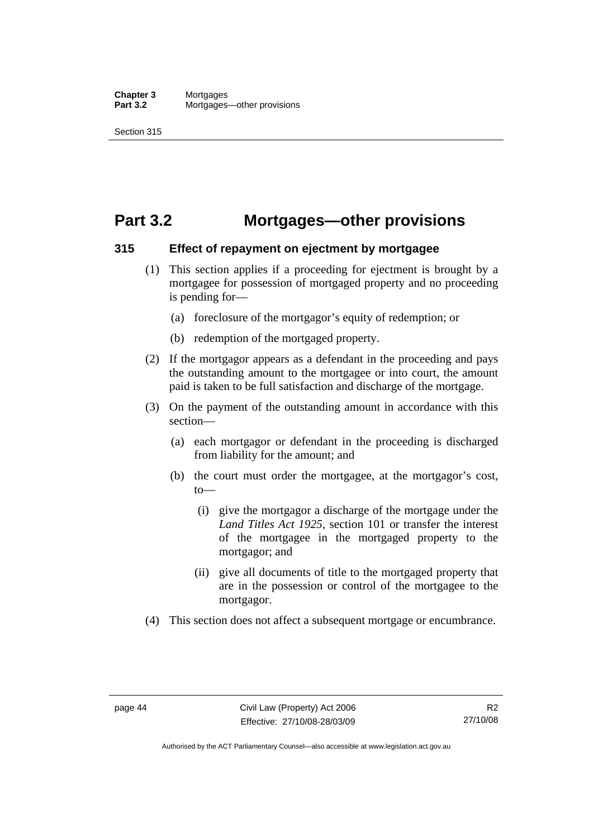## **Part 3.2 Mortgages—other provisions**

#### **315 Effect of repayment on ejectment by mortgagee**

- (1) This section applies if a proceeding for ejectment is brought by a mortgagee for possession of mortgaged property and no proceeding is pending for—
	- (a) foreclosure of the mortgagor's equity of redemption; or
	- (b) redemption of the mortgaged property.
- (2) If the mortgagor appears as a defendant in the proceeding and pays the outstanding amount to the mortgagee or into court, the amount paid is taken to be full satisfaction and discharge of the mortgage.
- (3) On the payment of the outstanding amount in accordance with this section—
	- (a) each mortgagor or defendant in the proceeding is discharged from liability for the amount; and
	- (b) the court must order the mortgagee, at the mortgagor's cost,  $t_0$ 
		- (i) give the mortgagor a discharge of the mortgage under the *Land Titles Act 1925*, section 101 or transfer the interest of the mortgagee in the mortgaged property to the mortgagor; and
		- (ii) give all documents of title to the mortgaged property that are in the possession or control of the mortgagee to the mortgagor.
- (4) This section does not affect a subsequent mortgage or encumbrance.

Authorised by the ACT Parliamentary Counsel—also accessible at www.legislation.act.gov.au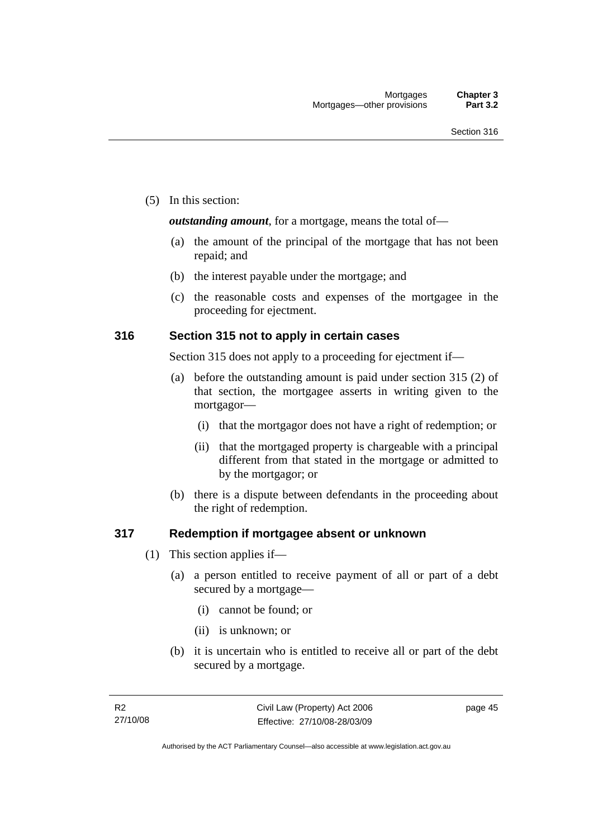(5) In this section:

*outstanding amount*, for a mortgage, means the total of—

- (a) the amount of the principal of the mortgage that has not been repaid; and
- (b) the interest payable under the mortgage; and
- (c) the reasonable costs and expenses of the mortgagee in the proceeding for ejectment.

#### **316 Section 315 not to apply in certain cases**

Section 315 does not apply to a proceeding for ejectment if—

- (a) before the outstanding amount is paid under section 315 (2) of that section, the mortgagee asserts in writing given to the mortgagor—
	- (i) that the mortgagor does not have a right of redemption; or
	- (ii) that the mortgaged property is chargeable with a principal different from that stated in the mortgage or admitted to by the mortgagor; or
- (b) there is a dispute between defendants in the proceeding about the right of redemption.

#### **317 Redemption if mortgagee absent or unknown**

- (1) This section applies if—
	- (a) a person entitled to receive payment of all or part of a debt secured by a mortgage—
		- (i) cannot be found; or
		- (ii) is unknown; or
	- (b) it is uncertain who is entitled to receive all or part of the debt secured by a mortgage.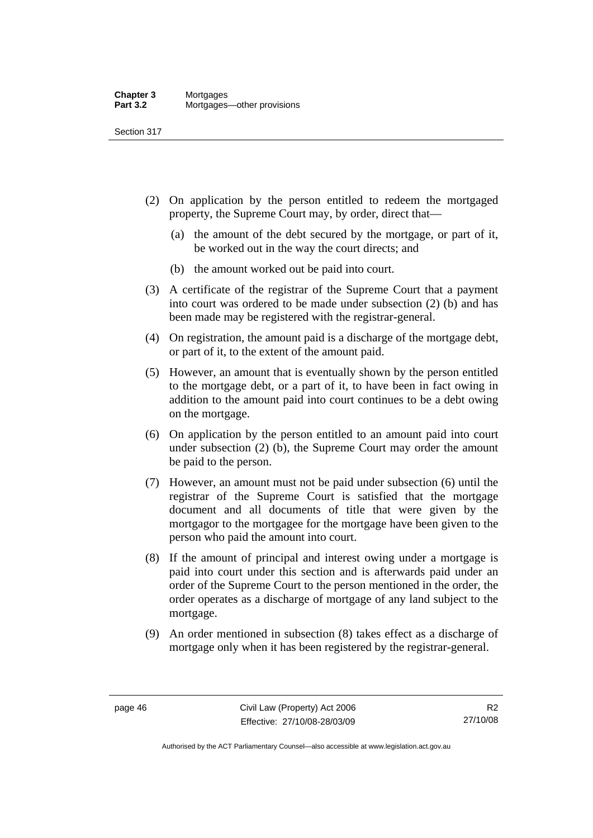Section 317

- (2) On application by the person entitled to redeem the mortgaged property, the Supreme Court may, by order, direct that—
	- (a) the amount of the debt secured by the mortgage, or part of it, be worked out in the way the court directs; and
	- (b) the amount worked out be paid into court.
- (3) A certificate of the registrar of the Supreme Court that a payment into court was ordered to be made under subsection (2) (b) and has been made may be registered with the registrar-general.
- (4) On registration, the amount paid is a discharge of the mortgage debt, or part of it, to the extent of the amount paid.
- (5) However, an amount that is eventually shown by the person entitled to the mortgage debt, or a part of it, to have been in fact owing in addition to the amount paid into court continues to be a debt owing on the mortgage.
- (6) On application by the person entitled to an amount paid into court under subsection (2) (b), the Supreme Court may order the amount be paid to the person.
- (7) However, an amount must not be paid under subsection (6) until the registrar of the Supreme Court is satisfied that the mortgage document and all documents of title that were given by the mortgagor to the mortgagee for the mortgage have been given to the person who paid the amount into court.
- (8) If the amount of principal and interest owing under a mortgage is paid into court under this section and is afterwards paid under an order of the Supreme Court to the person mentioned in the order, the order operates as a discharge of mortgage of any land subject to the mortgage.
- (9) An order mentioned in subsection (8) takes effect as a discharge of mortgage only when it has been registered by the registrar-general.

Authorised by the ACT Parliamentary Counsel—also accessible at www.legislation.act.gov.au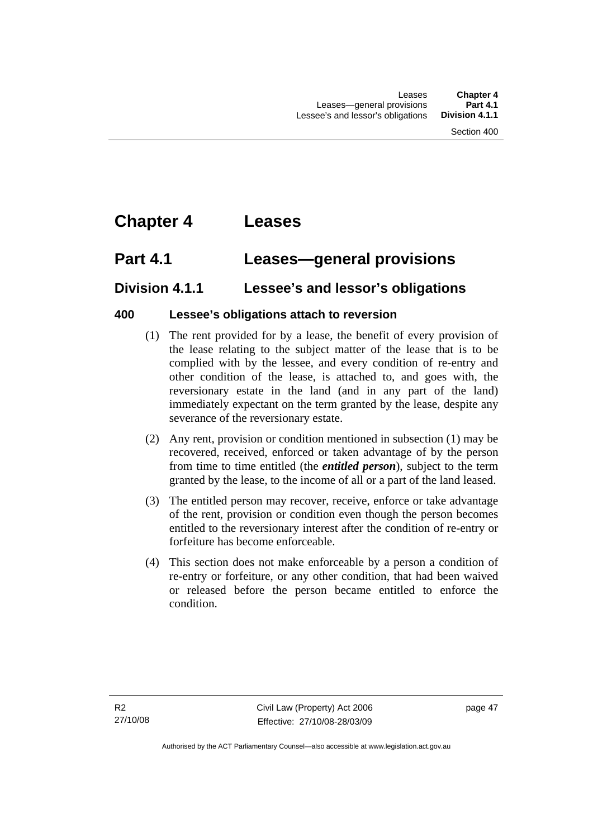# **Chapter 4 Leases**

# **Part 4.1 Leases—general provisions**

## **Division 4.1.1 Lessee's and lessor's obligations**

### **400 Lessee's obligations attach to reversion**

- (1) The rent provided for by a lease, the benefit of every provision of the lease relating to the subject matter of the lease that is to be complied with by the lessee, and every condition of re-entry and other condition of the lease, is attached to, and goes with, the reversionary estate in the land (and in any part of the land) immediately expectant on the term granted by the lease, despite any severance of the reversionary estate.
- (2) Any rent, provision or condition mentioned in subsection (1) may be recovered, received, enforced or taken advantage of by the person from time to time entitled (the *entitled person*), subject to the term granted by the lease, to the income of all or a part of the land leased.
- (3) The entitled person may recover, receive, enforce or take advantage of the rent, provision or condition even though the person becomes entitled to the reversionary interest after the condition of re-entry or forfeiture has become enforceable.
- (4) This section does not make enforceable by a person a condition of re-entry or forfeiture, or any other condition, that had been waived or released before the person became entitled to enforce the condition.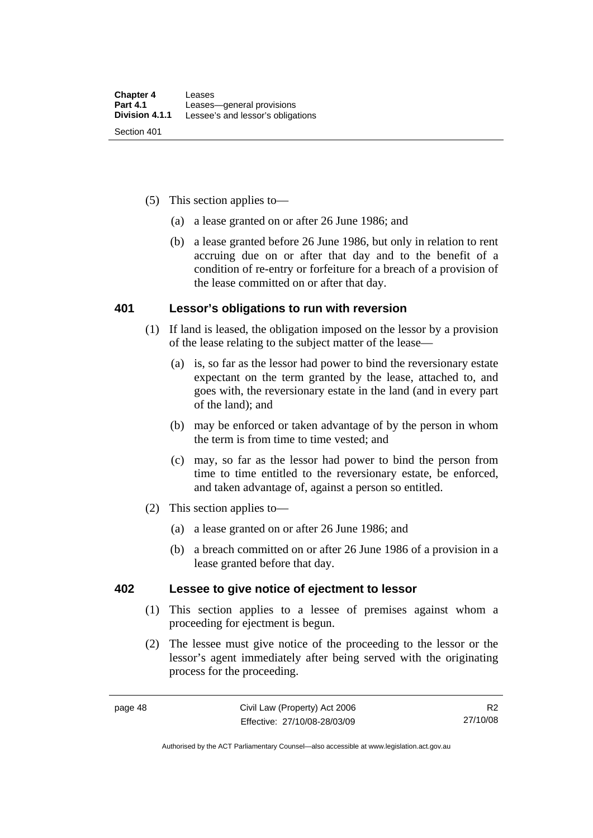- (5) This section applies to—
	- (a) a lease granted on or after 26 June 1986; and
	- (b) a lease granted before 26 June 1986, but only in relation to rent accruing due on or after that day and to the benefit of a condition of re-entry or forfeiture for a breach of a provision of the lease committed on or after that day.

#### **401 Lessor's obligations to run with reversion**

- (1) If land is leased, the obligation imposed on the lessor by a provision of the lease relating to the subject matter of the lease—
	- (a) is, so far as the lessor had power to bind the reversionary estate expectant on the term granted by the lease, attached to, and goes with, the reversionary estate in the land (and in every part of the land); and
	- (b) may be enforced or taken advantage of by the person in whom the term is from time to time vested; and
	- (c) may, so far as the lessor had power to bind the person from time to time entitled to the reversionary estate, be enforced, and taken advantage of, against a person so entitled.
- (2) This section applies to—
	- (a) a lease granted on or after 26 June 1986; and
	- (b) a breach committed on or after 26 June 1986 of a provision in a lease granted before that day.

#### **402 Lessee to give notice of ejectment to lessor**

- (1) This section applies to a lessee of premises against whom a proceeding for ejectment is begun.
- (2) The lessee must give notice of the proceeding to the lessor or the lessor's agent immediately after being served with the originating process for the proceeding.

Authorised by the ACT Parliamentary Counsel—also accessible at www.legislation.act.gov.au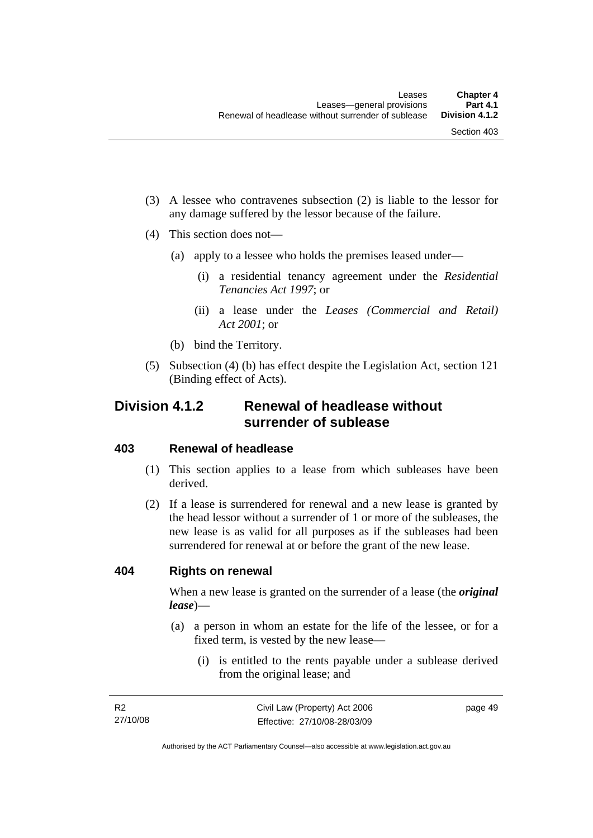- (3) A lessee who contravenes subsection (2) is liable to the lessor for any damage suffered by the lessor because of the failure.
- (4) This section does not—
	- (a) apply to a lessee who holds the premises leased under—
		- (i) a residential tenancy agreement under the *Residential Tenancies Act 1997*; or
		- (ii) a lease under the *Leases (Commercial and Retail) Act 2001*; or
	- (b) bind the Territory.
- (5) Subsection (4) (b) has effect despite the Legislation Act, section 121 (Binding effect of Acts).

## **Division 4.1.2 Renewal of headlease without surrender of sublease**

#### **403 Renewal of headlease**

- (1) This section applies to a lease from which subleases have been derived.
- (2) If a lease is surrendered for renewal and a new lease is granted by the head lessor without a surrender of 1 or more of the subleases, the new lease is as valid for all purposes as if the subleases had been surrendered for renewal at or before the grant of the new lease.

#### **404 Rights on renewal**

When a new lease is granted on the surrender of a lease (the *original lease*)—

- (a) a person in whom an estate for the life of the lessee, or for a fixed term, is vested by the new lease—
	- (i) is entitled to the rents payable under a sublease derived from the original lease; and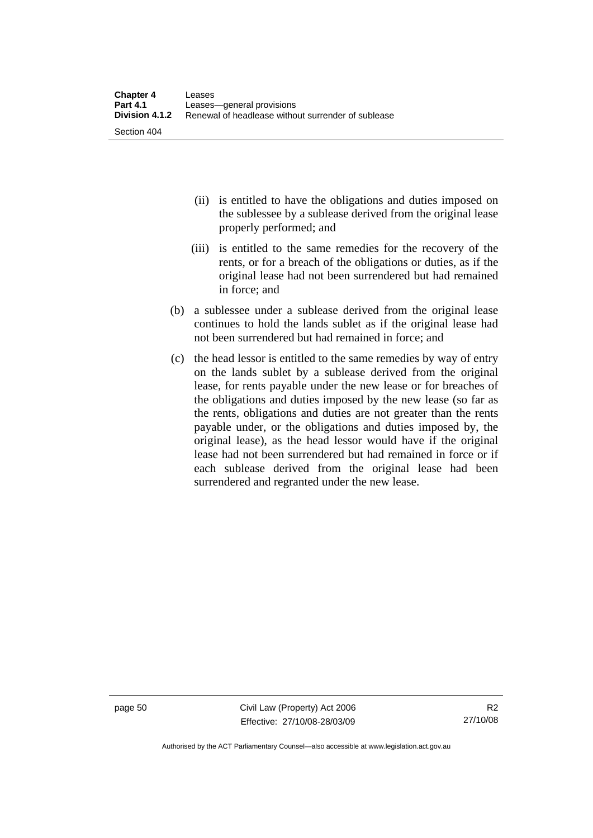- (ii) is entitled to have the obligations and duties imposed on the sublessee by a sublease derived from the original lease properly performed; and
- (iii) is entitled to the same remedies for the recovery of the rents, or for a breach of the obligations or duties, as if the original lease had not been surrendered but had remained in force; and
- (b) a sublessee under a sublease derived from the original lease continues to hold the lands sublet as if the original lease had not been surrendered but had remained in force; and
- (c) the head lessor is entitled to the same remedies by way of entry on the lands sublet by a sublease derived from the original lease, for rents payable under the new lease or for breaches of the obligations and duties imposed by the new lease (so far as the rents, obligations and duties are not greater than the rents payable under, or the obligations and duties imposed by, the original lease), as the head lessor would have if the original lease had not been surrendered but had remained in force or if each sublease derived from the original lease had been surrendered and regranted under the new lease.

page 50 Civil Law (Property) Act 2006 Effective: 27/10/08-28/03/09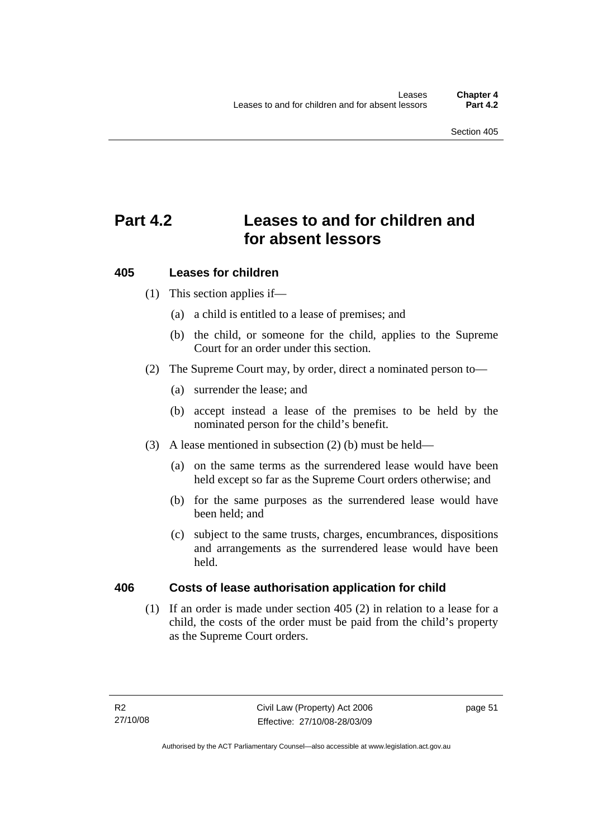# **Part 4.2 Leases to and for children and for absent lessors**

### **405 Leases for children**

- (1) This section applies if—
	- (a) a child is entitled to a lease of premises; and
	- (b) the child, or someone for the child, applies to the Supreme Court for an order under this section.
- (2) The Supreme Court may, by order, direct a nominated person to—
	- (a) surrender the lease; and
	- (b) accept instead a lease of the premises to be held by the nominated person for the child's benefit.
- (3) A lease mentioned in subsection (2) (b) must be held—
	- (a) on the same terms as the surrendered lease would have been held except so far as the Supreme Court orders otherwise; and
	- (b) for the same purposes as the surrendered lease would have been held; and
	- (c) subject to the same trusts, charges, encumbrances, dispositions and arrangements as the surrendered lease would have been held.

#### **406 Costs of lease authorisation application for child**

 (1) If an order is made under section 405 (2) in relation to a lease for a child, the costs of the order must be paid from the child's property as the Supreme Court orders.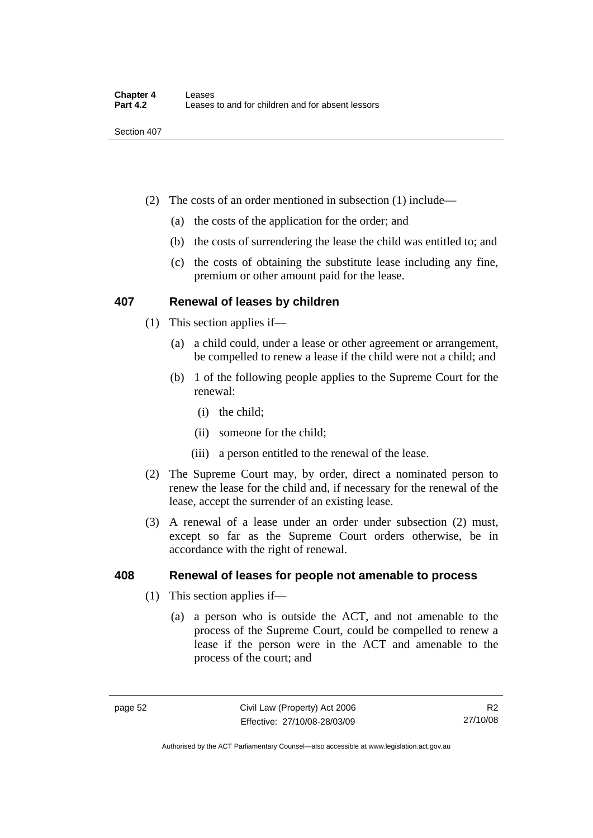- (2) The costs of an order mentioned in subsection (1) include—
	- (a) the costs of the application for the order; and
	- (b) the costs of surrendering the lease the child was entitled to; and
	- (c) the costs of obtaining the substitute lease including any fine, premium or other amount paid for the lease.

#### **407 Renewal of leases by children**

- (1) This section applies if—
	- (a) a child could, under a lease or other agreement or arrangement, be compelled to renew a lease if the child were not a child; and
	- (b) 1 of the following people applies to the Supreme Court for the renewal:
		- (i) the child;
		- (ii) someone for the child;
		- (iii) a person entitled to the renewal of the lease.
- (2) The Supreme Court may, by order, direct a nominated person to renew the lease for the child and, if necessary for the renewal of the lease, accept the surrender of an existing lease.
- (3) A renewal of a lease under an order under subsection (2) must, except so far as the Supreme Court orders otherwise, be in accordance with the right of renewal.

#### **408 Renewal of leases for people not amenable to process**

- (1) This section applies if—
	- (a) a person who is outside the ACT, and not amenable to the process of the Supreme Court, could be compelled to renew a lease if the person were in the ACT and amenable to the process of the court; and

Authorised by the ACT Parliamentary Counsel—also accessible at www.legislation.act.gov.au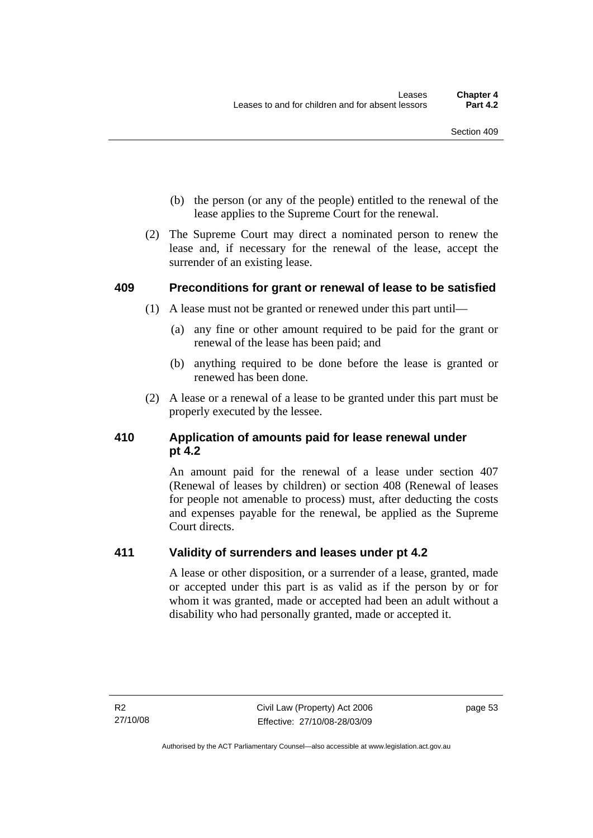- (b) the person (or any of the people) entitled to the renewal of the lease applies to the Supreme Court for the renewal.
- (2) The Supreme Court may direct a nominated person to renew the lease and, if necessary for the renewal of the lease, accept the surrender of an existing lease.

#### **409 Preconditions for grant or renewal of lease to be satisfied**

- (1) A lease must not be granted or renewed under this part until—
	- (a) any fine or other amount required to be paid for the grant or renewal of the lease has been paid; and
	- (b) anything required to be done before the lease is granted or renewed has been done.
- (2) A lease or a renewal of a lease to be granted under this part must be properly executed by the lessee.

### **410 Application of amounts paid for lease renewal under pt 4.2**

An amount paid for the renewal of a lease under section 407 (Renewal of leases by children) or section 408 (Renewal of leases for people not amenable to process) must, after deducting the costs and expenses payable for the renewal, be applied as the Supreme Court directs.

### **411 Validity of surrenders and leases under pt 4.2**

A lease or other disposition, or a surrender of a lease, granted, made or accepted under this part is as valid as if the person by or for whom it was granted, made or accepted had been an adult without a disability who had personally granted, made or accepted it.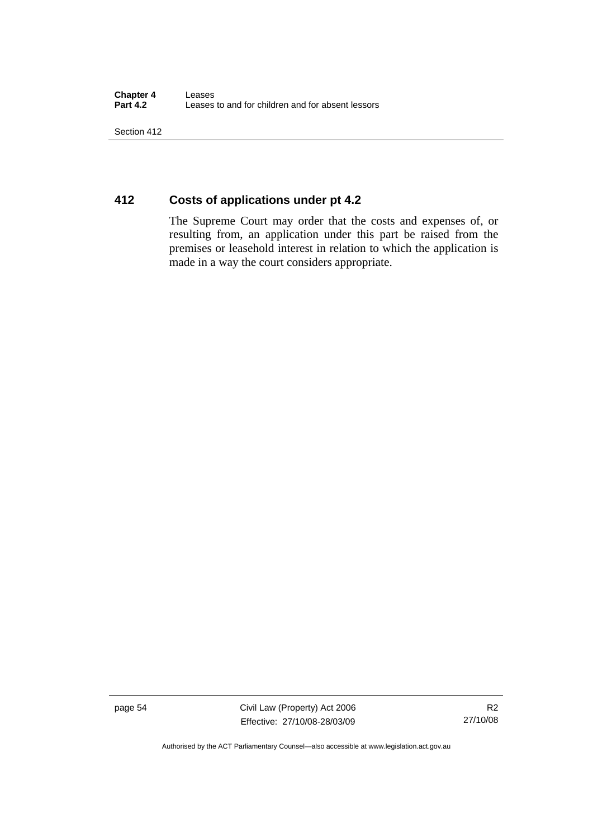Section 412

### **412 Costs of applications under pt 4.2**

The Supreme Court may order that the costs and expenses of, or resulting from, an application under this part be raised from the premises or leasehold interest in relation to which the application is made in a way the court considers appropriate.

page 54 Civil Law (Property) Act 2006 Effective: 27/10/08-28/03/09

Authorised by the ACT Parliamentary Counsel—also accessible at www.legislation.act.gov.au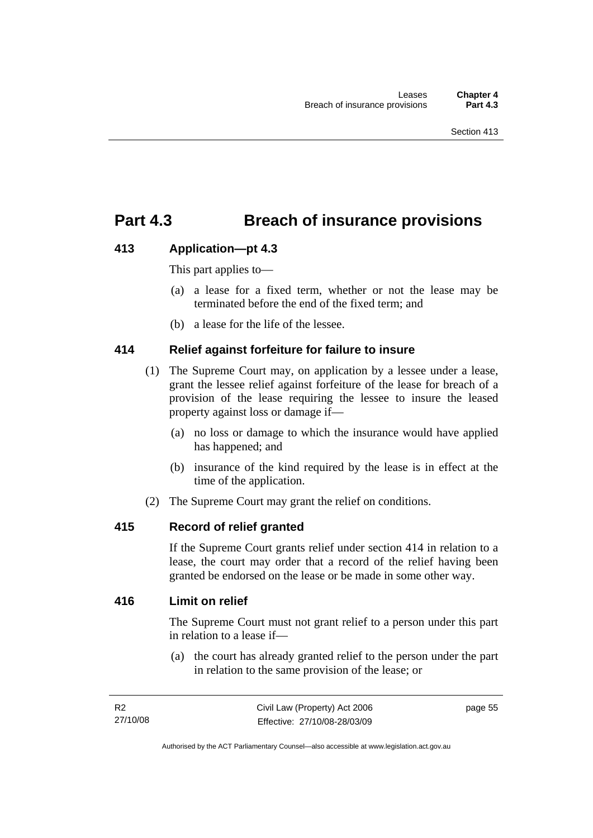## **Part 4.3 Breach of insurance provisions**

#### **413 Application—pt 4.3**

This part applies to—

- (a) a lease for a fixed term, whether or not the lease may be terminated before the end of the fixed term; and
- (b) a lease for the life of the lessee.

#### **414 Relief against forfeiture for failure to insure**

- (1) The Supreme Court may, on application by a lessee under a lease, grant the lessee relief against forfeiture of the lease for breach of a provision of the lease requiring the lessee to insure the leased property against loss or damage if—
	- (a) no loss or damage to which the insurance would have applied has happened; and
	- (b) insurance of the kind required by the lease is in effect at the time of the application.
- (2) The Supreme Court may grant the relief on conditions.

#### **415 Record of relief granted**

If the Supreme Court grants relief under section 414 in relation to a lease, the court may order that a record of the relief having been granted be endorsed on the lease or be made in some other way.

#### **416 Limit on relief**

The Supreme Court must not grant relief to a person under this part in relation to a lease if—

 (a) the court has already granted relief to the person under the part in relation to the same provision of the lease; or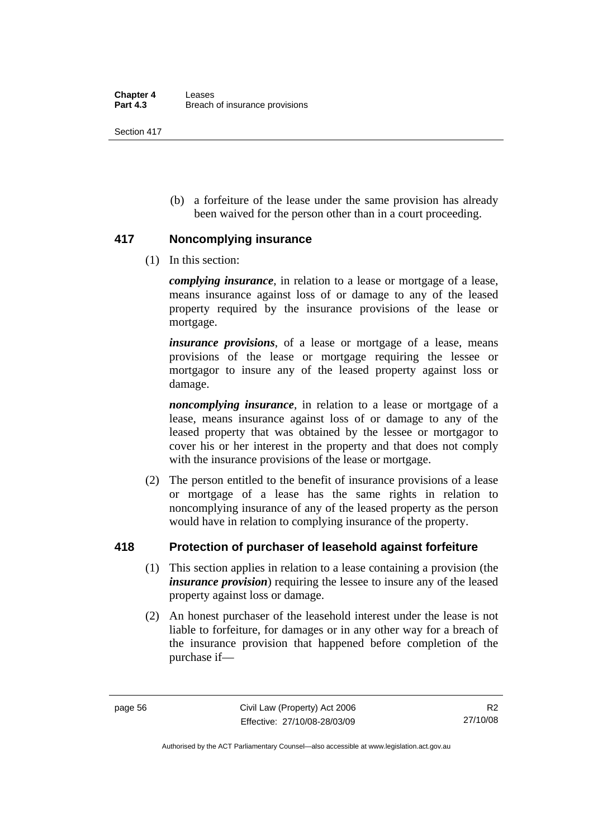Section 417

 (b) a forfeiture of the lease under the same provision has already been waived for the person other than in a court proceeding.

#### **417 Noncomplying insurance**

(1) In this section:

*complying insurance*, in relation to a lease or mortgage of a lease, means insurance against loss of or damage to any of the leased property required by the insurance provisions of the lease or mortgage.

*insurance provisions*, of a lease or mortgage of a lease, means provisions of the lease or mortgage requiring the lessee or mortgagor to insure any of the leased property against loss or damage.

*noncomplying insurance*, in relation to a lease or mortgage of a lease, means insurance against loss of or damage to any of the leased property that was obtained by the lessee or mortgagor to cover his or her interest in the property and that does not comply with the insurance provisions of the lease or mortgage.

 (2) The person entitled to the benefit of insurance provisions of a lease or mortgage of a lease has the same rights in relation to noncomplying insurance of any of the leased property as the person would have in relation to complying insurance of the property.

### **418 Protection of purchaser of leasehold against forfeiture**

- (1) This section applies in relation to a lease containing a provision (the *insurance provision*) requiring the lessee to insure any of the leased property against loss or damage.
- (2) An honest purchaser of the leasehold interest under the lease is not liable to forfeiture, for damages or in any other way for a breach of the insurance provision that happened before completion of the purchase if—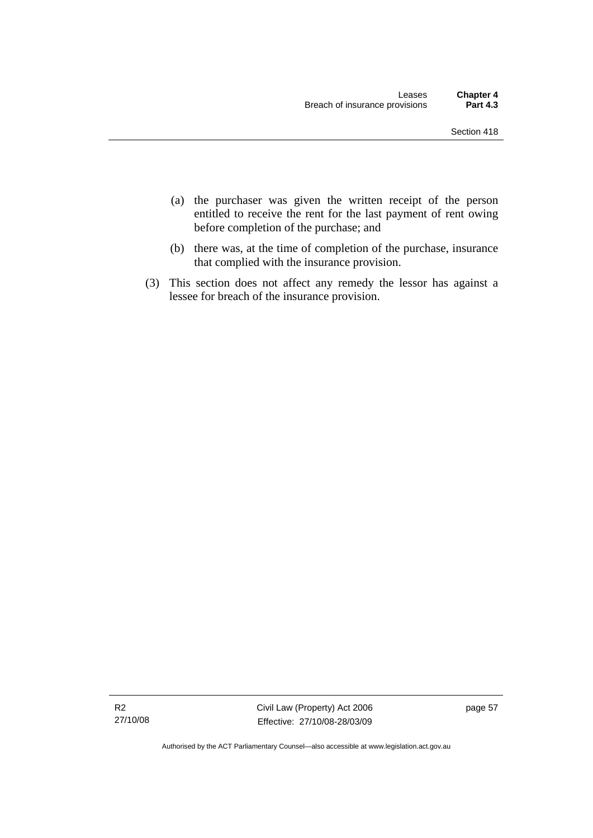- (a) the purchaser was given the written receipt of the person entitled to receive the rent for the last payment of rent owing before completion of the purchase; and
- (b) there was, at the time of completion of the purchase, insurance that complied with the insurance provision.
- (3) This section does not affect any remedy the lessor has against a lessee for breach of the insurance provision.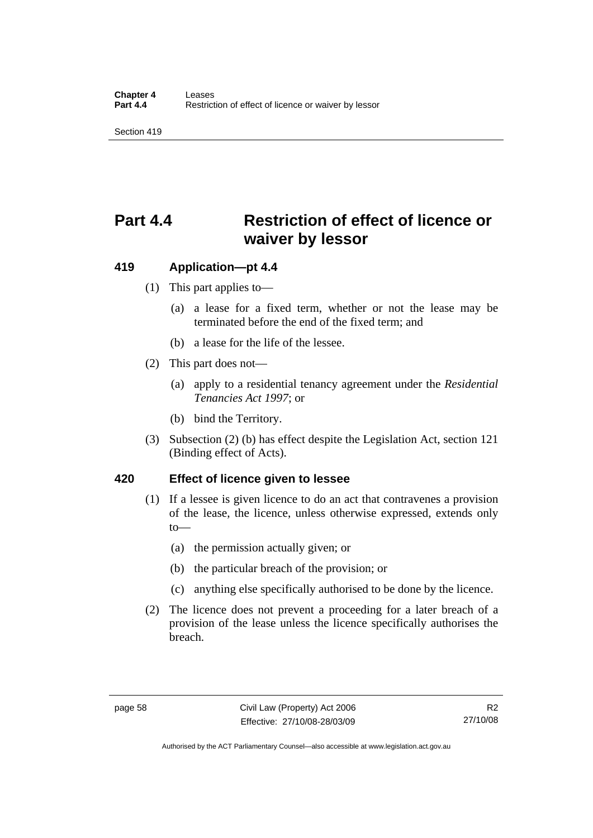Section 419

# **Part 4.4 Restriction of effect of licence or waiver by lessor**

#### **419 Application—pt 4.4**

- (1) This part applies to—
	- (a) a lease for a fixed term, whether or not the lease may be terminated before the end of the fixed term; and
	- (b) a lease for the life of the lessee.
- (2) This part does not—
	- (a) apply to a residential tenancy agreement under the *Residential Tenancies Act 1997*; or
	- (b) bind the Territory.
- (3) Subsection (2) (b) has effect despite the Legislation Act, section 121 (Binding effect of Acts).

#### **420 Effect of licence given to lessee**

- (1) If a lessee is given licence to do an act that contravenes a provision of the lease, the licence, unless otherwise expressed, extends only to—
	- (a) the permission actually given; or
	- (b) the particular breach of the provision; or
	- (c) anything else specifically authorised to be done by the licence.
- (2) The licence does not prevent a proceeding for a later breach of a provision of the lease unless the licence specifically authorises the breach.

Authorised by the ACT Parliamentary Counsel—also accessible at www.legislation.act.gov.au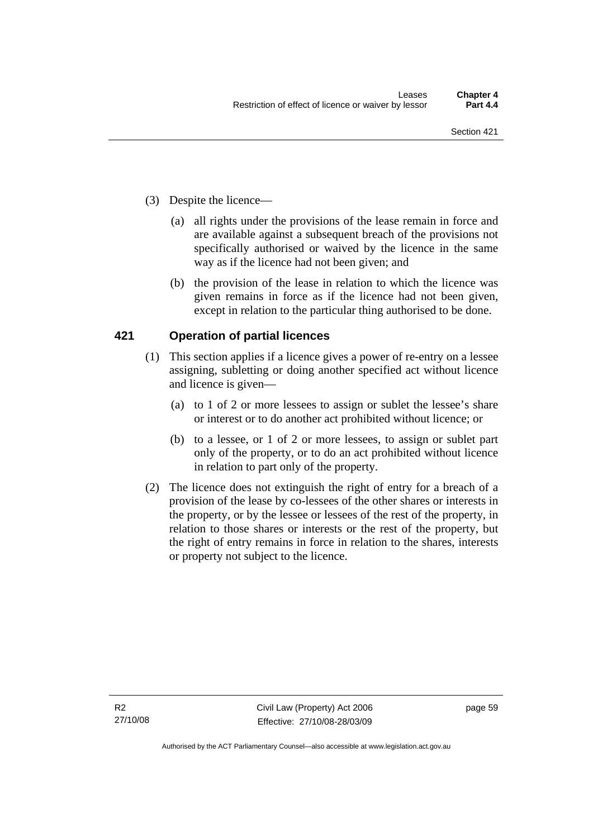- (3) Despite the licence—
	- (a) all rights under the provisions of the lease remain in force and are available against a subsequent breach of the provisions not specifically authorised or waived by the licence in the same way as if the licence had not been given; and
	- (b) the provision of the lease in relation to which the licence was given remains in force as if the licence had not been given, except in relation to the particular thing authorised to be done.

### **421 Operation of partial licences**

- (1) This section applies if a licence gives a power of re-entry on a lessee assigning, subletting or doing another specified act without licence and licence is given—
	- (a) to 1 of 2 or more lessees to assign or sublet the lessee's share or interest or to do another act prohibited without licence; or
	- (b) to a lessee, or 1 of 2 or more lessees, to assign or sublet part only of the property, or to do an act prohibited without licence in relation to part only of the property.
- (2) The licence does not extinguish the right of entry for a breach of a provision of the lease by co-lessees of the other shares or interests in the property, or by the lessee or lessees of the rest of the property, in relation to those shares or interests or the rest of the property, but the right of entry remains in force in relation to the shares, interests or property not subject to the licence.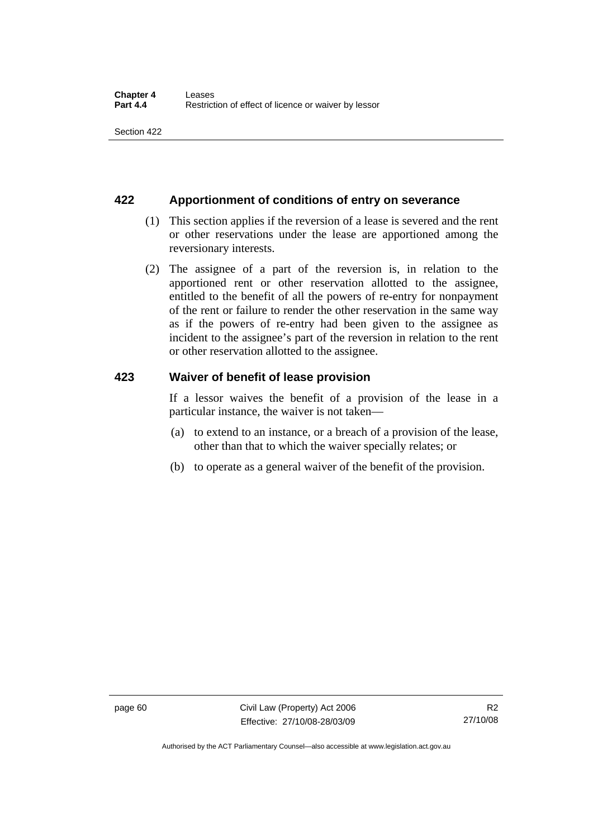#### **422 Apportionment of conditions of entry on severance**

- (1) This section applies if the reversion of a lease is severed and the rent or other reservations under the lease are apportioned among the reversionary interests.
- (2) The assignee of a part of the reversion is, in relation to the apportioned rent or other reservation allotted to the assignee, entitled to the benefit of all the powers of re-entry for nonpayment of the rent or failure to render the other reservation in the same way as if the powers of re-entry had been given to the assignee as incident to the assignee's part of the reversion in relation to the rent or other reservation allotted to the assignee.

#### **423 Waiver of benefit of lease provision**

If a lessor waives the benefit of a provision of the lease in a particular instance, the waiver is not taken—

- (a) to extend to an instance, or a breach of a provision of the lease, other than that to which the waiver specially relates; or
- (b) to operate as a general waiver of the benefit of the provision.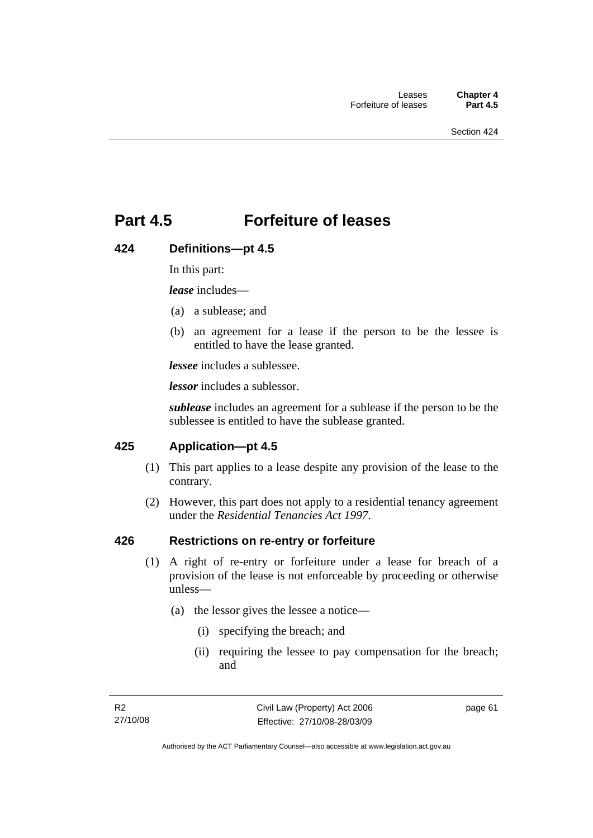# **Part 4.5 Forfeiture of leases**

#### **424 Definitions—pt 4.5**

In this part:

*lease* includes—

- (a) a sublease; and
- (b) an agreement for a lease if the person to be the lessee is entitled to have the lease granted.

*lessee* includes a sublessee.

*lessor* includes a sublessor.

*sublease* includes an agreement for a sublease if the person to be the sublessee is entitled to have the sublease granted.

#### **425 Application—pt 4.5**

- (1) This part applies to a lease despite any provision of the lease to the contrary.
- (2) However, this part does not apply to a residential tenancy agreement under the *Residential Tenancies Act 1997*.

### **426 Restrictions on re-entry or forfeiture**

- (1) A right of re-entry or forfeiture under a lease for breach of a provision of the lease is not enforceable by proceeding or otherwise unless—
	- (a) the lessor gives the lessee a notice—
		- (i) specifying the breach; and
		- (ii) requiring the lessee to pay compensation for the breach; and

page 61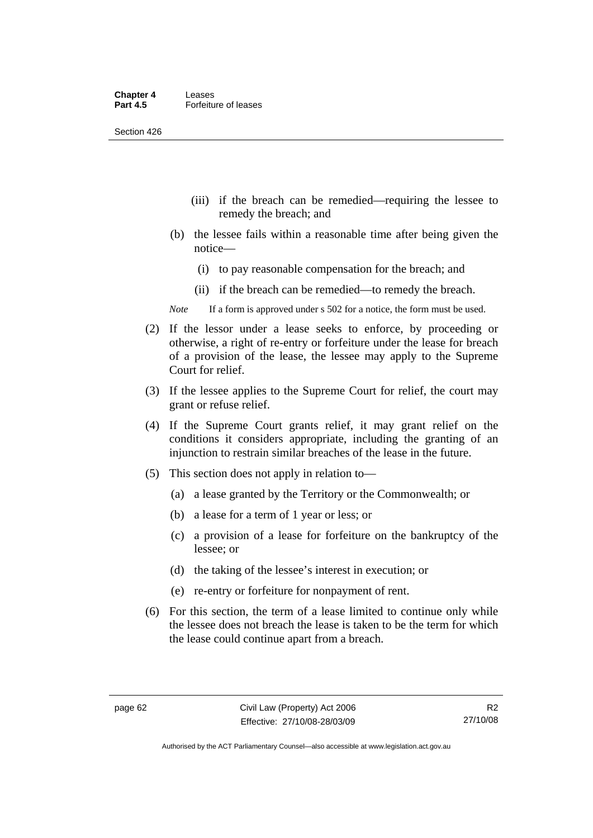Section 426

- (iii) if the breach can be remedied—requiring the lessee to remedy the breach; and
- (b) the lessee fails within a reasonable time after being given the notice—
	- (i) to pay reasonable compensation for the breach; and
	- (ii) if the breach can be remedied—to remedy the breach.
- *Note* If a form is approved under s 502 for a notice, the form must be used.
- (2) If the lessor under a lease seeks to enforce, by proceeding or otherwise, a right of re-entry or forfeiture under the lease for breach of a provision of the lease, the lessee may apply to the Supreme Court for relief.
- (3) If the lessee applies to the Supreme Court for relief, the court may grant or refuse relief.
- (4) If the Supreme Court grants relief, it may grant relief on the conditions it considers appropriate, including the granting of an injunction to restrain similar breaches of the lease in the future.
- (5) This section does not apply in relation to—
	- (a) a lease granted by the Territory or the Commonwealth; or
	- (b) a lease for a term of 1 year or less; or
	- (c) a provision of a lease for forfeiture on the bankruptcy of the lessee; or
	- (d) the taking of the lessee's interest in execution; or
	- (e) re-entry or forfeiture for nonpayment of rent.
- (6) For this section, the term of a lease limited to continue only while the lessee does not breach the lease is taken to be the term for which the lease could continue apart from a breach.

Authorised by the ACT Parliamentary Counsel—also accessible at www.legislation.act.gov.au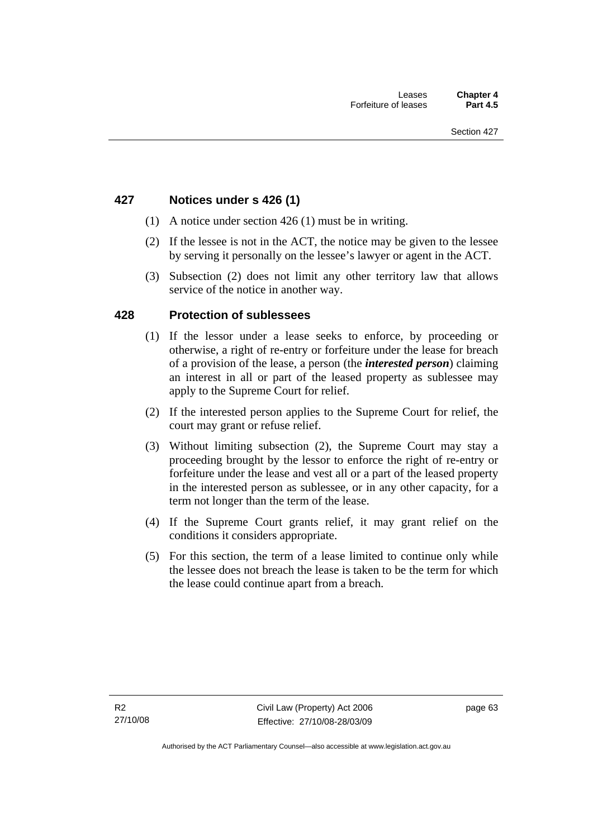## **427 Notices under s 426 (1)**

- (1) A notice under section 426 (1) must be in writing.
- (2) If the lessee is not in the ACT, the notice may be given to the lessee by serving it personally on the lessee's lawyer or agent in the ACT.
- (3) Subsection (2) does not limit any other territory law that allows service of the notice in another way.

### **428 Protection of sublessees**

- (1) If the lessor under a lease seeks to enforce, by proceeding or otherwise, a right of re-entry or forfeiture under the lease for breach of a provision of the lease, a person (the *interested person*) claiming an interest in all or part of the leased property as sublessee may apply to the Supreme Court for relief.
- (2) If the interested person applies to the Supreme Court for relief, the court may grant or refuse relief.
- (3) Without limiting subsection (2), the Supreme Court may stay a proceeding brought by the lessor to enforce the right of re-entry or forfeiture under the lease and vest all or a part of the leased property in the interested person as sublessee, or in any other capacity, for a term not longer than the term of the lease.
- (4) If the Supreme Court grants relief, it may grant relief on the conditions it considers appropriate.
- (5) For this section, the term of a lease limited to continue only while the lessee does not breach the lease is taken to be the term for which the lease could continue apart from a breach.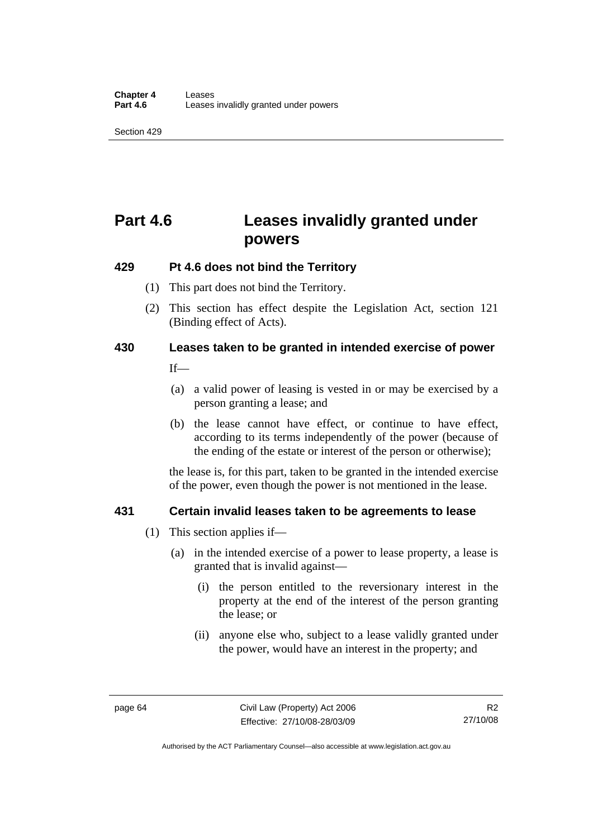Section 429

# **Part 4.6 Leases invalidly granted under powers**

## **429 Pt 4.6 does not bind the Territory**

- (1) This part does not bind the Territory.
- (2) This section has effect despite the Legislation Act*,* section 121 (Binding effect of Acts).

# **430 Leases taken to be granted in intended exercise of power**

 $If$ 

- (a) a valid power of leasing is vested in or may be exercised by a person granting a lease; and
- (b) the lease cannot have effect, or continue to have effect, according to its terms independently of the power (because of the ending of the estate or interest of the person or otherwise);

the lease is, for this part, taken to be granted in the intended exercise of the power, even though the power is not mentioned in the lease.

## **431 Certain invalid leases taken to be agreements to lease**

- (1) This section applies if—
	- (a) in the intended exercise of a power to lease property, a lease is granted that is invalid against—
		- (i) the person entitled to the reversionary interest in the property at the end of the interest of the person granting the lease; or
		- (ii) anyone else who, subject to a lease validly granted under the power, would have an interest in the property; and

R2 27/10/08

Authorised by the ACT Parliamentary Counsel—also accessible at www.legislation.act.gov.au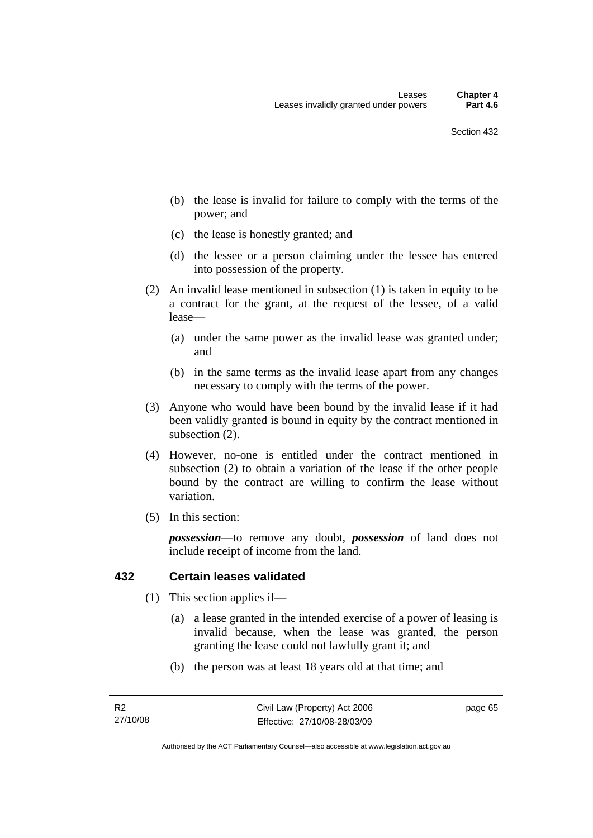- (b) the lease is invalid for failure to comply with the terms of the power; and
- (c) the lease is honestly granted; and
- (d) the lessee or a person claiming under the lessee has entered into possession of the property.
- (2) An invalid lease mentioned in subsection (1) is taken in equity to be a contract for the grant, at the request of the lessee, of a valid lease—
	- (a) under the same power as the invalid lease was granted under; and
	- (b) in the same terms as the invalid lease apart from any changes necessary to comply with the terms of the power.
- (3) Anyone who would have been bound by the invalid lease if it had been validly granted is bound in equity by the contract mentioned in subsection (2).
- (4) However, no-one is entitled under the contract mentioned in subsection (2) to obtain a variation of the lease if the other people bound by the contract are willing to confirm the lease without variation.
- (5) In this section:

*possession*—to remove any doubt, *possession* of land does not include receipt of income from the land.

#### **432 Certain leases validated**

- (1) This section applies if—
	- (a) a lease granted in the intended exercise of a power of leasing is invalid because, when the lease was granted, the person granting the lease could not lawfully grant it; and
	- (b) the person was at least 18 years old at that time; and

page 65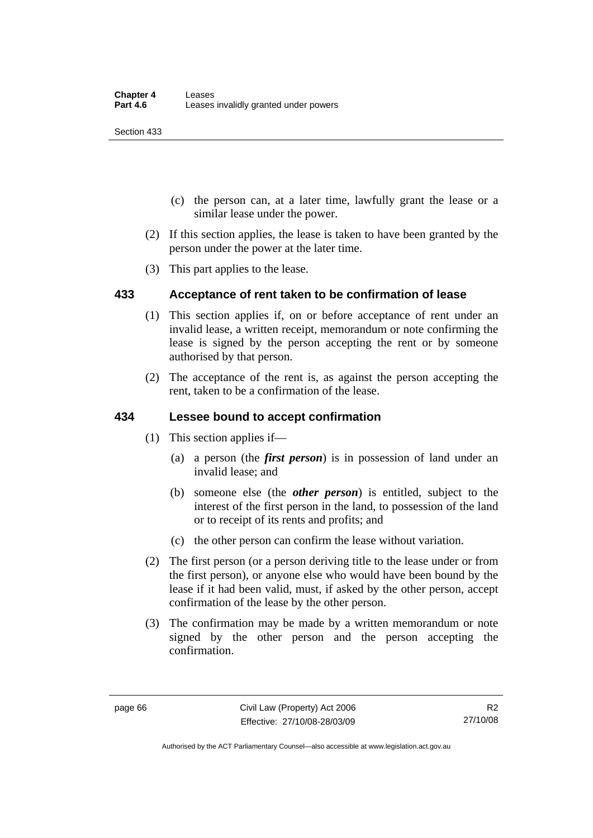Section 433

- (c) the person can, at a later time, lawfully grant the lease or a similar lease under the power.
- (2) If this section applies, the lease is taken to have been granted by the person under the power at the later time.
- (3) This part applies to the lease.

## **433 Acceptance of rent taken to be confirmation of lease**

- (1) This section applies if, on or before acceptance of rent under an invalid lease, a written receipt, memorandum or note confirming the lease is signed by the person accepting the rent or by someone authorised by that person.
- (2) The acceptance of the rent is, as against the person accepting the rent, taken to be a confirmation of the lease.

### **434 Lessee bound to accept confirmation**

- (1) This section applies if—
	- (a) a person (the *first person*) is in possession of land under an invalid lease; and
	- (b) someone else (the *other person*) is entitled, subject to the interest of the first person in the land, to possession of the land or to receipt of its rents and profits; and
	- (c) the other person can confirm the lease without variation.
- (2) The first person (or a person deriving title to the lease under or from the first person), or anyone else who would have been bound by the lease if it had been valid, must, if asked by the other person, accept confirmation of the lease by the other person.
- (3) The confirmation may be made by a written memorandum or note signed by the other person and the person accepting the confirmation.

Authorised by the ACT Parliamentary Counsel—also accessible at www.legislation.act.gov.au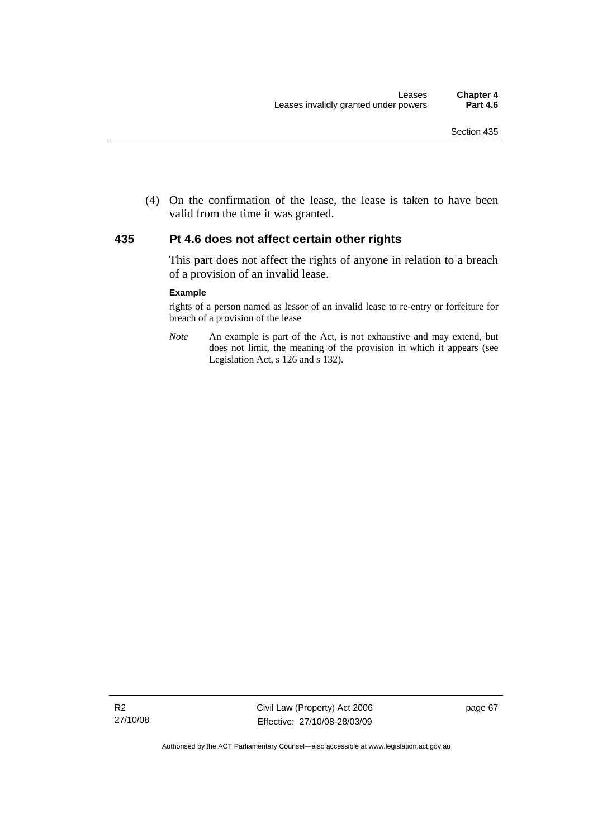(4) On the confirmation of the lease, the lease is taken to have been valid from the time it was granted.

#### **435 Pt 4.6 does not affect certain other rights**

This part does not affect the rights of anyone in relation to a breach of a provision of an invalid lease.

#### **Example**

rights of a person named as lessor of an invalid lease to re-entry or forfeiture for breach of a provision of the lease

*Note* An example is part of the Act, is not exhaustive and may extend, but does not limit, the meaning of the provision in which it appears (see Legislation Act, s 126 and s 132).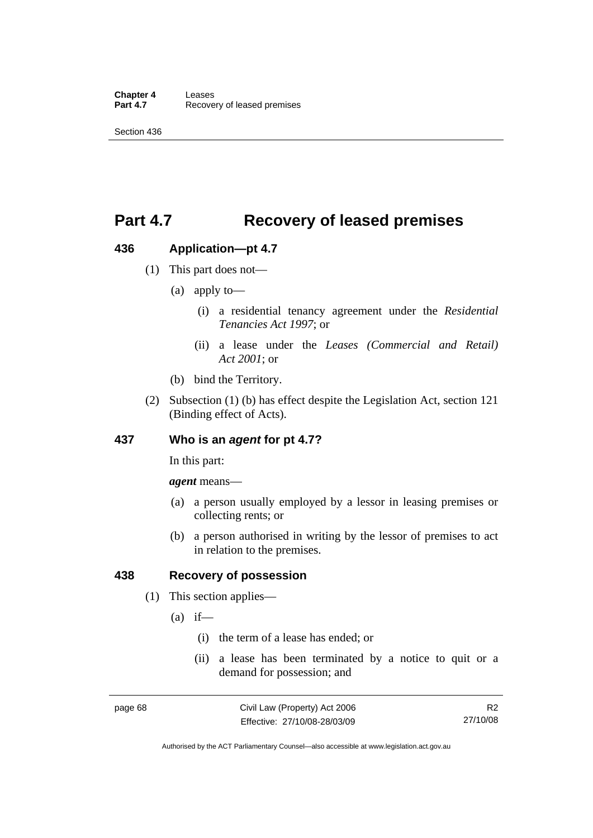# **Part 4.7 Recovery of leased premises**

## **436 Application—pt 4.7**

- (1) This part does not—
	- (a) apply to—
		- (i) a residential tenancy agreement under the *Residential Tenancies Act 1997*; or
		- (ii) a lease under the *Leases (Commercial and Retail) Act 2001*; or
	- (b) bind the Territory.
- (2) Subsection (1) (b) has effect despite the Legislation Act, section 121 (Binding effect of Acts).

### **437 Who is an** *agent* **for pt 4.7?**

In this part:

*agent* means—

- (a) a person usually employed by a lessor in leasing premises or collecting rents; or
- (b) a person authorised in writing by the lessor of premises to act in relation to the premises.

### **438 Recovery of possession**

- (1) This section applies—
	- $(a)$  if—
		- (i) the term of a lease has ended; or
		- (ii) a lease has been terminated by a notice to quit or a demand for possession; and

R2 27/10/08

Authorised by the ACT Parliamentary Counsel—also accessible at www.legislation.act.gov.au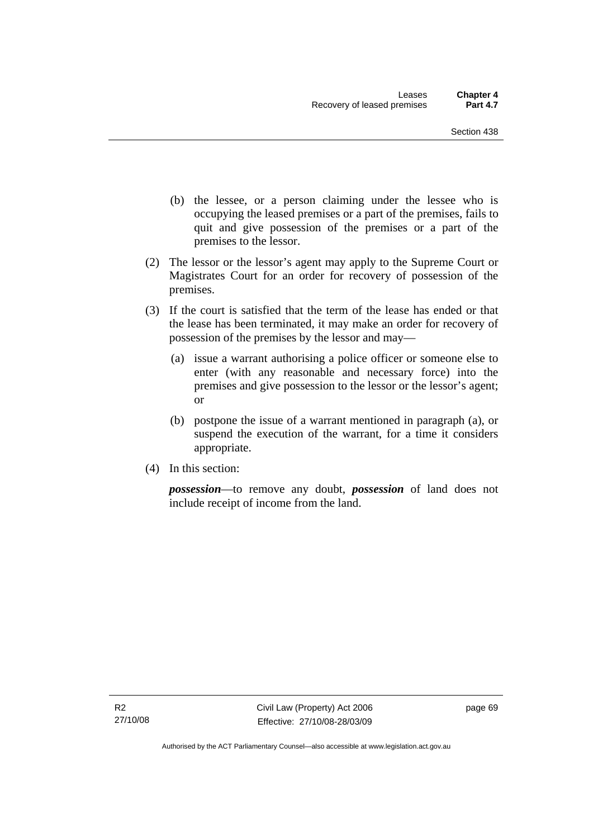- (b) the lessee, or a person claiming under the lessee who is occupying the leased premises or a part of the premises, fails to quit and give possession of the premises or a part of the premises to the lessor.
- (2) The lessor or the lessor's agent may apply to the Supreme Court or Magistrates Court for an order for recovery of possession of the premises.
- (3) If the court is satisfied that the term of the lease has ended or that the lease has been terminated, it may make an order for recovery of possession of the premises by the lessor and may—
	- (a) issue a warrant authorising a police officer or someone else to enter (with any reasonable and necessary force) into the premises and give possession to the lessor or the lessor's agent; or
	- (b) postpone the issue of a warrant mentioned in paragraph (a), or suspend the execution of the warrant, for a time it considers appropriate.
- (4) In this section:

*possession*—to remove any doubt, *possession* of land does not include receipt of income from the land.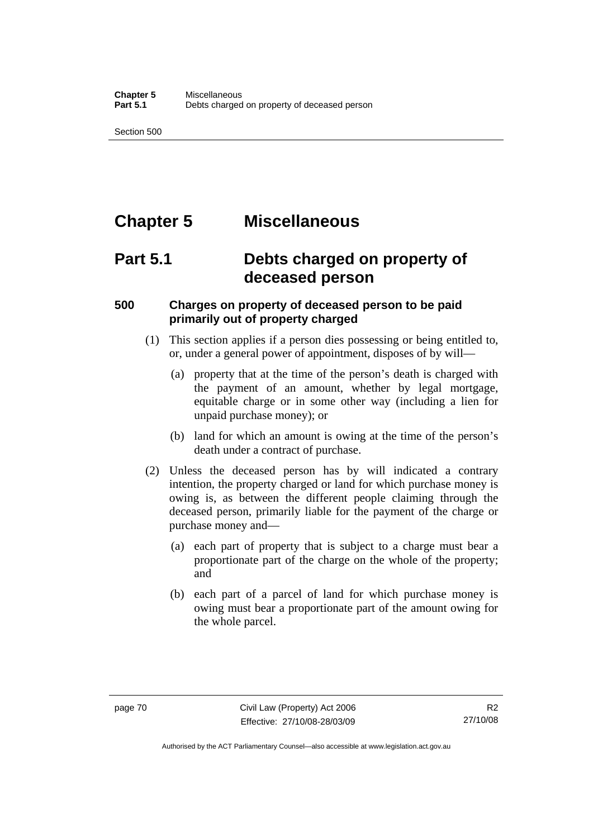Section 500

# **Chapter 5 Miscellaneous**

# **Part 5.1 Debts charged on property of deceased person**

## **500 Charges on property of deceased person to be paid primarily out of property charged**

- (1) This section applies if a person dies possessing or being entitled to, or, under a general power of appointment, disposes of by will—
	- (a) property that at the time of the person's death is charged with the payment of an amount, whether by legal mortgage, equitable charge or in some other way (including a lien for unpaid purchase money); or
	- (b) land for which an amount is owing at the time of the person's death under a contract of purchase.
- (2) Unless the deceased person has by will indicated a contrary intention, the property charged or land for which purchase money is owing is, as between the different people claiming through the deceased person, primarily liable for the payment of the charge or purchase money and—
	- (a) each part of property that is subject to a charge must bear a proportionate part of the charge on the whole of the property; and
	- (b) each part of a parcel of land for which purchase money is owing must bear a proportionate part of the amount owing for the whole parcel.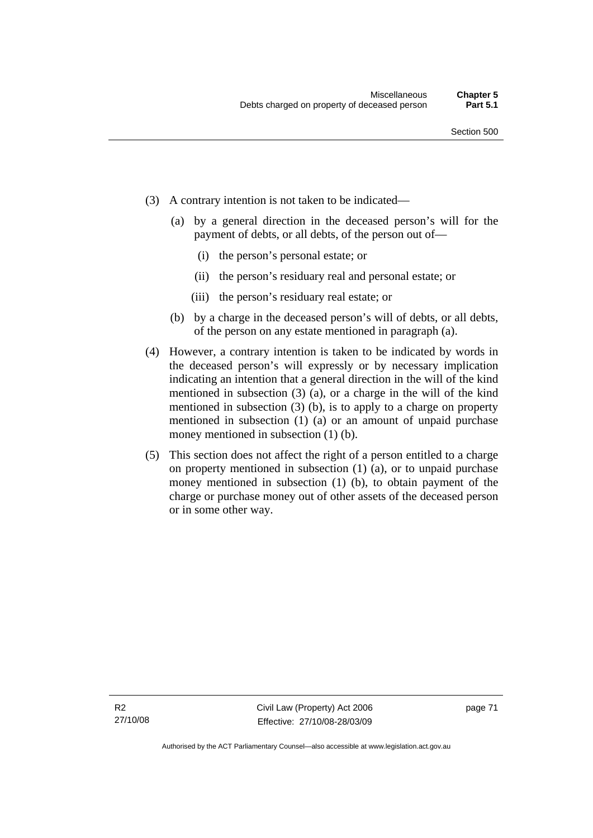- (3) A contrary intention is not taken to be indicated—
	- (a) by a general direction in the deceased person's will for the payment of debts, or all debts, of the person out of—
		- (i) the person's personal estate; or
		- (ii) the person's residuary real and personal estate; or
		- (iii) the person's residuary real estate; or
	- (b) by a charge in the deceased person's will of debts, or all debts, of the person on any estate mentioned in paragraph (a).
- (4) However, a contrary intention is taken to be indicated by words in the deceased person's will expressly or by necessary implication indicating an intention that a general direction in the will of the kind mentioned in subsection (3) (a), or a charge in the will of the kind mentioned in subsection (3) (b), is to apply to a charge on property mentioned in subsection (1) (a) or an amount of unpaid purchase money mentioned in subsection (1) (b).
- (5) This section does not affect the right of a person entitled to a charge on property mentioned in subsection (1) (a), or to unpaid purchase money mentioned in subsection (1) (b), to obtain payment of the charge or purchase money out of other assets of the deceased person or in some other way.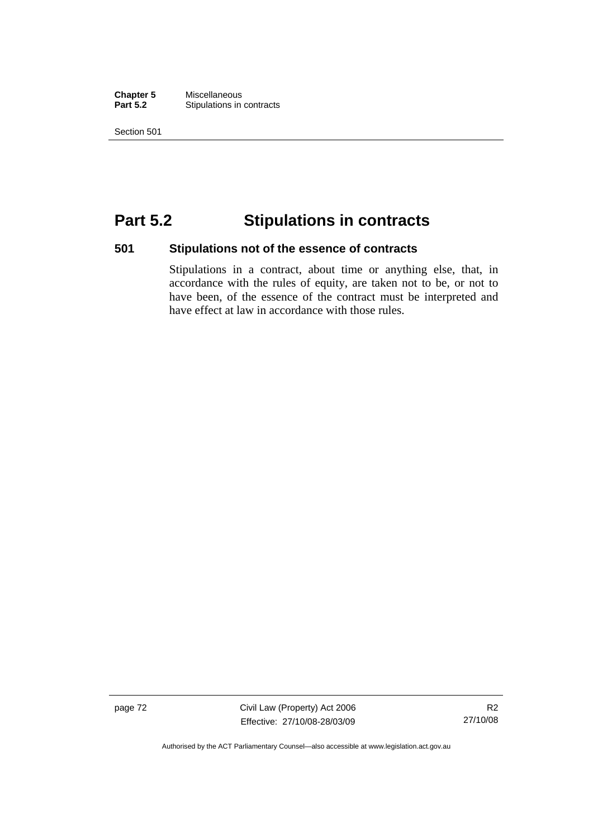**Chapter 5** Miscellaneous<br>**Part 5.2** Stipulations in **Stipulations in contracts** 

Section 501

# **Part 5.2 Stipulations in contracts**

# **501 Stipulations not of the essence of contracts**

Stipulations in a contract, about time or anything else, that, in accordance with the rules of equity, are taken not to be, or not to have been, of the essence of the contract must be interpreted and have effect at law in accordance with those rules.

page 72 Civil Law (Property) Act 2006 Effective: 27/10/08-28/03/09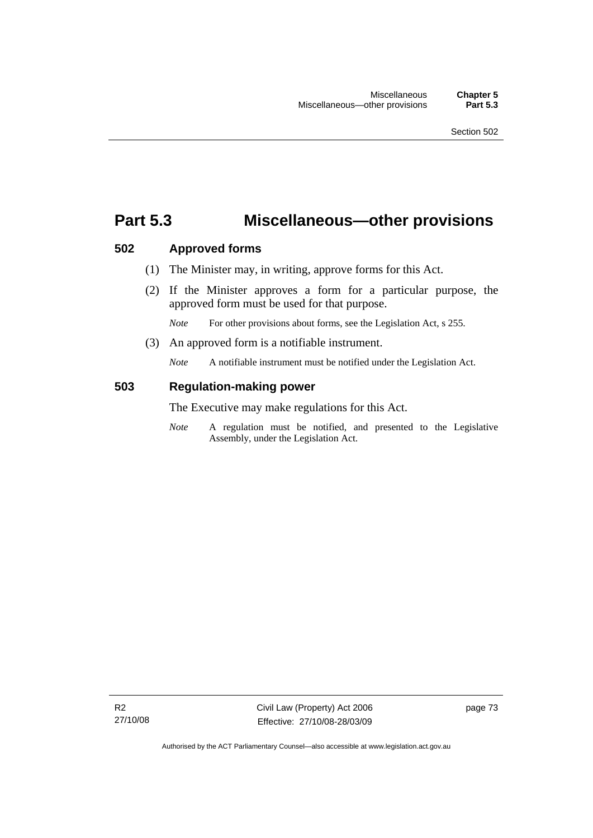# **Part 5.3 Miscellaneous—other provisions**

### **502 Approved forms**

- (1) The Minister may, in writing, approve forms for this Act.
- (2) If the Minister approves a form for a particular purpose, the approved form must be used for that purpose.

*Note* For other provisions about forms, see the Legislation Act, s 255.

(3) An approved form is a notifiable instrument.

*Note* A notifiable instrument must be notified under the Legislation Act.

## **503 Regulation-making power**

The Executive may make regulations for this Act.

*Note* A regulation must be notified, and presented to the Legislative Assembly, under the Legislation Act.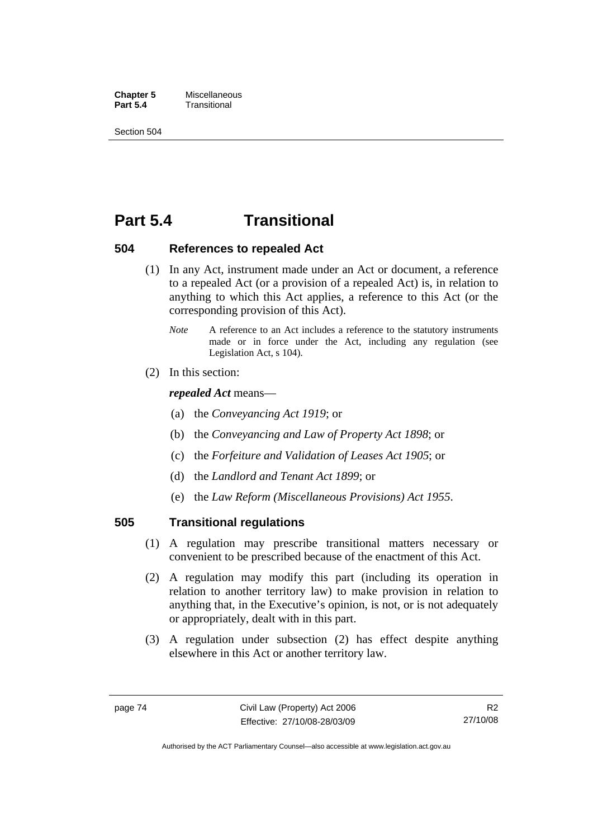**Chapter 5** Miscellaneous<br>**Part 5.4** Transitional **Part 5.4** Transitional

Section 504

# **Part 5.4 Transitional**

### **504 References to repealed Act**

- (1) In any Act, instrument made under an Act or document, a reference to a repealed Act (or a provision of a repealed Act) is, in relation to anything to which this Act applies, a reference to this Act (or the corresponding provision of this Act).
	- *Note* A reference to an Act includes a reference to the statutory instruments made or in force under the Act, including any regulation (see Legislation Act, s 104).
- (2) In this section:

*repealed Act* means—

- (a) the *Conveyancing Act 1919*; or
- (b) the *Conveyancing and Law of Property Act 1898*; or
- (c) the *Forfeiture and Validation of Leases Act 1905*; or
- (d) the *Landlord and Tenant Act 1899*; or
- (e) the *Law Reform (Miscellaneous Provisions) Act 1955*.

### **505 Transitional regulations**

- (1) A regulation may prescribe transitional matters necessary or convenient to be prescribed because of the enactment of this Act.
- (2) A regulation may modify this part (including its operation in relation to another territory law) to make provision in relation to anything that, in the Executive's opinion, is not, or is not adequately or appropriately, dealt with in this part.
- (3) A regulation under subsection (2) has effect despite anything elsewhere in this Act or another territory law.

Authorised by the ACT Parliamentary Counsel—also accessible at www.legislation.act.gov.au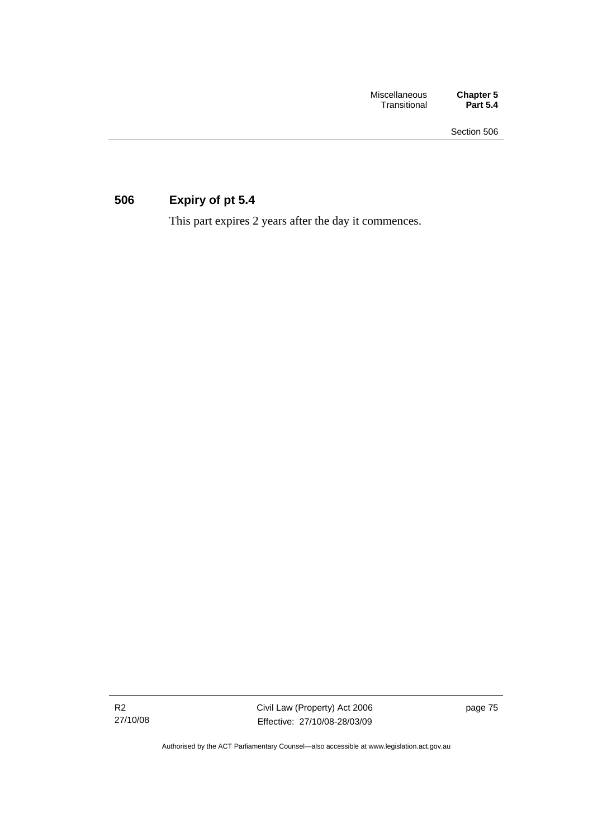# **506 Expiry of pt 5.4**

This part expires 2 years after the day it commences.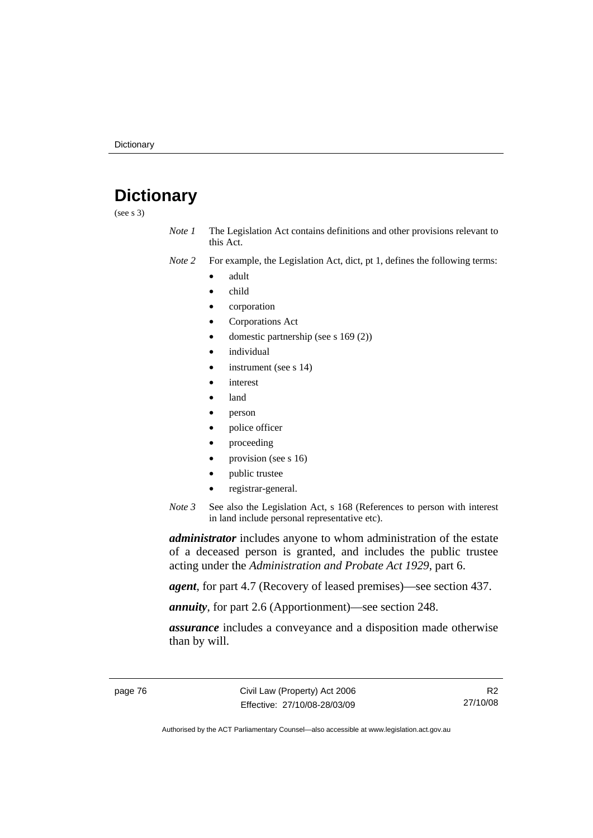# **Dictionary**

(see s 3)

*Note 1* The Legislation Act contains definitions and other provisions relevant to this Act.

*Note 2* For example, the Legislation Act, dict, pt 1, defines the following terms:

- adult
- child
- corporation
- Corporations Act
- domestic partnership (see s 169 (2))
- *individual*
- instrument (see s 14)
- interest
- land
- person
- police officer
- proceeding
- provision (see s 16)
- public trustee
- registrar-general.
- *Note 3* See also the Legislation Act, s 168 (References to person with interest in land include personal representative etc).

*administrator* includes anyone to whom administration of the estate of a deceased person is granted, and includes the public trustee acting under the *Administration and Probate Act 1929*, part 6.

*agent*, for part 4.7 (Recovery of leased premises)—see section 437.

*annuity*, for part 2.6 (Apportionment)—see section 248.

*assurance* includes a conveyance and a disposition made otherwise than by will.

R2 27/10/08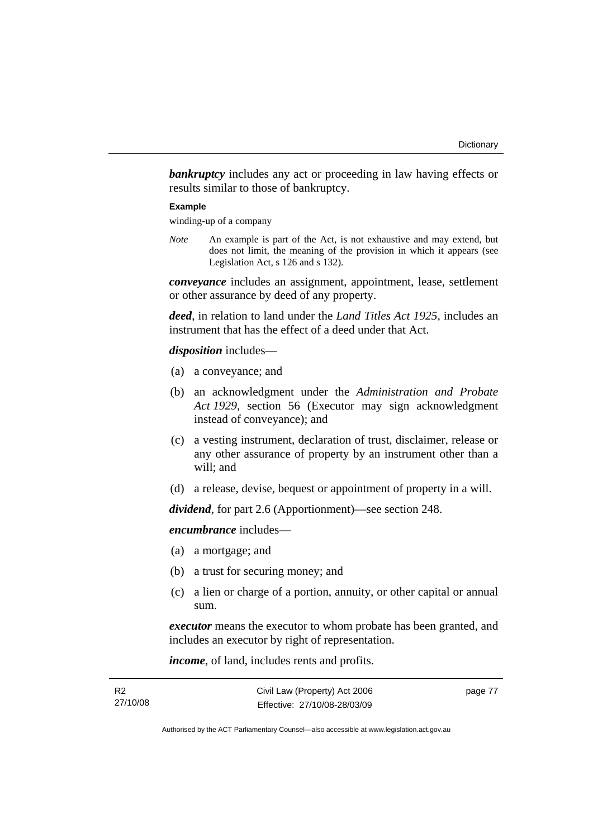**bankruptcy** includes any act or proceeding in law having effects or results similar to those of bankruptcy.

#### **Example**

winding-up of a company

*Note* An example is part of the Act, is not exhaustive and may extend, but does not limit, the meaning of the provision in which it appears (see Legislation Act, s 126 and s 132).

*conveyance* includes an assignment, appointment, lease, settlement or other assurance by deed of any property.

*deed*, in relation to land under the *Land Titles Act 1925*, includes an instrument that has the effect of a deed under that Act.

#### *disposition* includes—

- (a) a conveyance; and
- (b) an acknowledgment under the *Administration and Probate Act 1929*, section 56 (Executor may sign acknowledgment instead of conveyance); and
- (c) a vesting instrument, declaration of trust, disclaimer, release or any other assurance of property by an instrument other than a will; and
- (d) a release, devise, bequest or appointment of property in a will.

*dividend*, for part 2.6 (Apportionment)—see section 248.

*encumbrance* includes—

- (a) a mortgage; and
- (b) a trust for securing money; and
- (c) a lien or charge of a portion, annuity, or other capital or annual sum.

*executor* means the executor to whom probate has been granted, and includes an executor by right of representation.

*income*, of land, includes rents and profits.

| R2       | Civil Law (Property) Act 2006 | page 77 |
|----------|-------------------------------|---------|
| 27/10/08 | Effective: 27/10/08-28/03/09  |         |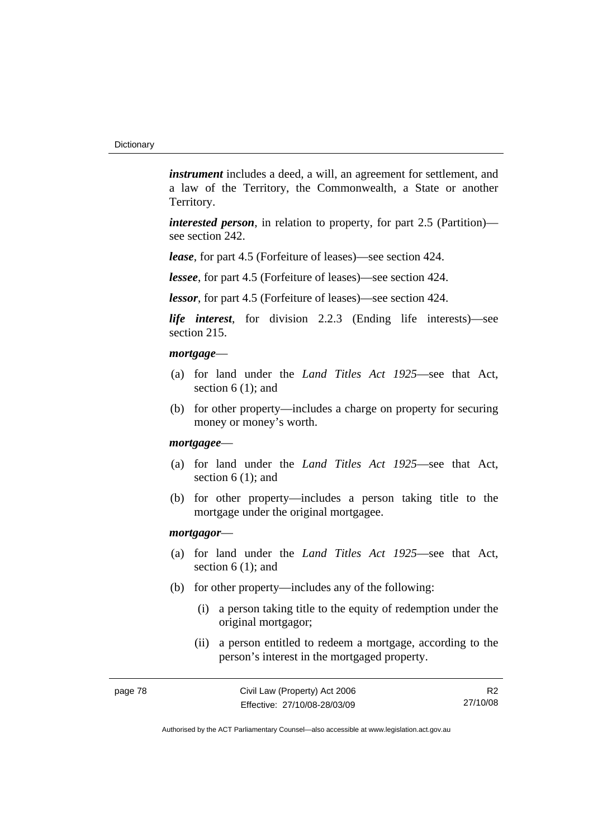*instrument* includes a deed, a will, an agreement for settlement, and a law of the Territory, the Commonwealth, a State or another Territory.

*interested person*, in relation to property, for part 2.5 (Partition) see section 242.

*lease*, for part 4.5 (Forfeiture of leases)—see section 424.

*lessee*, for part 4.5 (Forfeiture of leases)—see section 424.

*lessor*, for part 4.5 (Forfeiture of leases)—see section 424.

*life interest*, for division 2.2.3 (Ending life interests)—see section 215.

#### *mortgage*—

- (a) for land under the *Land Titles Act 1925*—see that Act, section 6 (1); and
- (b) for other property—includes a charge on property for securing money or money's worth.

#### *mortgagee*—

- (a) for land under the *Land Titles Act 1925*—see that Act, section 6 (1); and
- (b) for other property—includes a person taking title to the mortgage under the original mortgagee.

#### *mortgagor*—

- (a) for land under the *Land Titles Act 1925*—see that Act, section 6 (1); and
- (b) for other property—includes any of the following:
	- (i) a person taking title to the equity of redemption under the original mortgagor;
	- (ii) a person entitled to redeem a mortgage, according to the person's interest in the mortgaged property.

R2 27/10/08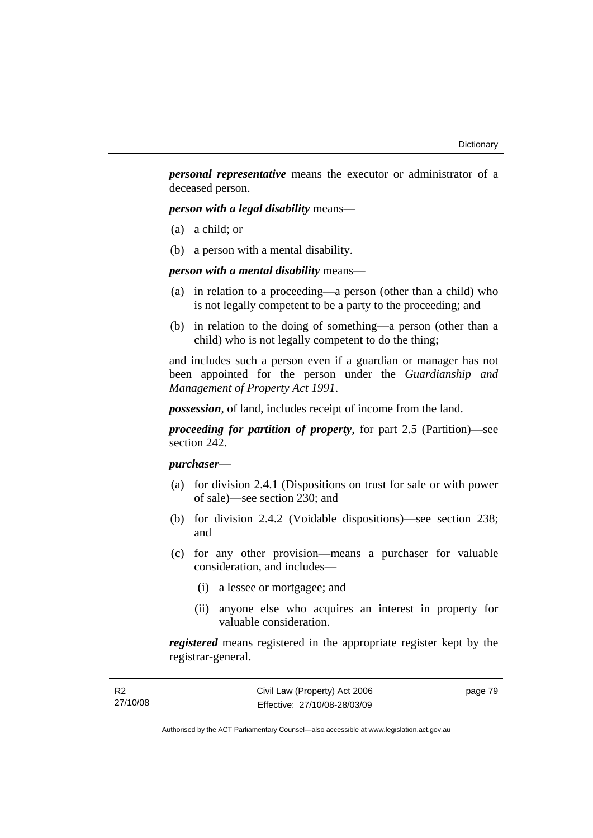*personal representative* means the executor or administrator of a deceased person.

*person with a legal disability* means—

- (a) a child; or
- (b) a person with a mental disability.

*person with a mental disability* means—

- (a) in relation to a proceeding—a person (other than a child) who is not legally competent to be a party to the proceeding; and
- (b) in relation to the doing of something—a person (other than a child) who is not legally competent to do the thing;

and includes such a person even if a guardian or manager has not been appointed for the person under the *Guardianship and Management of Property Act 1991*.

*possession*, of land, includes receipt of income from the land.

*proceeding for partition of property*, for part 2.5 (Partition)—see section 242.

### *purchaser*—

- (a) for division 2.4.1 (Dispositions on trust for sale or with power of sale)—see section 230; and
- (b) for division 2.4.2 (Voidable dispositions)—see section 238; and
- (c) for any other provision—means a purchaser for valuable consideration, and includes—
	- (i) a lessee or mortgagee; and
	- (ii) anyone else who acquires an interest in property for valuable consideration.

*registered* means registered in the appropriate register kept by the registrar-general.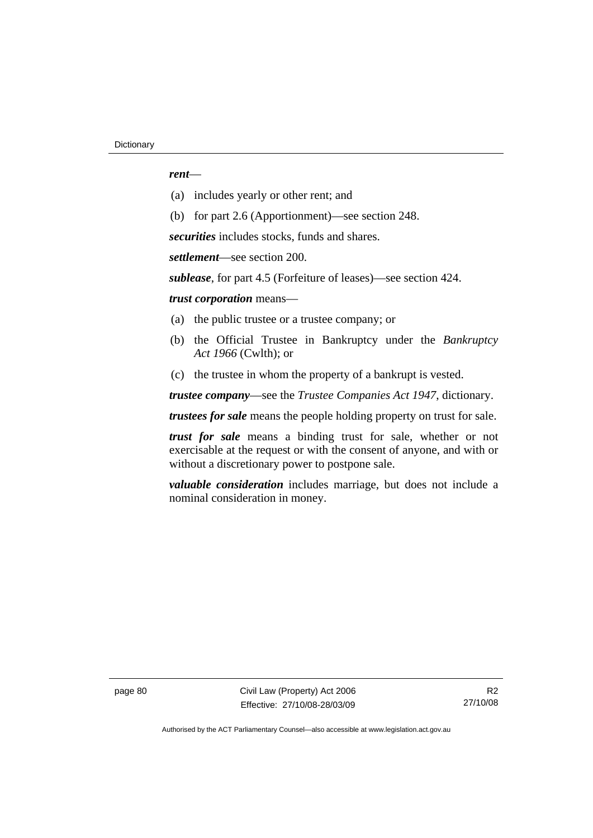#### *rent*—

- (a) includes yearly or other rent; and
- (b) for part 2.6 (Apportionment)—see section 248.

*securities* includes stocks, funds and shares.

*settlement*—see section 200.

*sublease*, for part 4.5 (Forfeiture of leases)—see section 424.

*trust corporation* means—

- (a) the public trustee or a trustee company; or
- (b) the Official Trustee in Bankruptcy under the *Bankruptcy Act 1966* (Cwlth); or
- (c) the trustee in whom the property of a bankrupt is vested.

*trustee company*—see the *Trustee Companies Act 1947*, dictionary.

*trustees for sale* means the people holding property on trust for sale.

*trust for sale* means a binding trust for sale, whether or not exercisable at the request or with the consent of anyone, and with or without a discretionary power to postpone sale.

*valuable consideration* includes marriage, but does not include a nominal consideration in money.

page 80 Civil Law (Property) Act 2006 Effective: 27/10/08-28/03/09

R2 27/10/08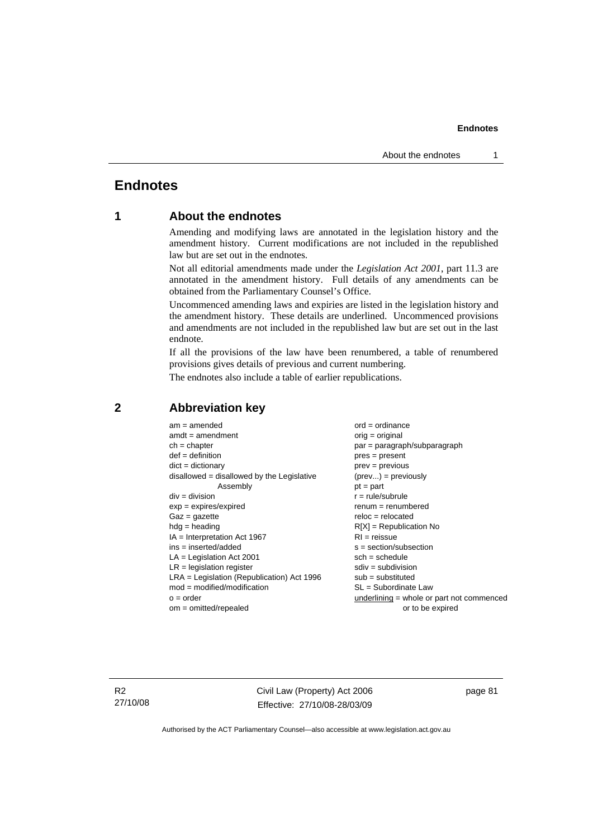#### **Endnotes**

# **Endnotes**

### **1 About the endnotes**

Amending and modifying laws are annotated in the legislation history and the amendment history. Current modifications are not included in the republished law but are set out in the endnotes.

Not all editorial amendments made under the *Legislation Act 2001*, part 11.3 are annotated in the amendment history. Full details of any amendments can be obtained from the Parliamentary Counsel's Office.

Uncommenced amending laws and expiries are listed in the legislation history and the amendment history. These details are underlined. Uncommenced provisions and amendments are not included in the republished law but are set out in the last endnote.

If all the provisions of the law have been renumbered, a table of renumbered provisions gives details of previous and current numbering.

The endnotes also include a table of earlier republications.

| $am = amended$                               | $ord = ordinance$                         |  |
|----------------------------------------------|-------------------------------------------|--|
| $amdt = amendment$                           | orig = original                           |  |
| $ch = chapter$                               | par = paragraph/subparagraph              |  |
| $def = definition$                           | $pres = present$                          |  |
| $dict = dictionary$                          | $prev = previous$                         |  |
| disallowed = disallowed by the Legislative   | $(\text{prev}) = \text{previously}$       |  |
| Assembly                                     | $pt = part$                               |  |
| $div = division$                             | $r = rule/subrule$                        |  |
| $exp = expires/expired$                      | $renum = renumbered$                      |  |
| $Gaz = gazette$                              | $reloc = relocated$                       |  |
| $hdg =$ heading                              | $R[X]$ = Republication No                 |  |
| $IA = Interpretation Act 1967$               | $RI = reissue$                            |  |
| $ins = inserted/added$                       | $s = section/subsection$                  |  |
| $LA =$ Legislation Act 2001                  | $sch = schedule$                          |  |
| $LR =$ legislation register                  | $sdiv = subdivision$                      |  |
| $LRA =$ Legislation (Republication) Act 1996 | $sub =$ substituted                       |  |
| $mod = modified/modification$                | SL = Subordinate Law                      |  |
| $o = order$                                  | underlining = whole or part not commenced |  |
| $om = omitted/repealed$                      | or to be expired                          |  |
|                                              |                                           |  |

#### **2 Abbreviation key**

R2 27/10/08 Civil Law (Property) Act 2006 Effective: 27/10/08-28/03/09 page 81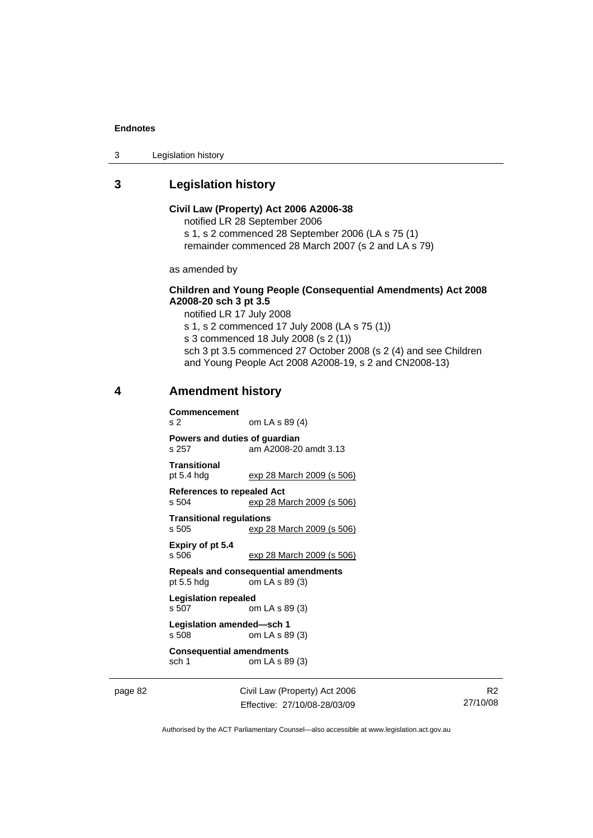#### **Endnotes**

3 Legislation history

### **3 Legislation history**

#### **Civil Law (Property) Act 2006 A2006-38**  notified LR 28 September 2006

s 1, s 2 commenced 28 September 2006 (LA s 75 (1) remainder commenced 28 March 2007 (s 2 and LA s 79)

as amended by

#### **Children and Young People (Consequential Amendments) Act 2008 A2008-20 sch 3 pt 3.5**

notified LR 17 July 2008

s 1, s 2 commenced 17 July 2008 (LA s 75 (1))

s 3 commenced 18 July 2008 (s 2 (1))

sch 3 pt 3.5 commenced 27 October 2008 (s 2 (4) and see Children and Young People Act 2008 A2008-19, s 2 and CN2008-13)

#### **4 Amendment history**

**Commencement**  s 2 om LA s 89 (4) **Powers and duties of guardian**  s 257 am A2008-20 amdt 3.13 **Transitional**  pt 5.4 hdg exp 28 March 2009 (s 506) **References to repealed Act**  s 504 exp 28 March 2009 (s 506) **Transitional regulations**  exp 28 March 2009 (s 506)

**Expiry of pt 5.4**  s 506 exp 28 March 2009 (s 506)

**Repeals and consequential amendments**   $om LA s 89 (3)$ 

**Legislation repealed**  s 507 om LA s 89 (3) **Legislation amended—sch 1** 

```
s 508 om LA s 89 (3)
```
**Consequential amendments**  sch 1 om LA s 89 (3)

page 82 Civil Law (Property) Act 2006 Effective: 27/10/08-28/03/09

R2 27/10/08